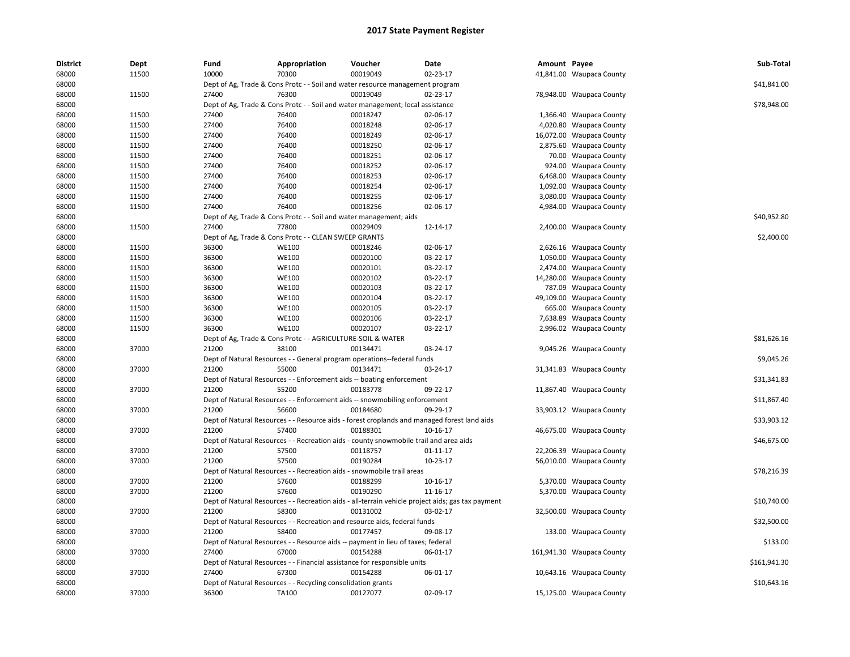| <b>District</b> | <b>Dept</b> | Fund  | Appropriation                                                      | Voucher                                                                               | Date                                                                                              | Amount Payee |                           | Sub-Total    |
|-----------------|-------------|-------|--------------------------------------------------------------------|---------------------------------------------------------------------------------------|---------------------------------------------------------------------------------------------------|--------------|---------------------------|--------------|
| 68000           | 11500       | 10000 | 70300                                                              | 00019049                                                                              | 02-23-17                                                                                          |              | 41,841.00 Waupaca County  |              |
| 68000           |             |       |                                                                    | Dept of Ag, Trade & Cons Protc - - Soil and water resource management program         |                                                                                                   |              |                           | \$41,841.00  |
| 68000           | 11500       | 27400 | 76300                                                              | 00019049                                                                              | 02-23-17                                                                                          |              | 78,948.00 Waupaca County  |              |
| 68000           |             |       |                                                                    | Dept of Ag, Trade & Cons Protc - - Soil and water management; local assistance        |                                                                                                   |              |                           | \$78,948.00  |
| 68000           | 11500       | 27400 | 76400                                                              | 00018247                                                                              | 02-06-17                                                                                          |              | 1,366.40 Waupaca County   |              |
| 68000           | 11500       | 27400 | 76400                                                              | 00018248                                                                              | 02-06-17                                                                                          |              | 4,020.80 Waupaca County   |              |
| 68000           | 11500       | 27400 | 76400                                                              | 00018249                                                                              | 02-06-17                                                                                          |              | 16,072.00 Waupaca County  |              |
| 68000           | 11500       | 27400 | 76400                                                              | 00018250                                                                              | 02-06-17                                                                                          |              | 2,875.60 Waupaca County   |              |
| 68000           | 11500       | 27400 | 76400                                                              | 00018251                                                                              | 02-06-17                                                                                          |              | 70.00 Waupaca County      |              |
| 68000           | 11500       | 27400 | 76400                                                              | 00018252                                                                              | 02-06-17                                                                                          |              | 924.00 Waupaca County     |              |
| 68000           | 11500       | 27400 | 76400                                                              | 00018253                                                                              | 02-06-17                                                                                          |              | 6,468.00 Waupaca County   |              |
| 68000           | 11500       | 27400 | 76400                                                              | 00018254                                                                              | 02-06-17                                                                                          |              | 1,092.00 Waupaca County   |              |
| 68000           | 11500       | 27400 | 76400                                                              | 00018255                                                                              | 02-06-17                                                                                          |              | 3,080.00 Waupaca County   |              |
| 68000           | 11500       | 27400 | 76400                                                              | 00018256                                                                              | 02-06-17                                                                                          |              | 4,984.00 Waupaca County   |              |
| 68000           |             |       | Dept of Ag, Trade & Cons Protc - - Soil and water management; aids |                                                                                       |                                                                                                   |              |                           | \$40,952.80  |
| 68000           | 11500       | 27400 | 77800                                                              | 00029409                                                                              | 12-14-17                                                                                          |              | 2,400.00 Waupaca County   |              |
| 68000           |             |       | Dept of Ag, Trade & Cons Protc - - CLEAN SWEEP GRANTS              |                                                                                       |                                                                                                   |              |                           | \$2,400.00   |
| 68000           | 11500       | 36300 | <b>WE100</b>                                                       | 00018246                                                                              | 02-06-17                                                                                          |              | 2,626.16 Waupaca County   |              |
| 68000           | 11500       | 36300 | <b>WE100</b>                                                       | 00020100                                                                              | 03-22-17                                                                                          |              | 1,050.00 Waupaca County   |              |
| 68000           | 11500       | 36300 | <b>WE100</b>                                                       | 00020101                                                                              | 03-22-17                                                                                          |              | 2,474.00 Waupaca County   |              |
| 68000           | 11500       | 36300 | <b>WE100</b>                                                       | 00020102                                                                              | 03-22-17                                                                                          |              | 14,280.00 Waupaca County  |              |
| 68000           | 11500       | 36300 | <b>WE100</b>                                                       | 00020103                                                                              | 03-22-17                                                                                          |              | 787.09 Waupaca County     |              |
| 68000           | 11500       | 36300 | <b>WE100</b>                                                       | 00020104                                                                              | 03-22-17                                                                                          |              | 49,109.00 Waupaca County  |              |
| 68000           | 11500       | 36300 | <b>WE100</b>                                                       | 00020105                                                                              | 03-22-17                                                                                          |              | 665.00 Waupaca County     |              |
| 68000           | 11500       | 36300 | <b>WE100</b>                                                       | 00020106                                                                              | 03-22-17                                                                                          |              | 7,638.89 Waupaca County   |              |
| 68000           | 11500       | 36300 | <b>WE100</b>                                                       | 00020107                                                                              | 03-22-17                                                                                          |              | 2,996.02 Waupaca County   |              |
| 68000           |             |       | Dept of Ag, Trade & Cons Protc - - AGRICULTURE-SOIL & WATER        |                                                                                       |                                                                                                   |              |                           | \$81,626.16  |
| 68000           | 37000       | 21200 | 38100                                                              | 00134471                                                                              | 03-24-17                                                                                          |              | 9,045.26 Waupaca County   |              |
| 68000           |             |       |                                                                    | Dept of Natural Resources - - General program operations--federal funds               |                                                                                                   |              |                           | \$9,045.26   |
| 68000           | 37000       | 21200 | 55000                                                              | 00134471                                                                              | 03-24-17                                                                                          |              | 31,341.83 Waupaca County  |              |
| 68000           |             |       |                                                                    | Dept of Natural Resources - - Enforcement aids -- boating enforcement                 |                                                                                                   |              |                           | \$31,341.83  |
| 68000           | 37000       | 21200 | 55200                                                              | 00183778                                                                              | 09-22-17                                                                                          |              | 11,867.40 Waupaca County  |              |
| 68000           |             |       |                                                                    | Dept of Natural Resources - - Enforcement aids -- snowmobiling enforcement            |                                                                                                   |              |                           | \$11,867.40  |
| 68000           | 37000       | 21200 | 56600                                                              | 00184680                                                                              | 09-29-17                                                                                          |              | 33,903.12 Waupaca County  |              |
| 68000           |             |       |                                                                    |                                                                                       | Dept of Natural Resources - - Resource aids - forest croplands and managed forest land aids       |              |                           | \$33,903.12  |
| 68000           | 37000       | 21200 | 57400                                                              | 00188301                                                                              | 10-16-17                                                                                          |              | 46,675.00 Waupaca County  |              |
| 68000           |             |       |                                                                    | Dept of Natural Resources - - Recreation aids - county snowmobile trail and area aids |                                                                                                   |              |                           | \$46,675.00  |
| 68000           | 37000       | 21200 | 57500                                                              | 00118757                                                                              | $01 - 11 - 17$                                                                                    |              | 22,206.39 Waupaca County  |              |
|                 |             | 21200 | 57500                                                              | 00190284                                                                              |                                                                                                   |              |                           |              |
| 68000<br>68000  | 37000       |       |                                                                    |                                                                                       | 10-23-17                                                                                          |              | 56,010.00 Waupaca County  | \$78,216.39  |
|                 |             |       |                                                                    | Dept of Natural Resources - - Recreation aids - snowmobile trail areas                |                                                                                                   |              |                           |              |
| 68000           | 37000       | 21200 | 57600                                                              | 00188299                                                                              | 10-16-17                                                                                          |              | 5,370.00 Waupaca County   |              |
| 68000           | 37000       | 21200 | 57600                                                              | 00190290                                                                              | 11-16-17                                                                                          |              | 5,370.00 Waupaca County   |              |
| 68000           |             |       |                                                                    |                                                                                       | Dept of Natural Resources - - Recreation aids - all-terrain vehicle project aids; gas tax payment |              |                           | \$10,740.00  |
| 68000           | 37000       | 21200 | 58300                                                              | 00131002                                                                              | 03-02-17                                                                                          |              | 32,500.00 Waupaca County  |              |
| 68000           |             |       |                                                                    | Dept of Natural Resources - - Recreation and resource aids, federal funds             |                                                                                                   |              |                           | \$32,500.00  |
| 68000           | 37000       | 21200 | 58400                                                              | 00177457                                                                              | 09-08-17                                                                                          |              | 133.00 Waupaca County     |              |
| 68000           |             |       |                                                                    | Dept of Natural Resources - - Resource aids -- payment in lieu of taxes; federal      |                                                                                                   |              |                           | \$133.00     |
| 68000           | 37000       | 27400 | 67000                                                              | 00154288                                                                              | 06-01-17                                                                                          |              | 161,941.30 Waupaca County |              |
| 68000           |             |       |                                                                    | Dept of Natural Resources - - Financial assistance for responsible units              |                                                                                                   |              |                           | \$161,941.30 |
| 68000           | 37000       | 27400 | 67300                                                              | 00154288                                                                              | 06-01-17                                                                                          |              | 10,643.16 Waupaca County  |              |
| 68000           |             |       | Dept of Natural Resources - - Recycling consolidation grants       |                                                                                       |                                                                                                   |              |                           | \$10,643.16  |
| 68000           | 37000       | 36300 | TA100                                                              | 00127077                                                                              | 02-09-17                                                                                          |              | 15,125.00 Waupaca County  |              |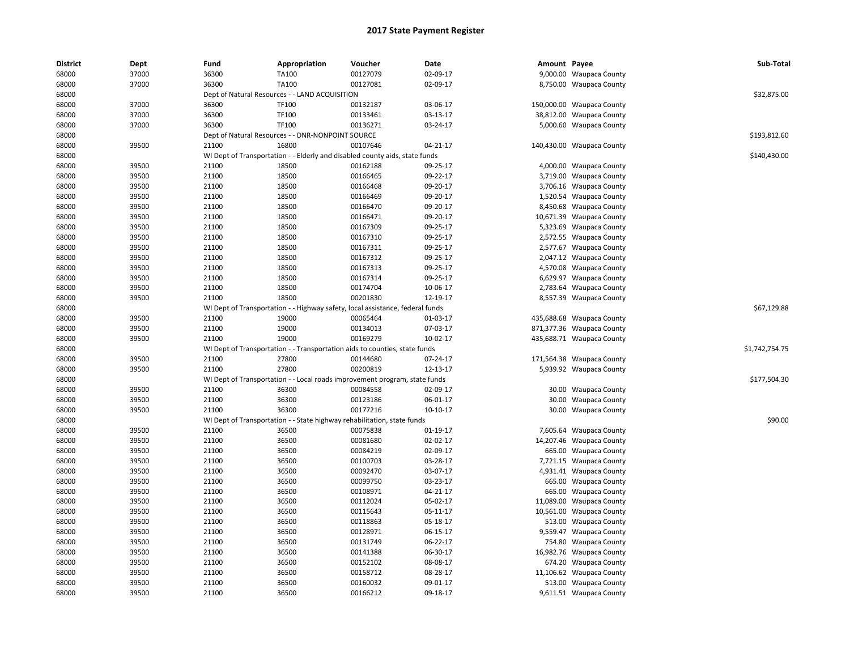| <b>District</b> | Dept  | Fund  | Appropriation                                                                 | Voucher  | Date     | Amount Payee |                           | Sub-Total      |
|-----------------|-------|-------|-------------------------------------------------------------------------------|----------|----------|--------------|---------------------------|----------------|
| 68000           | 37000 | 36300 | TA100                                                                         | 00127079 | 02-09-17 |              | 9,000.00 Waupaca County   |                |
| 68000           | 37000 | 36300 | TA100                                                                         | 00127081 | 02-09-17 |              | 8,750.00 Waupaca County   |                |
| 68000           |       |       | Dept of Natural Resources - - LAND ACQUISITION                                |          |          |              |                           | \$32,875.00    |
| 68000           | 37000 | 36300 | TF100                                                                         | 00132187 | 03-06-17 |              | 150,000.00 Waupaca County |                |
| 68000           | 37000 | 36300 | TF100                                                                         | 00133461 | 03-13-17 |              | 38,812.00 Waupaca County  |                |
| 68000           | 37000 | 36300 | TF100                                                                         | 00136271 | 03-24-17 |              | 5,000.60 Waupaca County   |                |
| 68000           |       |       | Dept of Natural Resources - - DNR-NONPOINT SOURCE                             |          |          |              |                           | \$193,812.60   |
| 68000           | 39500 | 21100 | 16800                                                                         | 00107646 | 04-21-17 |              | 140,430.00 Waupaca County |                |
| 68000           |       |       | WI Dept of Transportation - - Elderly and disabled county aids, state funds   |          |          |              |                           | \$140,430.00   |
| 68000           | 39500 | 21100 | 18500                                                                         | 00162188 | 09-25-17 |              | 4,000.00 Waupaca County   |                |
| 68000           | 39500 | 21100 | 18500                                                                         | 00166465 | 09-22-17 |              | 3,719.00 Waupaca County   |                |
| 68000           | 39500 | 21100 | 18500                                                                         | 00166468 | 09-20-17 |              | 3,706.16 Waupaca County   |                |
| 68000           | 39500 | 21100 | 18500                                                                         | 00166469 | 09-20-17 |              | 1,520.54 Waupaca County   |                |
| 68000           | 39500 | 21100 | 18500                                                                         | 00166470 | 09-20-17 |              | 8,450.68 Waupaca County   |                |
| 68000           | 39500 | 21100 | 18500                                                                         | 00166471 | 09-20-17 |              | 10,671.39 Waupaca County  |                |
| 68000           | 39500 |       | 18500                                                                         | 00167309 | 09-25-17 |              |                           |                |
|                 |       | 21100 |                                                                               |          |          |              | 5,323.69 Waupaca County   |                |
| 68000           | 39500 | 21100 | 18500                                                                         | 00167310 | 09-25-17 |              | 2,572.55 Waupaca County   |                |
| 68000           | 39500 | 21100 | 18500                                                                         | 00167311 | 09-25-17 |              | 2,577.67 Waupaca County   |                |
| 68000           | 39500 | 21100 | 18500                                                                         | 00167312 | 09-25-17 |              | 2,047.12 Waupaca County   |                |
| 68000           | 39500 | 21100 | 18500                                                                         | 00167313 | 09-25-17 |              | 4,570.08 Waupaca County   |                |
| 68000           | 39500 | 21100 | 18500                                                                         | 00167314 | 09-25-17 |              | 6,629.97 Waupaca County   |                |
| 68000           | 39500 | 21100 | 18500                                                                         | 00174704 | 10-06-17 |              | 2,783.64 Waupaca County   |                |
| 68000           | 39500 | 21100 | 18500                                                                         | 00201830 | 12-19-17 |              | 8,557.39 Waupaca County   |                |
| 68000           |       |       | WI Dept of Transportation - - Highway safety, local assistance, federal funds |          |          |              |                           | \$67,129.88    |
| 68000           | 39500 | 21100 | 19000                                                                         | 00065464 | 01-03-17 |              | 435,688.68 Waupaca County |                |
| 68000           | 39500 | 21100 | 19000                                                                         | 00134013 | 07-03-17 |              | 871,377.36 Waupaca County |                |
| 68000           | 39500 | 21100 | 19000                                                                         | 00169279 | 10-02-17 |              | 435,688.71 Waupaca County |                |
| 68000           |       |       | WI Dept of Transportation - - Transportation aids to counties, state funds    |          |          |              |                           | \$1,742,754.75 |
| 68000           | 39500 | 21100 | 27800                                                                         | 00144680 | 07-24-17 |              | 171,564.38 Waupaca County |                |
| 68000           | 39500 | 21100 | 27800                                                                         | 00200819 | 12-13-17 |              | 5,939.92 Waupaca County   |                |
| 68000           |       |       | WI Dept of Transportation - - Local roads improvement program, state funds    |          |          |              |                           | \$177,504.30   |
| 68000           | 39500 | 21100 | 36300                                                                         | 00084558 | 02-09-17 |              | 30.00 Waupaca County      |                |
| 68000           | 39500 | 21100 | 36300                                                                         | 00123186 | 06-01-17 |              | 30.00 Waupaca County      |                |
| 68000           | 39500 | 21100 | 36300                                                                         | 00177216 | 10-10-17 |              | 30.00 Waupaca County      |                |
| 68000           |       |       | WI Dept of Transportation - - State highway rehabilitation, state funds       |          |          |              |                           | \$90.00        |
| 68000           | 39500 | 21100 | 36500                                                                         | 00075838 | 01-19-17 |              | 7,605.64 Waupaca County   |                |
| 68000           | 39500 | 21100 | 36500                                                                         | 00081680 | 02-02-17 |              | 14,207.46 Waupaca County  |                |
| 68000           | 39500 | 21100 | 36500                                                                         | 00084219 | 02-09-17 |              | 665.00 Waupaca County     |                |
| 68000           | 39500 | 21100 | 36500                                                                         | 00100703 | 03-28-17 |              | 7,721.15 Waupaca County   |                |
| 68000           | 39500 | 21100 | 36500                                                                         | 00092470 | 03-07-17 |              | 4,931.41 Waupaca County   |                |
| 68000           | 39500 | 21100 | 36500                                                                         | 00099750 | 03-23-17 |              | 665.00 Waupaca County     |                |
| 68000           | 39500 | 21100 | 36500                                                                         | 00108971 | 04-21-17 |              | 665.00 Waupaca County     |                |
| 68000           | 39500 | 21100 | 36500                                                                         | 00112024 | 05-02-17 |              | 11,089.00 Waupaca County  |                |
| 68000           | 39500 | 21100 | 36500                                                                         | 00115643 | 05-11-17 | 10,561.00    | <b>Waupaca County</b>     |                |
| 68000           | 39500 | 21100 | 36500                                                                         | 00118863 | 05-18-17 |              | 513.00 Waupaca County     |                |
| 68000           | 39500 | 21100 | 36500                                                                         | 00128971 | 06-15-17 |              | 9,559.47 Waupaca County   |                |
| 68000           | 39500 | 21100 | 36500                                                                         | 00131749 | 06-22-17 |              | 754.80 Waupaca County     |                |
| 68000           | 39500 | 21100 | 36500                                                                         | 00141388 | 06-30-17 |              | 16,982.76 Waupaca County  |                |
| 68000           | 39500 | 21100 | 36500                                                                         | 00152102 | 08-08-17 |              | 674.20 Waupaca County     |                |
| 68000           | 39500 | 21100 | 36500                                                                         | 00158712 | 08-28-17 |              | 11,106.62 Waupaca County  |                |
| 68000           | 39500 | 21100 | 36500                                                                         | 00160032 | 09-01-17 |              | 513.00 Waupaca County     |                |
| 68000           | 39500 | 21100 | 36500                                                                         | 00166212 | 09-18-17 |              | 9,611.51 Waupaca County   |                |
|                 |       |       |                                                                               |          |          |              |                           |                |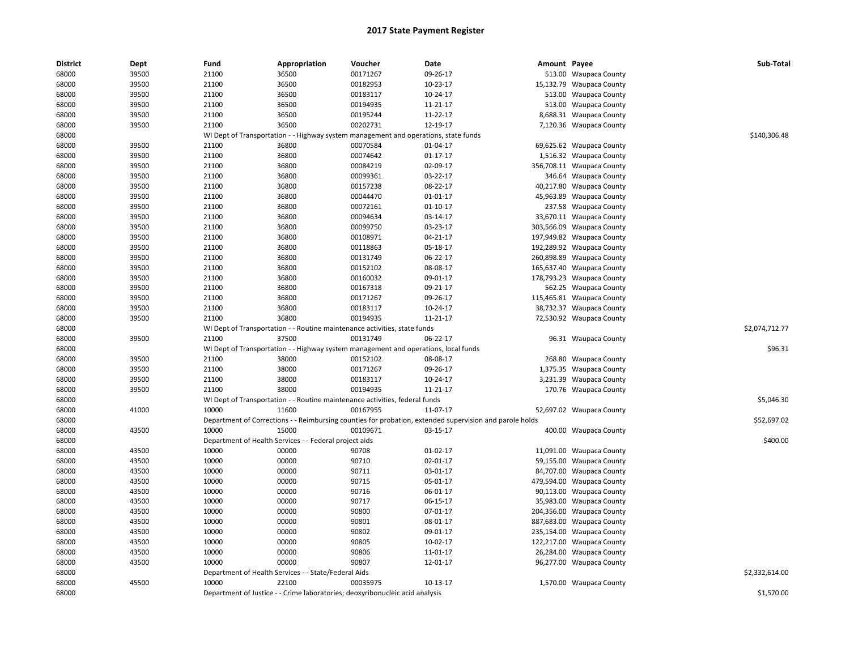| District | Dept  | Fund  | Appropriation                                          | Voucher                                                                             | <b>Date</b>                                                                                             | Amount Payee |                           | Sub-Total      |
|----------|-------|-------|--------------------------------------------------------|-------------------------------------------------------------------------------------|---------------------------------------------------------------------------------------------------------|--------------|---------------------------|----------------|
| 68000    | 39500 | 21100 | 36500                                                  | 00171267                                                                            | 09-26-17                                                                                                |              | 513.00 Waupaca County     |                |
| 68000    | 39500 | 21100 | 36500                                                  | 00182953                                                                            | 10-23-17                                                                                                |              | 15,132.79 Waupaca County  |                |
| 68000    | 39500 | 21100 | 36500                                                  | 00183117                                                                            | 10-24-17                                                                                                |              | 513.00 Waupaca County     |                |
| 68000    | 39500 | 21100 | 36500                                                  | 00194935                                                                            | 11-21-17                                                                                                |              | 513.00 Waupaca County     |                |
| 68000    | 39500 | 21100 | 36500                                                  | 00195244                                                                            | 11-22-17                                                                                                |              | 8,688.31 Waupaca County   |                |
| 68000    | 39500 | 21100 | 36500                                                  | 00202731                                                                            | 12-19-17                                                                                                |              | 7,120.36 Waupaca County   |                |
| 68000    |       |       |                                                        | WI Dept of Transportation - - Highway system management and operations, state funds |                                                                                                         |              |                           | \$140,306.48   |
| 68000    | 39500 | 21100 | 36800                                                  | 00070584                                                                            | 01-04-17                                                                                                |              | 69,625.62 Waupaca County  |                |
| 68000    | 39500 | 21100 | 36800                                                  | 00074642                                                                            | 01-17-17                                                                                                |              | 1,516.32 Waupaca County   |                |
| 68000    | 39500 | 21100 | 36800                                                  | 00084219                                                                            | 02-09-17                                                                                                |              | 356,708.11 Waupaca County |                |
| 68000    | 39500 | 21100 | 36800                                                  | 00099361                                                                            | 03-22-17                                                                                                |              | 346.64 Waupaca County     |                |
| 68000    | 39500 | 21100 | 36800                                                  | 00157238                                                                            | 08-22-17                                                                                                |              | 40,217.80 Waupaca County  |                |
| 68000    | 39500 | 21100 | 36800                                                  | 00044470                                                                            | 01-01-17                                                                                                |              | 45,963.89 Waupaca County  |                |
| 68000    | 39500 | 21100 | 36800                                                  | 00072161                                                                            | $01 - 10 - 17$                                                                                          |              | 237.58 Waupaca County     |                |
| 68000    | 39500 | 21100 | 36800                                                  | 00094634                                                                            | 03-14-17                                                                                                |              | 33,670.11 Waupaca County  |                |
| 68000    | 39500 | 21100 | 36800                                                  | 00099750                                                                            | 03-23-17                                                                                                |              | 303,566.09 Waupaca County |                |
| 68000    | 39500 | 21100 | 36800                                                  | 00108971                                                                            | $04 - 21 - 17$                                                                                          |              | 197,949.82 Waupaca County |                |
| 68000    | 39500 | 21100 | 36800                                                  | 00118863                                                                            | 05-18-17                                                                                                |              | 192,289.92 Waupaca County |                |
| 68000    | 39500 | 21100 | 36800                                                  | 00131749                                                                            | 06-22-17                                                                                                |              | 260,898.89 Waupaca County |                |
| 68000    | 39500 | 21100 | 36800                                                  | 00152102                                                                            | 08-08-17                                                                                                |              | 165,637.40 Waupaca County |                |
| 68000    | 39500 | 21100 | 36800                                                  | 00160032                                                                            | 09-01-17                                                                                                |              | 178,793.23 Waupaca County |                |
| 68000    | 39500 | 21100 | 36800                                                  | 00167318                                                                            | 09-21-17                                                                                                |              | 562.25 Waupaca County     |                |
| 68000    | 39500 | 21100 | 36800                                                  | 00171267                                                                            | 09-26-17                                                                                                |              | 115,465.81 Waupaca County |                |
| 68000    | 39500 | 21100 | 36800                                                  | 00183117                                                                            | 10-24-17                                                                                                |              | 38,732.37 Waupaca County  |                |
| 68000    | 39500 | 21100 | 36800                                                  | 00194935                                                                            | 11-21-17                                                                                                |              | 72,530.92 Waupaca County  |                |
| 68000    |       |       |                                                        | WI Dept of Transportation - - Routine maintenance activities, state funds           |                                                                                                         |              |                           | \$2,074,712.77 |
| 68000    | 39500 | 21100 | 37500                                                  | 00131749                                                                            | 06-22-17                                                                                                |              | 96.31 Waupaca County      |                |
| 68000    |       |       |                                                        | WI Dept of Transportation - - Highway system management and operations, local funds |                                                                                                         |              |                           | \$96.31        |
| 68000    | 39500 | 21100 | 38000                                                  | 00152102                                                                            | 08-08-17                                                                                                |              | 268.80 Waupaca County     |                |
| 68000    | 39500 | 21100 | 38000                                                  | 00171267                                                                            | 09-26-17                                                                                                |              | 1,375.35 Waupaca County   |                |
| 68000    | 39500 | 21100 | 38000                                                  | 00183117                                                                            | 10-24-17                                                                                                |              | 3,231.39 Waupaca County   |                |
| 68000    | 39500 | 21100 | 38000                                                  | 00194935                                                                            | 11-21-17                                                                                                |              | 170.76 Waupaca County     |                |
| 68000    |       |       |                                                        | WI Dept of Transportation - - Routine maintenance activities, federal funds         |                                                                                                         |              |                           | \$5,046.30     |
| 68000    | 41000 | 10000 | 11600                                                  | 00167955                                                                            | 11-07-17                                                                                                |              | 52,697.02 Waupaca County  |                |
| 68000    |       |       |                                                        |                                                                                     | Department of Corrections - - Reimbursing counties for probation, extended supervision and parole holds |              |                           | \$52,697.02    |
| 68000    | 43500 | 10000 | 15000                                                  | 00109671                                                                            | 03-15-17                                                                                                |              | 400.00 Waupaca County     |                |
| 68000    |       |       | Department of Health Services - - Federal project aids |                                                                                     |                                                                                                         |              |                           | \$400.00       |
| 68000    | 43500 | 10000 | 00000                                                  | 90708                                                                               | $01-02-17$                                                                                              |              | 11,091.00 Waupaca County  |                |
| 68000    | 43500 | 10000 | 00000                                                  | 90710                                                                               | 02-01-17                                                                                                |              | 59,155.00 Waupaca County  |                |
| 68000    | 43500 | 10000 | 00000                                                  | 90711                                                                               | 03-01-17                                                                                                |              | 84,707.00 Waupaca County  |                |
| 68000    | 43500 | 10000 | 00000                                                  | 90715                                                                               | 05-01-17                                                                                                |              | 479,594.00 Waupaca County |                |
| 68000    | 43500 | 10000 | 00000                                                  | 90716                                                                               | 06-01-17                                                                                                |              | 90,113.00 Waupaca County  |                |
| 68000    | 43500 | 10000 | 00000                                                  | 90717                                                                               | 06-15-17                                                                                                |              | 35,983.00 Waupaca County  |                |
| 68000    | 43500 | 10000 | 00000                                                  | 90800                                                                               | 07-01-17                                                                                                |              | 204,356.00 Waupaca County |                |
| 68000    | 43500 | 10000 | 00000                                                  | 90801                                                                               | 08-01-17                                                                                                |              | 887,683.00 Waupaca County |                |
| 68000    | 43500 | 10000 | 00000                                                  | 90802                                                                               | 09-01-17                                                                                                |              | 235,154.00 Waupaca County |                |
| 68000    | 43500 | 10000 | 00000                                                  | 90805                                                                               | 10-02-17                                                                                                |              | 122,217.00 Waupaca County |                |
| 68000    | 43500 | 10000 | 00000                                                  | 90806                                                                               | 11-01-17                                                                                                |              | 26,284.00 Waupaca County  |                |
| 68000    | 43500 | 10000 | 00000                                                  | 90807                                                                               | 12-01-17                                                                                                |              | 96,277.00 Waupaca County  |                |
| 68000    |       |       | Department of Health Services - - State/Federal Aids   |                                                                                     |                                                                                                         |              |                           | \$2,332,614.00 |
| 68000    | 45500 | 10000 | 22100                                                  | 00035975                                                                            | 10-13-17                                                                                                |              | 1,570.00 Waupaca County   |                |
| 68000    |       |       |                                                        | Department of Justice - - Crime laboratories; deoxyribonucleic acid analysis        |                                                                                                         |              |                           | \$1,570.00     |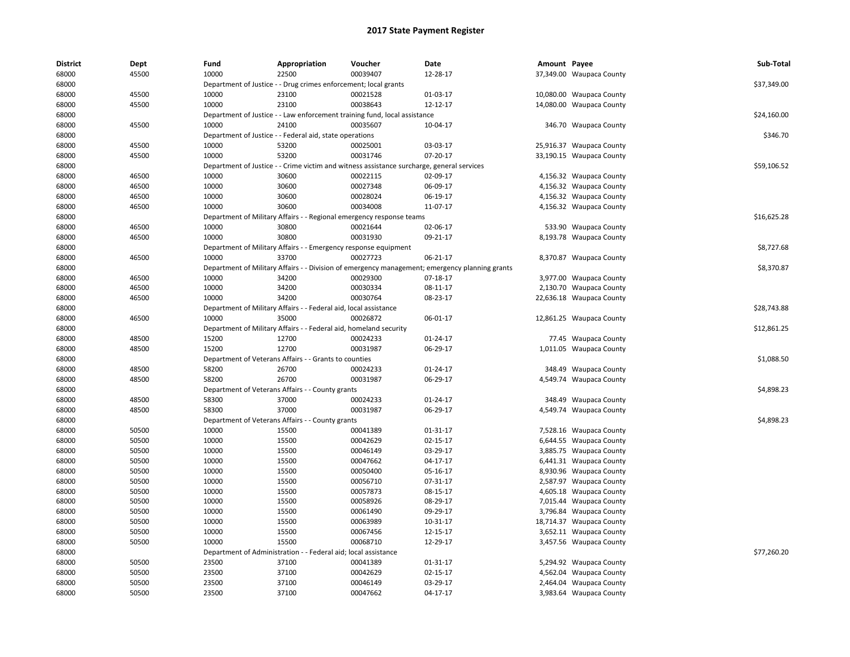| <b>District</b> | Dept  | Fund  | Appropriation                                                     | Voucher                                                                                   | Date                                                                                           | Amount Payee |                          | Sub-Total   |
|-----------------|-------|-------|-------------------------------------------------------------------|-------------------------------------------------------------------------------------------|------------------------------------------------------------------------------------------------|--------------|--------------------------|-------------|
| 68000           | 45500 | 10000 | 22500                                                             | 00039407                                                                                  | 12-28-17                                                                                       |              | 37,349.00 Waupaca County |             |
| 68000           |       |       | Department of Justice - - Drug crimes enforcement; local grants   |                                                                                           |                                                                                                |              |                          | \$37,349.00 |
| 68000           | 45500 | 10000 | 23100                                                             | 00021528                                                                                  | 01-03-17                                                                                       |              | 10,080.00 Waupaca County |             |
| 68000           | 45500 | 10000 | 23100                                                             | 00038643                                                                                  | 12-12-17                                                                                       |              | 14,080.00 Waupaca County |             |
| 68000           |       |       |                                                                   | Department of Justice - - Law enforcement training fund, local assistance                 |                                                                                                |              |                          | \$24,160.00 |
| 68000           | 45500 | 10000 | 24100                                                             | 00035607                                                                                  | 10-04-17                                                                                       |              | 346.70 Waupaca County    |             |
| 68000           |       |       | Department of Justice - - Federal aid, state operations           |                                                                                           |                                                                                                |              |                          | \$346.70    |
| 68000           | 45500 | 10000 | 53200                                                             | 00025001                                                                                  | 03-03-17                                                                                       |              | 25,916.37 Waupaca County |             |
| 68000           | 45500 | 10000 | 53200                                                             | 00031746                                                                                  | 07-20-17                                                                                       |              | 33,190.15 Waupaca County |             |
| 68000           |       |       |                                                                   | Department of Justice - - Crime victim and witness assistance surcharge, general services |                                                                                                |              |                          | \$59,106.52 |
| 68000           | 46500 | 10000 | 30600                                                             | 00022115                                                                                  | 02-09-17                                                                                       |              | 4,156.32 Waupaca County  |             |
| 68000           | 46500 | 10000 | 30600                                                             | 00027348                                                                                  | 06-09-17                                                                                       |              | 4,156.32 Waupaca County  |             |
| 68000           | 46500 | 10000 | 30600                                                             | 00028024                                                                                  | 06-19-17                                                                                       |              | 4,156.32 Waupaca County  |             |
| 68000           | 46500 | 10000 | 30600                                                             | 00034008                                                                                  | 11-07-17                                                                                       |              | 4,156.32 Waupaca County  |             |
| 68000           |       |       |                                                                   | Department of Military Affairs - - Regional emergency response teams                      |                                                                                                |              |                          | \$16,625.28 |
| 68000           | 46500 | 10000 | 30800                                                             | 00021644                                                                                  | 02-06-17                                                                                       |              | 533.90 Waupaca County    |             |
| 68000           | 46500 | 10000 | 30800                                                             | 00031930                                                                                  | 09-21-17                                                                                       |              | 8,193.78 Waupaca County  |             |
| 68000           |       |       | Department of Military Affairs - - Emergency response equipment   |                                                                                           |                                                                                                |              |                          | \$8,727.68  |
| 68000           | 46500 | 10000 | 33700                                                             | 00027723                                                                                  | 06-21-17                                                                                       |              | 8,370.87 Waupaca County  |             |
| 68000           |       |       |                                                                   |                                                                                           | Department of Military Affairs - - Division of emergency management; emergency planning grants |              |                          | \$8,370.87  |
| 68000           | 46500 | 10000 | 34200                                                             | 00029300                                                                                  | 07-18-17                                                                                       |              | 3,977.00 Waupaca County  |             |
| 68000           | 46500 | 10000 | 34200                                                             | 00030334                                                                                  | 08-11-17                                                                                       |              | 2,130.70 Waupaca County  |             |
| 68000           | 46500 | 10000 | 34200                                                             | 00030764                                                                                  | 08-23-17                                                                                       |              | 22,636.18 Waupaca County |             |
| 68000           |       |       | Department of Military Affairs - - Federal aid, local assistance  |                                                                                           |                                                                                                |              |                          | \$28,743.88 |
| 68000           | 46500 | 10000 | 35000                                                             | 00026872                                                                                  | 06-01-17                                                                                       |              | 12,861.25 Waupaca County |             |
| 68000           |       |       | Department of Military Affairs - - Federal aid, homeland security |                                                                                           |                                                                                                |              |                          | \$12,861.25 |
| 68000           | 48500 | 15200 | 12700                                                             | 00024233                                                                                  | 01-24-17                                                                                       |              | 77.45 Waupaca County     |             |
| 68000           | 48500 | 15200 | 12700                                                             | 00031987                                                                                  | 06-29-17                                                                                       |              | 1,011.05 Waupaca County  |             |
| 68000           |       |       | Department of Veterans Affairs - - Grants to counties             |                                                                                           |                                                                                                |              |                          | \$1,088.50  |
| 68000           | 48500 | 58200 | 26700                                                             | 00024233                                                                                  | 01-24-17                                                                                       |              | 348.49 Waupaca County    |             |
| 68000           | 48500 | 58200 | 26700                                                             | 00031987                                                                                  | 06-29-17                                                                                       |              | 4,549.74 Waupaca County  |             |
| 68000           |       |       | Department of Veterans Affairs - - County grants                  |                                                                                           |                                                                                                |              |                          | \$4,898.23  |
| 68000           | 48500 | 58300 | 37000                                                             | 00024233                                                                                  | 01-24-17                                                                                       |              | 348.49 Waupaca County    |             |
| 68000           | 48500 | 58300 | 37000                                                             | 00031987                                                                                  | 06-29-17                                                                                       |              | 4,549.74 Waupaca County  |             |
| 68000           |       |       | Department of Veterans Affairs - - County grants                  |                                                                                           |                                                                                                |              |                          | \$4,898.23  |
| 68000           | 50500 | 10000 | 15500                                                             | 00041389                                                                                  | 01-31-17                                                                                       |              | 7,528.16 Waupaca County  |             |
| 68000           | 50500 | 10000 | 15500                                                             | 00042629                                                                                  | 02-15-17                                                                                       |              | 6,644.55 Waupaca County  |             |
| 68000           | 50500 | 10000 | 15500                                                             | 00046149                                                                                  | 03-29-17                                                                                       |              | 3,885.75 Waupaca County  |             |
| 68000           | 50500 | 10000 | 15500                                                             | 00047662                                                                                  | 04-17-17                                                                                       |              | 6,441.31 Waupaca County  |             |
| 68000           | 50500 | 10000 | 15500                                                             | 00050400                                                                                  | 05-16-17                                                                                       |              | 8,930.96 Waupaca County  |             |
| 68000           | 50500 | 10000 | 15500                                                             | 00056710                                                                                  | 07-31-17                                                                                       |              | 2,587.97 Waupaca County  |             |
| 68000           | 50500 | 10000 | 15500                                                             | 00057873                                                                                  | 08-15-17                                                                                       |              | 4,605.18 Waupaca County  |             |
| 68000           | 50500 | 10000 | 15500                                                             | 00058926                                                                                  | 08-29-17                                                                                       |              | 7,015.44 Waupaca County  |             |
| 68000           | 50500 | 10000 | 15500                                                             | 00061490                                                                                  | 09-29-17                                                                                       |              | 3,796.84 Waupaca County  |             |
| 68000           | 50500 | 10000 | 15500                                                             | 00063989                                                                                  | 10-31-17                                                                                       |              | 18,714.37 Waupaca County |             |
| 68000           | 50500 | 10000 | 15500                                                             | 00067456                                                                                  | 12-15-17                                                                                       |              | 3,652.11 Waupaca County  |             |
| 68000           | 50500 | 10000 | 15500                                                             | 00068710                                                                                  | 12-29-17                                                                                       |              | 3,457.56 Waupaca County  |             |
| 68000           |       |       | Department of Administration - - Federal aid; local assistance    |                                                                                           |                                                                                                |              |                          | \$77,260.20 |
| 68000           | 50500 | 23500 | 37100                                                             | 00041389                                                                                  | 01-31-17                                                                                       |              | 5,294.92 Waupaca County  |             |
| 68000           | 50500 | 23500 | 37100                                                             | 00042629                                                                                  | 02-15-17                                                                                       |              | 4,562.04 Waupaca County  |             |
| 68000           | 50500 | 23500 | 37100                                                             | 00046149                                                                                  | 03-29-17                                                                                       |              | 2,464.04 Waupaca County  |             |
| 68000           | 50500 | 23500 | 37100                                                             | 00047662                                                                                  | 04-17-17                                                                                       |              | 3,983.64 Waupaca County  |             |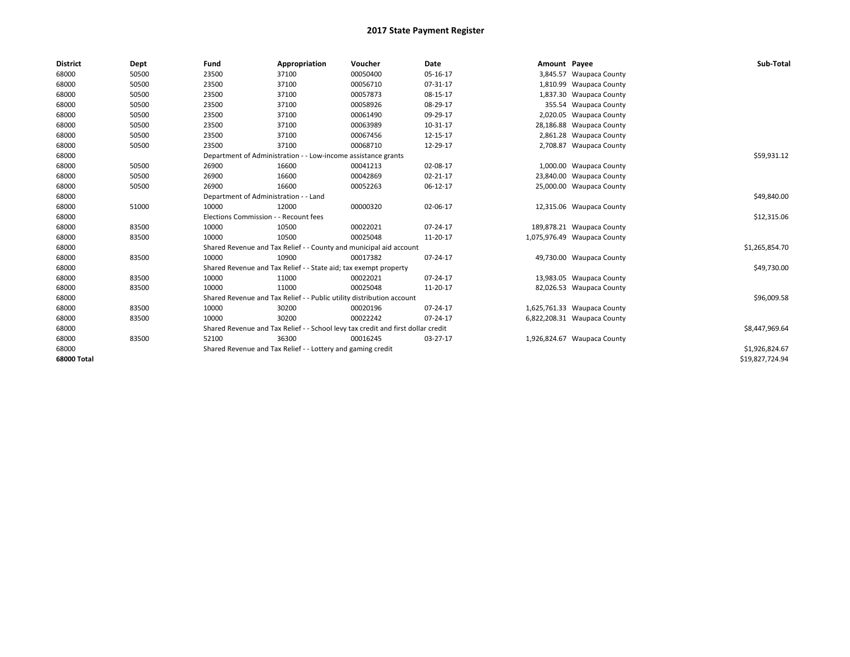| <b>District</b> | Dept  | Fund                                  | Appropriation                                                         | Voucher                                                                          | <b>Date</b>    | Amount Payee |                             | Sub-Total       |
|-----------------|-------|---------------------------------------|-----------------------------------------------------------------------|----------------------------------------------------------------------------------|----------------|--------------|-----------------------------|-----------------|
| 68000           | 50500 | 23500                                 | 37100                                                                 | 00050400                                                                         | 05-16-17       |              | 3,845.57 Waupaca County     |                 |
| 68000           | 50500 | 23500                                 | 37100                                                                 | 00056710                                                                         | 07-31-17       |              | 1,810.99 Waupaca County     |                 |
| 68000           | 50500 | 23500                                 | 37100                                                                 | 00057873                                                                         | 08-15-17       |              | 1,837.30 Waupaca County     |                 |
| 68000           | 50500 | 23500                                 | 37100                                                                 | 00058926                                                                         | 08-29-17       |              | 355.54 Waupaca County       |                 |
| 68000           | 50500 | 23500                                 | 37100                                                                 | 00061490                                                                         | 09-29-17       |              | 2,020.05 Waupaca County     |                 |
| 68000           | 50500 | 23500                                 | 37100                                                                 | 00063989                                                                         | 10-31-17       |              | 28,186.88 Waupaca County    |                 |
| 68000           | 50500 | 23500                                 | 37100                                                                 | 00067456                                                                         | 12-15-17       |              | 2,861.28 Waupaca County     |                 |
| 68000           | 50500 | 23500                                 | 37100                                                                 | 00068710                                                                         | 12-29-17       |              | 2,708.87 Waupaca County     |                 |
| 68000           |       |                                       | Department of Administration - - Low-income assistance grants         |                                                                                  |                |              |                             | \$59,931.12     |
| 68000           | 50500 | 26900                                 | 16600                                                                 | 00041213                                                                         | 02-08-17       |              | 1,000.00 Waupaca County     |                 |
| 68000           | 50500 | 26900                                 | 16600                                                                 | 00042869                                                                         | $02 - 21 - 17$ |              | 23,840.00 Waupaca County    |                 |
| 68000           | 50500 | 26900                                 | 16600                                                                 | 00052263                                                                         | 06-12-17       |              | 25,000.00 Waupaca County    |                 |
| 68000           |       | Department of Administration - - Land |                                                                       |                                                                                  |                |              |                             | \$49,840.00     |
| 68000           | 51000 | 10000                                 | 12000                                                                 | 00000320                                                                         | 02-06-17       |              | 12,315.06 Waupaca County    |                 |
| 68000           |       | Elections Commission - - Recount fees |                                                                       |                                                                                  |                |              |                             | \$12,315.06     |
| 68000           | 83500 | 10000                                 | 10500                                                                 | 00022021                                                                         | 07-24-17       |              | 189,878.21 Waupaca County   |                 |
| 68000           | 83500 | 10000                                 | 10500                                                                 | 00025048                                                                         | 11-20-17       |              | 1,075,976.49 Waupaca County |                 |
| 68000           |       |                                       |                                                                       | Shared Revenue and Tax Relief - - County and municipal aid account               |                |              |                             | \$1,265,854.70  |
| 68000           | 83500 | 10000                                 | 10900                                                                 | 00017382                                                                         | 07-24-17       |              | 49,730.00 Waupaca County    |                 |
| 68000           |       |                                       | Shared Revenue and Tax Relief - - State aid; tax exempt property      |                                                                                  |                |              |                             | \$49,730.00     |
| 68000           | 83500 | 10000                                 | 11000                                                                 | 00022021                                                                         | 07-24-17       |              | 13,983.05 Waupaca County    |                 |
| 68000           | 83500 | 10000                                 | 11000                                                                 | 00025048                                                                         | 11-20-17       |              | 82,026.53 Waupaca County    |                 |
| 68000           |       |                                       | Shared Revenue and Tax Relief - - Public utility distribution account |                                                                                  |                |              |                             | \$96,009.58     |
| 68000           | 83500 | 10000                                 | 30200                                                                 | 00020196                                                                         | 07-24-17       |              | 1,625,761.33 Waupaca County |                 |
| 68000           | 83500 | 10000                                 | 30200                                                                 | 00022242                                                                         | 07-24-17       |              | 6,822,208.31 Waupaca County |                 |
| 68000           |       |                                       |                                                                       | Shared Revenue and Tax Relief - - School levy tax credit and first dollar credit |                |              |                             | \$8,447,969.64  |
| 68000           | 83500 | 52100                                 | 36300                                                                 | 00016245                                                                         | 03-27-17       |              | 1,926,824.67 Waupaca County |                 |
| 68000           |       |                                       | Shared Revenue and Tax Relief - - Lottery and gaming credit           |                                                                                  |                |              |                             | \$1,926,824.67  |
| 68000 Total     |       |                                       |                                                                       |                                                                                  |                |              |                             | \$19,827,724.94 |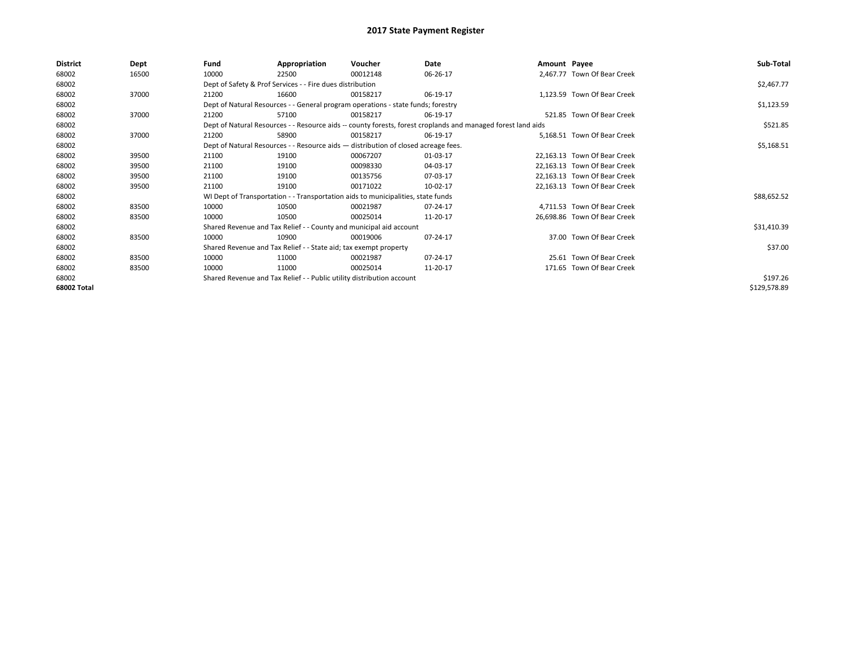| \$2,467.77<br>\$1,123.59<br>\$521.85 |
|--------------------------------------|
|                                      |
|                                      |
|                                      |
|                                      |
|                                      |
|                                      |
|                                      |
| \$5,168.51                           |
|                                      |
|                                      |
|                                      |
|                                      |
| \$88,652.52                          |
|                                      |
|                                      |
| \$31,410.39                          |
|                                      |
| \$37.00                              |
|                                      |
|                                      |
| \$197.26                             |
| \$129,578.89                         |
|                                      |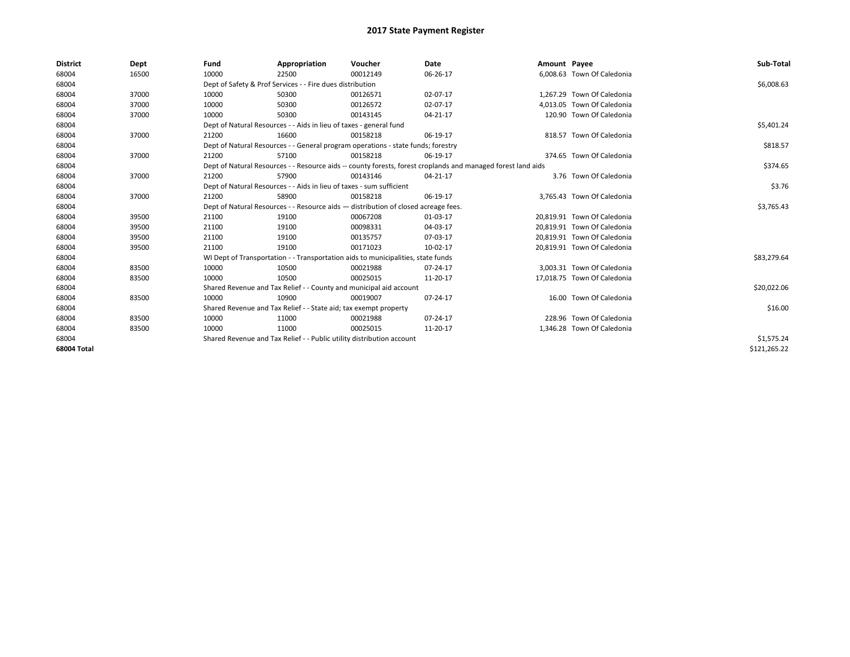| <b>District</b> | Dept  | Fund  | Appropriation                                                                      | Voucher  | Date                                                                                                         | Amount Payee |                             | Sub-Total    |
|-----------------|-------|-------|------------------------------------------------------------------------------------|----------|--------------------------------------------------------------------------------------------------------------|--------------|-----------------------------|--------------|
| 68004           | 16500 | 10000 | 22500                                                                              | 00012149 | 06-26-17                                                                                                     |              | 6,008.63 Town Of Caledonia  |              |
| 68004           |       |       | Dept of Safety & Prof Services - - Fire dues distribution                          |          |                                                                                                              |              |                             | \$6,008.63   |
| 68004           | 37000 | 10000 | 50300                                                                              | 00126571 | 02-07-17                                                                                                     |              | 1,267.29 Town Of Caledonia  |              |
| 68004           | 37000 | 10000 | 50300                                                                              | 00126572 | 02-07-17                                                                                                     |              | 4,013.05 Town Of Caledonia  |              |
| 68004           | 37000 | 10000 | 50300                                                                              | 00143145 | 04-21-17                                                                                                     |              | 120.90 Town Of Caledonia    |              |
| 68004           |       |       | Dept of Natural Resources - - Aids in lieu of taxes - general fund                 |          |                                                                                                              |              |                             | \$5,401.24   |
| 68004           | 37000 | 21200 | 16600                                                                              | 00158218 | 06-19-17                                                                                                     |              | 818.57 Town Of Caledonia    |              |
| 68004           |       |       | Dept of Natural Resources - - General program operations - state funds; forestry   |          |                                                                                                              |              |                             | \$818.57     |
| 68004           | 37000 | 21200 | 57100                                                                              | 00158218 | 06-19-17                                                                                                     |              | 374.65 Town Of Caledonia    |              |
| 68004           |       |       |                                                                                    |          | Dept of Natural Resources - - Resource aids -- county forests, forest croplands and managed forest land aids |              |                             | \$374.65     |
| 68004           | 37000 | 21200 | 57900                                                                              | 00143146 | 04-21-17                                                                                                     |              | 3.76 Town Of Caledonia      |              |
| 68004           |       |       | Dept of Natural Resources - - Aids in lieu of taxes - sum sufficient               |          |                                                                                                              |              |                             | \$3.76       |
| 68004           | 37000 | 21200 | 58900                                                                              | 00158218 | 06-19-17                                                                                                     |              | 3,765.43 Town Of Caledonia  |              |
| 68004           |       |       | Dept of Natural Resources - - Resource aids - distribution of closed acreage fees. |          |                                                                                                              |              |                             | \$3,765.43   |
| 68004           | 39500 | 21100 | 19100                                                                              | 00067208 | 01-03-17                                                                                                     |              | 20,819.91 Town Of Caledonia |              |
| 68004           | 39500 | 21100 | 19100                                                                              | 00098331 | 04-03-17                                                                                                     |              | 20,819.91 Town Of Caledonia |              |
| 68004           | 39500 | 21100 | 19100                                                                              | 00135757 | 07-03-17                                                                                                     |              | 20,819.91 Town Of Caledonia |              |
| 68004           | 39500 | 21100 | 19100                                                                              | 00171023 | 10-02-17                                                                                                     |              | 20,819.91 Town Of Caledonia |              |
| 68004           |       |       | WI Dept of Transportation - - Transportation aids to municipalities, state funds   |          |                                                                                                              |              |                             | \$83,279.64  |
| 68004           | 83500 | 10000 | 10500                                                                              | 00021988 | 07-24-17                                                                                                     |              | 3,003.31 Town Of Caledonia  |              |
| 68004           | 83500 | 10000 | 10500                                                                              | 00025015 | 11-20-17                                                                                                     |              | 17,018.75 Town Of Caledonia |              |
| 68004           |       |       | Shared Revenue and Tax Relief - - County and municipal aid account                 |          |                                                                                                              |              |                             | \$20,022.06  |
| 68004           | 83500 | 10000 | 10900                                                                              | 00019007 | 07-24-17                                                                                                     |              | 16.00 Town Of Caledonia     |              |
| 68004           |       |       | Shared Revenue and Tax Relief - - State aid; tax exempt property                   |          |                                                                                                              |              |                             | \$16.00      |
| 68004           | 83500 | 10000 | 11000                                                                              | 00021988 | 07-24-17                                                                                                     |              | 228.96 Town Of Caledonia    |              |
| 68004           | 83500 | 10000 | 11000                                                                              | 00025015 | 11-20-17                                                                                                     |              | 1,346.28 Town Of Caledonia  |              |
| 68004           |       |       | Shared Revenue and Tax Relief - - Public utility distribution account              |          |                                                                                                              |              |                             | \$1,575.24   |
| 68004 Total     |       |       |                                                                                    |          |                                                                                                              |              |                             | \$121.265.22 |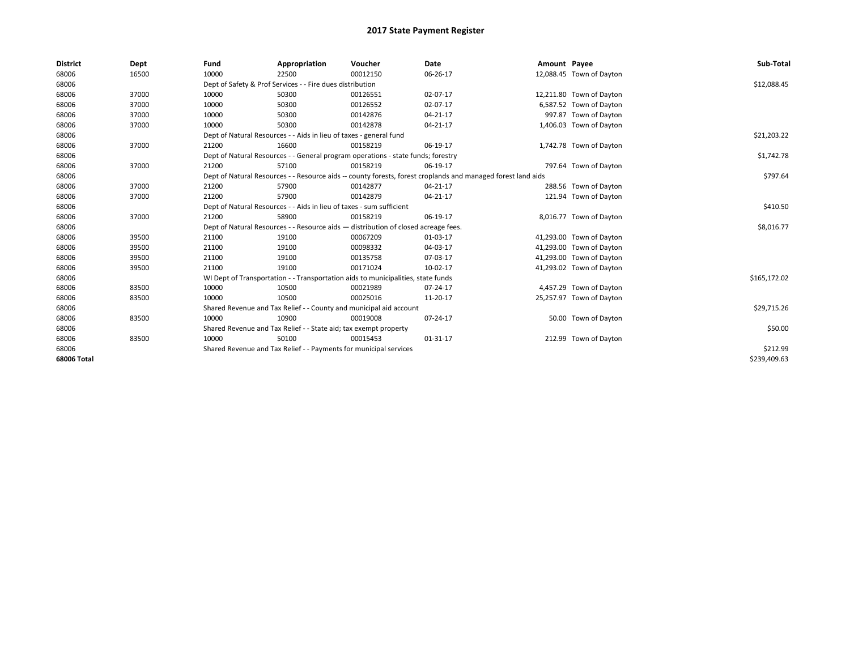| <b>District</b> | Dept  | Fund  | Appropriation                                                        | Voucher                                                                            | <b>Date</b>                                                                                                  | Amount Payee |                          | Sub-Total    |
|-----------------|-------|-------|----------------------------------------------------------------------|------------------------------------------------------------------------------------|--------------------------------------------------------------------------------------------------------------|--------------|--------------------------|--------------|
| 68006           | 16500 | 10000 | 22500                                                                | 00012150                                                                           | 06-26-17                                                                                                     |              | 12,088.45 Town of Dayton |              |
| 68006           |       |       | Dept of Safety & Prof Services - - Fire dues distribution            |                                                                                    |                                                                                                              |              |                          | \$12,088.45  |
| 68006           | 37000 | 10000 | 50300                                                                | 00126551                                                                           | 02-07-17                                                                                                     |              | 12,211.80 Town of Dayton |              |
| 68006           | 37000 | 10000 | 50300                                                                | 00126552                                                                           | 02-07-17                                                                                                     |              | 6,587.52 Town of Dayton  |              |
| 68006           | 37000 | 10000 | 50300                                                                | 00142876                                                                           | 04-21-17                                                                                                     |              | 997.87 Town of Dayton    |              |
| 68006           | 37000 | 10000 | 50300                                                                | 00142878                                                                           | 04-21-17                                                                                                     |              | 1,406.03 Town of Dayton  |              |
| 68006           |       |       | Dept of Natural Resources - - Aids in lieu of taxes - general fund   |                                                                                    |                                                                                                              |              |                          | \$21,203.22  |
| 68006           | 37000 | 21200 | 16600                                                                | 00158219                                                                           | 06-19-17                                                                                                     |              | 1,742.78 Town of Dayton  |              |
| 68006           |       |       |                                                                      | Dept of Natural Resources - - General program operations - state funds; forestry   |                                                                                                              |              |                          | \$1,742.78   |
| 68006           | 37000 | 21200 | 57100                                                                | 00158219                                                                           | 06-19-17                                                                                                     |              | 797.64 Town of Dayton    |              |
| 68006           |       |       |                                                                      |                                                                                    | Dept of Natural Resources - - Resource aids -- county forests, forest croplands and managed forest land aids |              |                          | \$797.64     |
| 68006           | 37000 | 21200 | 57900                                                                | 00142877                                                                           | 04-21-17                                                                                                     |              | 288.56 Town of Dayton    |              |
| 68006           | 37000 | 21200 | 57900                                                                | 00142879                                                                           | 04-21-17                                                                                                     |              | 121.94 Town of Dayton    |              |
| 68006           |       |       | Dept of Natural Resources - - Aids in lieu of taxes - sum sufficient |                                                                                    |                                                                                                              |              |                          | \$410.50     |
| 68006           | 37000 | 21200 | 58900                                                                | 00158219                                                                           | 06-19-17                                                                                                     |              | 8,016.77 Town of Dayton  |              |
| 68006           |       |       |                                                                      | Dept of Natural Resources - - Resource aids - distribution of closed acreage fees. |                                                                                                              |              |                          | \$8,016.77   |
| 68006           | 39500 | 21100 | 19100                                                                | 00067209                                                                           | 01-03-17                                                                                                     |              | 41,293.00 Town of Dayton |              |
| 68006           | 39500 | 21100 | 19100                                                                | 00098332                                                                           | 04-03-17                                                                                                     |              | 41,293.00 Town of Dayton |              |
| 68006           | 39500 | 21100 | 19100                                                                | 00135758                                                                           | 07-03-17                                                                                                     |              | 41,293.00 Town of Dayton |              |
| 68006           | 39500 | 21100 | 19100                                                                | 00171024                                                                           | 10-02-17                                                                                                     |              | 41,293.02 Town of Dayton |              |
| 68006           |       |       |                                                                      | WI Dept of Transportation - - Transportation aids to municipalities, state funds   |                                                                                                              |              |                          | \$165,172.02 |
| 68006           | 83500 | 10000 | 10500                                                                | 00021989                                                                           | 07-24-17                                                                                                     |              | 4,457.29 Town of Dayton  |              |
| 68006           | 83500 | 10000 | 10500                                                                | 00025016                                                                           | 11-20-17                                                                                                     |              | 25,257.97 Town of Dayton |              |
| 68006           |       |       |                                                                      | Shared Revenue and Tax Relief - - County and municipal aid account                 |                                                                                                              |              |                          | \$29,715.26  |
| 68006           | 83500 | 10000 | 10900                                                                | 00019008                                                                           | 07-24-17                                                                                                     |              | 50.00 Town of Dayton     |              |
| 68006           |       |       | Shared Revenue and Tax Relief - - State aid; tax exempt property     |                                                                                    |                                                                                                              |              |                          | \$50.00      |
| 68006           | 83500 | 10000 | 50100                                                                | 00015453                                                                           | 01-31-17                                                                                                     |              | 212.99 Town of Dayton    |              |
| 68006           |       |       | Shared Revenue and Tax Relief - - Payments for municipal services    |                                                                                    |                                                                                                              |              |                          | \$212.99     |
| 68006 Total     |       |       |                                                                      |                                                                                    |                                                                                                              |              |                          | \$239,409.63 |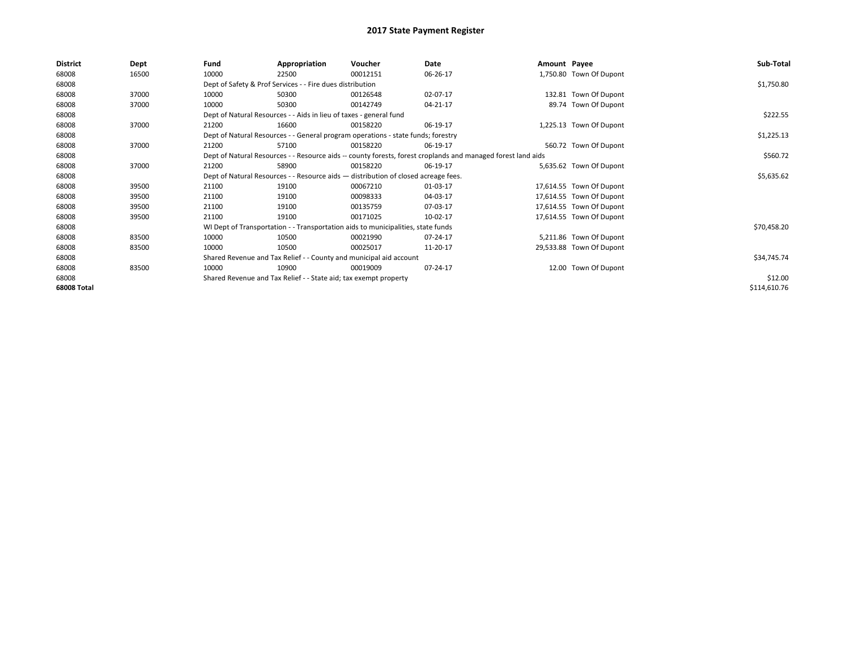| <b>District</b> | Dept  | Fund  | Appropriation                                                                                                | Voucher  | Date     | Amount Payee |                          | Sub-Total    |
|-----------------|-------|-------|--------------------------------------------------------------------------------------------------------------|----------|----------|--------------|--------------------------|--------------|
| 68008           | 16500 | 10000 | 22500                                                                                                        | 00012151 | 06-26-17 |              | 1,750.80 Town Of Dupont  |              |
| 68008           |       |       | Dept of Safety & Prof Services - - Fire dues distribution                                                    |          |          |              |                          | \$1,750.80   |
| 68008           | 37000 | 10000 | 50300                                                                                                        | 00126548 | 02-07-17 |              | 132.81 Town Of Dupont    |              |
| 68008           | 37000 | 10000 | 50300                                                                                                        | 00142749 | 04-21-17 |              | 89.74 Town Of Dupont     |              |
| 68008           |       |       | Dept of Natural Resources - - Aids in lieu of taxes - general fund                                           |          |          |              |                          | \$222.55     |
| 68008           | 37000 | 21200 | 16600                                                                                                        | 00158220 | 06-19-17 |              | 1,225.13 Town Of Dupont  |              |
| 68008           |       |       | Dept of Natural Resources - - General program operations - state funds; forestry                             |          |          |              |                          | \$1,225.13   |
| 68008           | 37000 | 21200 | 57100                                                                                                        | 00158220 | 06-19-17 |              | 560.72 Town Of Dupont    |              |
| 68008           |       |       | Dept of Natural Resources - - Resource aids -- county forests, forest croplands and managed forest land aids |          |          |              |                          | \$560.72     |
| 68008           | 37000 | 21200 | 58900                                                                                                        | 00158220 | 06-19-17 |              | 5,635.62 Town Of Dupont  |              |
| 68008           |       |       | Dept of Natural Resources - - Resource aids - distribution of closed acreage fees.                           |          |          |              |                          | \$5,635.62   |
| 68008           | 39500 | 21100 | 19100                                                                                                        | 00067210 | 01-03-17 |              | 17,614.55 Town Of Dupont |              |
| 68008           | 39500 | 21100 | 19100                                                                                                        | 00098333 | 04-03-17 |              | 17,614.55 Town Of Dupont |              |
| 68008           | 39500 | 21100 | 19100                                                                                                        | 00135759 | 07-03-17 |              | 17,614.55 Town Of Dupont |              |
| 68008           | 39500 | 21100 | 19100                                                                                                        | 00171025 | 10-02-17 |              | 17,614.55 Town Of Dupont |              |
| 68008           |       |       | WI Dept of Transportation - - Transportation aids to municipalities, state funds                             |          |          |              |                          | \$70,458.20  |
| 68008           | 83500 | 10000 | 10500                                                                                                        | 00021990 | 07-24-17 |              | 5,211.86 Town Of Dupont  |              |
| 68008           | 83500 | 10000 | 10500                                                                                                        | 00025017 | 11-20-17 |              | 29,533.88 Town Of Dupont |              |
| 68008           |       |       | Shared Revenue and Tax Relief - - County and municipal aid account                                           |          |          |              |                          | \$34,745.74  |
| 68008           | 83500 | 10000 | 10900                                                                                                        | 00019009 | 07-24-17 |              | 12.00 Town Of Dupont     |              |
| 68008           |       |       | Shared Revenue and Tax Relief - - State aid; tax exempt property                                             |          |          |              |                          | \$12.00      |
| 68008 Total     |       |       |                                                                                                              |          |          |              |                          | \$114,610.76 |
|                 |       |       |                                                                                                              |          |          |              |                          |              |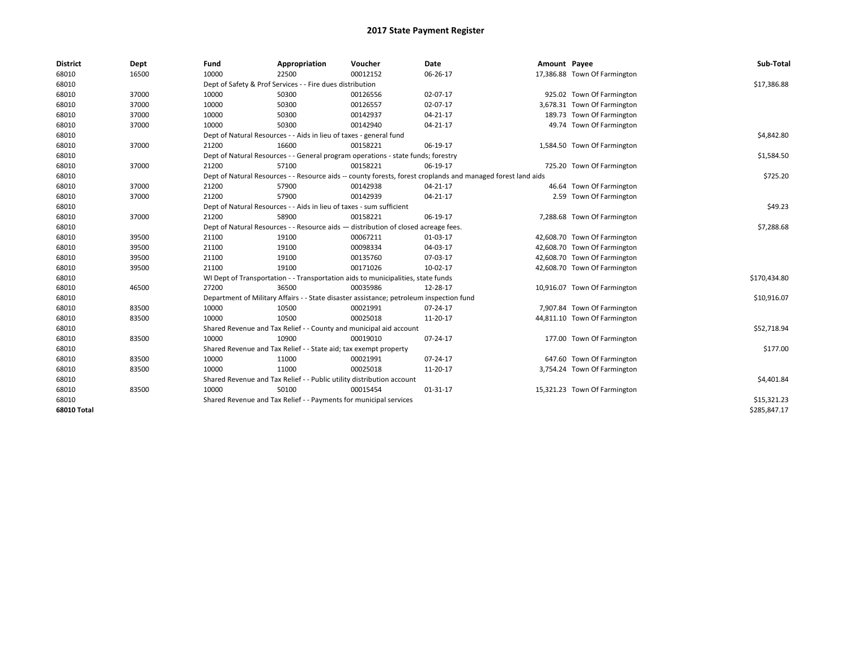| <b>District</b> | Dept  | Fund  | Appropriation                                                                           | Voucher  | Date                                                                                                         | Amount Payee |                              | Sub-Total    |
|-----------------|-------|-------|-----------------------------------------------------------------------------------------|----------|--------------------------------------------------------------------------------------------------------------|--------------|------------------------------|--------------|
| 68010           | 16500 | 10000 | 22500                                                                                   | 00012152 | 06-26-17                                                                                                     |              | 17,386.88 Town Of Farmington |              |
| 68010           |       |       | Dept of Safety & Prof Services - - Fire dues distribution                               |          |                                                                                                              |              |                              | \$17,386.88  |
| 68010           | 37000 | 10000 | 50300                                                                                   | 00126556 | 02-07-17                                                                                                     |              | 925.02 Town Of Farmington    |              |
| 68010           | 37000 | 10000 | 50300                                                                                   | 00126557 | 02-07-17                                                                                                     |              | 3,678.31 Town Of Farmington  |              |
| 68010           | 37000 | 10000 | 50300                                                                                   | 00142937 | $04 - 21 - 17$                                                                                               |              | 189.73 Town Of Farmington    |              |
| 68010           | 37000 | 10000 | 50300                                                                                   | 00142940 | 04-21-17                                                                                                     |              | 49.74 Town Of Farmington     |              |
| 68010           |       |       | Dept of Natural Resources - - Aids in lieu of taxes - general fund                      |          |                                                                                                              |              |                              | \$4,842.80   |
| 68010           | 37000 | 21200 | 16600                                                                                   | 00158221 | 06-19-17                                                                                                     |              | 1,584.50 Town Of Farmington  |              |
| 68010           |       |       | Dept of Natural Resources - - General program operations - state funds; forestry        |          |                                                                                                              |              |                              | \$1,584.50   |
| 68010           | 37000 | 21200 | 57100                                                                                   | 00158221 | 06-19-17                                                                                                     |              | 725.20 Town Of Farmington    |              |
| 68010           |       |       |                                                                                         |          | Dept of Natural Resources - - Resource aids -- county forests, forest croplands and managed forest land aids |              |                              | \$725.20     |
| 68010           | 37000 | 21200 | 57900                                                                                   | 00142938 | 04-21-17                                                                                                     |              | 46.64 Town Of Farmington     |              |
| 68010           | 37000 | 21200 | 57900                                                                                   | 00142939 | 04-21-17                                                                                                     |              | 2.59 Town Of Farmington      |              |
| 68010           |       |       | Dept of Natural Resources - - Aids in lieu of taxes - sum sufficient                    |          |                                                                                                              |              |                              | \$49.23      |
| 68010           | 37000 | 21200 | 58900                                                                                   | 00158221 | 06-19-17                                                                                                     |              | 7,288.68 Town Of Farmington  |              |
| 68010           |       |       | Dept of Natural Resources - - Resource aids - distribution of closed acreage fees.      |          |                                                                                                              |              |                              | \$7,288.68   |
| 68010           | 39500 | 21100 | 19100                                                                                   | 00067211 | 01-03-17                                                                                                     |              | 42,608.70 Town Of Farmington |              |
| 68010           | 39500 | 21100 | 19100                                                                                   | 00098334 | 04-03-17                                                                                                     |              | 42,608.70 Town Of Farmington |              |
| 68010           | 39500 | 21100 | 19100                                                                                   | 00135760 | 07-03-17                                                                                                     |              | 42,608.70 Town Of Farmington |              |
| 68010           | 39500 | 21100 | 19100                                                                                   | 00171026 | 10-02-17                                                                                                     |              | 42,608.70 Town Of Farmington |              |
| 68010           |       |       | WI Dept of Transportation - - Transportation aids to municipalities, state funds        |          |                                                                                                              |              |                              | \$170,434.80 |
| 68010           | 46500 | 27200 | 36500                                                                                   | 00035986 | 12-28-17                                                                                                     |              | 10,916.07 Town Of Farmington |              |
| 68010           |       |       | Department of Military Affairs - - State disaster assistance; petroleum inspection fund |          |                                                                                                              |              |                              | \$10,916.07  |
| 68010           | 83500 | 10000 | 10500                                                                                   | 00021991 | 07-24-17                                                                                                     |              | 7,907.84 Town Of Farmington  |              |
| 68010           | 83500 | 10000 | 10500                                                                                   | 00025018 | 11-20-17                                                                                                     |              | 44,811.10 Town Of Farmington |              |
| 68010           |       |       | Shared Revenue and Tax Relief - - County and municipal aid account                      |          |                                                                                                              |              |                              | \$52,718.94  |
| 68010           | 83500 | 10000 | 10900                                                                                   | 00019010 | 07-24-17                                                                                                     |              | 177.00 Town Of Farmington    |              |
| 68010           |       |       | Shared Revenue and Tax Relief - - State aid; tax exempt property                        |          |                                                                                                              |              |                              | \$177.00     |
| 68010           | 83500 | 10000 | 11000                                                                                   | 00021991 | 07-24-17                                                                                                     |              | 647.60 Town Of Farmington    |              |
| 68010           | 83500 | 10000 | 11000                                                                                   | 00025018 | 11-20-17                                                                                                     |              | 3,754.24 Town Of Farmington  |              |
| 68010           |       |       | Shared Revenue and Tax Relief - - Public utility distribution account                   |          |                                                                                                              |              |                              | \$4,401.84   |
| 68010           | 83500 | 10000 | 50100                                                                                   | 00015454 | $01 - 31 - 17$                                                                                               |              | 15,321.23 Town Of Farmington |              |
| 68010           |       |       | Shared Revenue and Tax Relief - - Payments for municipal services                       |          |                                                                                                              |              |                              | \$15,321.23  |
| 68010 Total     |       |       |                                                                                         |          |                                                                                                              |              |                              | \$285,847.17 |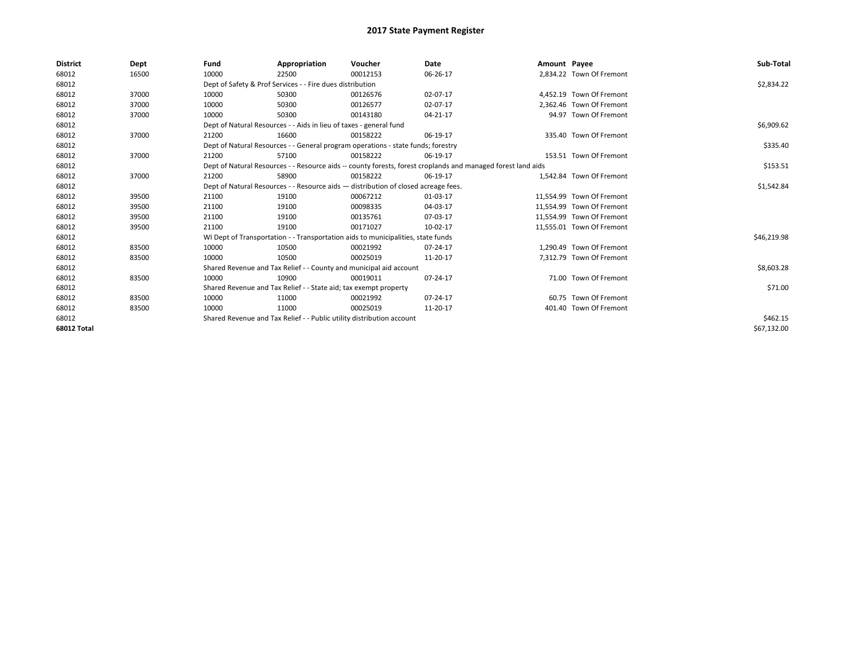| <b>District</b>    | Dept  | Fund  | Appropriation                                                                      | Voucher  | Date                                                                                                         | Amount Payee |                           | Sub-Total   |
|--------------------|-------|-------|------------------------------------------------------------------------------------|----------|--------------------------------------------------------------------------------------------------------------|--------------|---------------------------|-------------|
| 68012              | 16500 | 10000 | 22500                                                                              | 00012153 | 06-26-17                                                                                                     |              | 2,834.22 Town Of Fremont  |             |
| 68012              |       |       | Dept of Safety & Prof Services - - Fire dues distribution                          |          |                                                                                                              |              |                           | \$2,834.22  |
| 68012              | 37000 | 10000 | 50300                                                                              | 00126576 | 02-07-17                                                                                                     |              | 4.452.19 Town Of Fremont  |             |
| 68012              | 37000 | 10000 | 50300                                                                              | 00126577 | 02-07-17                                                                                                     |              | 2.362.46 Town Of Fremont  |             |
| 68012              | 37000 | 10000 | 50300                                                                              | 00143180 | 04-21-17                                                                                                     |              | 94.97 Town Of Fremont     |             |
| 68012              |       |       | Dept of Natural Resources - - Aids in lieu of taxes - general fund                 |          |                                                                                                              |              |                           | \$6,909.62  |
| 68012              | 37000 | 21200 | 16600                                                                              | 00158222 | 06-19-17                                                                                                     |              | 335.40 Town Of Fremont    |             |
| 68012              |       |       | Dept of Natural Resources - - General program operations - state funds; forestry   |          |                                                                                                              |              |                           | \$335.40    |
| 68012              | 37000 | 21200 | 57100                                                                              | 00158222 | 06-19-17                                                                                                     |              | 153.51 Town Of Fremont    |             |
| 68012              |       |       |                                                                                    |          | Dept of Natural Resources - - Resource aids -- county forests, forest croplands and managed forest land aids |              |                           | \$153.51    |
| 68012              | 37000 | 21200 | 58900                                                                              | 00158222 | 06-19-17                                                                                                     |              | 1.542.84 Town Of Fremont  |             |
| 68012              |       |       | Dept of Natural Resources - - Resource aids - distribution of closed acreage fees. |          |                                                                                                              |              |                           | \$1,542.84  |
| 68012              | 39500 | 21100 | 19100                                                                              | 00067212 | 01-03-17                                                                                                     |              | 11.554.99 Town Of Fremont |             |
| 68012              | 39500 | 21100 | 19100                                                                              | 00098335 | 04-03-17                                                                                                     |              | 11.554.99 Town Of Fremont |             |
| 68012              | 39500 | 21100 | 19100                                                                              | 00135761 | 07-03-17                                                                                                     |              | 11.554.99 Town Of Fremont |             |
| 68012              | 39500 | 21100 | 19100                                                                              | 00171027 | 10-02-17                                                                                                     |              | 11,555.01 Town Of Fremont |             |
| 68012              |       |       | WI Dept of Transportation - - Transportation aids to municipalities, state funds   |          |                                                                                                              |              |                           | \$46,219.98 |
| 68012              | 83500 | 10000 | 10500                                                                              | 00021992 | 07-24-17                                                                                                     |              | 1.290.49 Town Of Fremont  |             |
| 68012              | 83500 | 10000 | 10500                                                                              | 00025019 | 11-20-17                                                                                                     |              | 7.312.79 Town Of Fremont  |             |
| 68012              |       |       | Shared Revenue and Tax Relief - - County and municipal aid account                 |          |                                                                                                              |              |                           | \$8,603.28  |
| 68012              | 83500 | 10000 | 10900                                                                              | 00019011 | 07-24-17                                                                                                     |              | 71.00 Town Of Fremont     |             |
| 68012              |       |       | Shared Revenue and Tax Relief - - State aid; tax exempt property                   |          |                                                                                                              |              |                           | \$71.00     |
| 68012              | 83500 | 10000 | 11000                                                                              | 00021992 | 07-24-17                                                                                                     |              | 60.75 Town Of Fremont     |             |
| 68012              | 83500 | 10000 | 11000                                                                              | 00025019 | 11-20-17                                                                                                     |              | 401.40 Town Of Fremont    |             |
| 68012              |       |       | Shared Revenue and Tax Relief - - Public utility distribution account              |          |                                                                                                              |              |                           | \$462.15    |
| <b>68012 Total</b> |       |       |                                                                                    |          |                                                                                                              |              |                           | \$67,132.00 |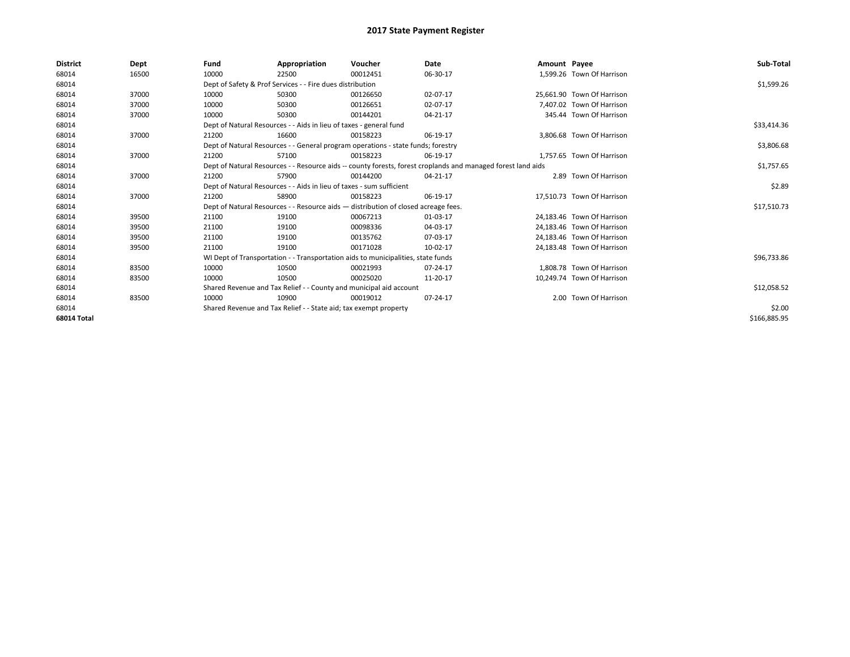| <b>District</b> | Dept  | Fund  | Appropriation                                                                      | Voucher  | Date                                                                                                         | Amount Payee |                            | Sub-Total    |
|-----------------|-------|-------|------------------------------------------------------------------------------------|----------|--------------------------------------------------------------------------------------------------------------|--------------|----------------------------|--------------|
| 68014           | 16500 | 10000 | 22500                                                                              | 00012451 | 06-30-17                                                                                                     |              | 1,599.26 Town Of Harrison  |              |
| 68014           |       |       | Dept of Safety & Prof Services - - Fire dues distribution                          |          |                                                                                                              |              |                            | \$1,599.26   |
| 68014           | 37000 | 10000 | 50300                                                                              | 00126650 | 02-07-17                                                                                                     |              | 25.661.90 Town Of Harrison |              |
| 68014           | 37000 | 10000 | 50300                                                                              | 00126651 | 02-07-17                                                                                                     |              | 7.407.02 Town Of Harrison  |              |
| 68014           | 37000 | 10000 | 50300                                                                              | 00144201 | 04-21-17                                                                                                     |              | 345.44 Town Of Harrison    |              |
| 68014           |       |       | Dept of Natural Resources - - Aids in lieu of taxes - general fund                 |          |                                                                                                              |              |                            | \$33,414.36  |
| 68014           | 37000 | 21200 | 16600                                                                              | 00158223 | 06-19-17                                                                                                     |              | 3.806.68 Town Of Harrison  |              |
| 68014           |       |       | Dept of Natural Resources - - General program operations - state funds; forestry   |          |                                                                                                              |              |                            | \$3,806.68   |
| 68014           | 37000 | 21200 | 57100                                                                              | 00158223 | 06-19-17                                                                                                     |              | 1,757.65 Town Of Harrison  |              |
| 68014           |       |       |                                                                                    |          | Dept of Natural Resources - - Resource aids -- county forests, forest croplands and managed forest land aids |              |                            | \$1,757.65   |
| 68014           | 37000 | 21200 | 57900                                                                              | 00144200 | 04-21-17                                                                                                     |              | 2.89 Town Of Harrison      |              |
| 68014           |       |       | Dept of Natural Resources - - Aids in lieu of taxes - sum sufficient               |          |                                                                                                              |              |                            | \$2.89       |
| 68014           | 37000 | 21200 | 58900                                                                              | 00158223 | 06-19-17                                                                                                     |              | 17,510.73 Town Of Harrison |              |
| 68014           |       |       | Dept of Natural Resources - - Resource aids - distribution of closed acreage fees. |          |                                                                                                              |              |                            | \$17,510.73  |
| 68014           | 39500 | 21100 | 19100                                                                              | 00067213 | 01-03-17                                                                                                     |              | 24,183.46 Town Of Harrison |              |
| 68014           | 39500 | 21100 | 19100                                                                              | 00098336 | 04-03-17                                                                                                     |              | 24,183.46 Town Of Harrison |              |
| 68014           | 39500 | 21100 | 19100                                                                              | 00135762 | 07-03-17                                                                                                     |              | 24,183.46 Town Of Harrison |              |
| 68014           | 39500 | 21100 | 19100                                                                              | 00171028 | 10-02-17                                                                                                     |              | 24,183.48 Town Of Harrison |              |
| 68014           |       |       | WI Dept of Transportation - - Transportation aids to municipalities, state funds   |          |                                                                                                              |              |                            | \$96,733.86  |
| 68014           | 83500 | 10000 | 10500                                                                              | 00021993 | 07-24-17                                                                                                     |              | 1.808.78 Town Of Harrison  |              |
| 68014           | 83500 | 10000 | 10500                                                                              | 00025020 | 11-20-17                                                                                                     |              | 10.249.74 Town Of Harrison |              |
| 68014           |       |       | Shared Revenue and Tax Relief - - County and municipal aid account                 |          |                                                                                                              |              |                            | \$12,058.52  |
| 68014           | 83500 | 10000 | 10900                                                                              | 00019012 | 07-24-17                                                                                                     |              | 2.00 Town Of Harrison      |              |
| 68014           |       |       | Shared Revenue and Tax Relief - - State aid; tax exempt property                   |          |                                                                                                              |              |                            | \$2.00       |
| 68014 Total     |       |       |                                                                                    |          |                                                                                                              |              |                            | \$166,885.95 |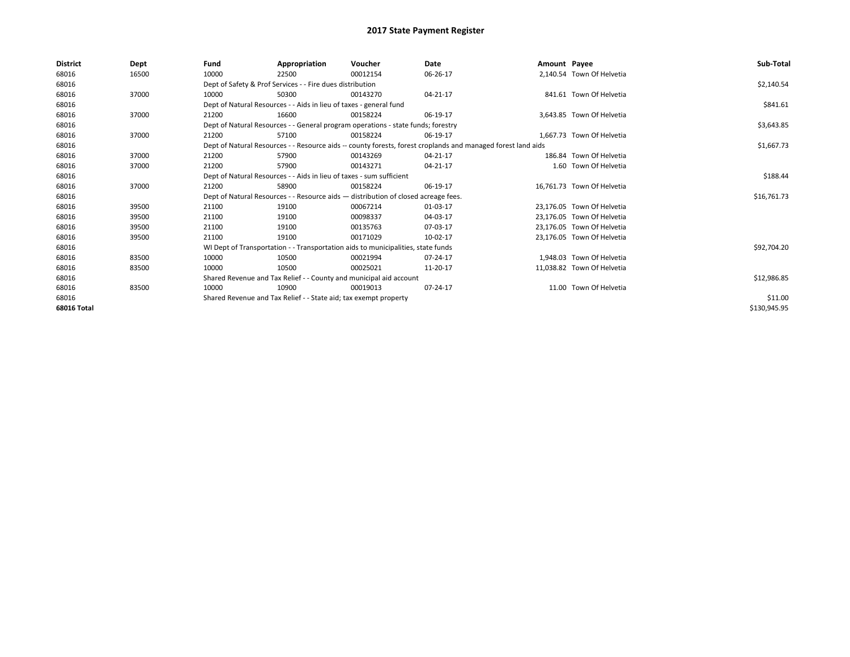| <b>District</b>    | Dept  | Fund  | Appropriation                                                        | Voucher                                                                            | Date                                                                                                         | Amount Payee |                            | Sub-Total    |
|--------------------|-------|-------|----------------------------------------------------------------------|------------------------------------------------------------------------------------|--------------------------------------------------------------------------------------------------------------|--------------|----------------------------|--------------|
| 68016              | 16500 | 10000 | 22500                                                                | 00012154                                                                           | 06-26-17                                                                                                     |              | 2,140.54 Town Of Helvetia  |              |
| 68016              |       |       | Dept of Safety & Prof Services - - Fire dues distribution            |                                                                                    |                                                                                                              |              |                            | \$2,140.54   |
| 68016              | 37000 | 10000 | 50300                                                                | 00143270                                                                           | 04-21-17                                                                                                     |              | 841.61 Town Of Helvetia    |              |
| 68016              |       |       | Dept of Natural Resources - - Aids in lieu of taxes - general fund   |                                                                                    |                                                                                                              |              |                            | \$841.61     |
| 68016              | 37000 | 21200 | 16600                                                                | 00158224                                                                           | 06-19-17                                                                                                     |              | 3,643.85 Town Of Helvetia  |              |
| 68016              |       |       |                                                                      | Dept of Natural Resources - - General program operations - state funds; forestry   |                                                                                                              |              |                            | \$3,643.85   |
| 68016              | 37000 | 21200 | 57100                                                                | 00158224                                                                           | 06-19-17                                                                                                     |              | 1.667.73 Town Of Helvetia  |              |
| 68016              |       |       |                                                                      |                                                                                    | Dept of Natural Resources - - Resource aids -- county forests, forest croplands and managed forest land aids |              |                            | \$1,667.73   |
| 68016              | 37000 | 21200 | 57900                                                                | 00143269                                                                           | 04-21-17                                                                                                     |              | 186.84 Town Of Helvetia    |              |
| 68016              | 37000 | 21200 | 57900                                                                | 00143271                                                                           | 04-21-17                                                                                                     |              | 1.60 Town Of Helvetia      |              |
| 68016              |       |       | Dept of Natural Resources - - Aids in lieu of taxes - sum sufficient |                                                                                    |                                                                                                              |              |                            | \$188.44     |
| 68016              | 37000 | 21200 | 58900                                                                | 00158224                                                                           | 06-19-17                                                                                                     |              | 16.761.73 Town Of Helvetia |              |
| 68016              |       |       |                                                                      | Dept of Natural Resources - - Resource aids - distribution of closed acreage fees. |                                                                                                              |              |                            | \$16,761.73  |
| 68016              | 39500 | 21100 | 19100                                                                | 00067214                                                                           | 01-03-17                                                                                                     |              | 23.176.05 Town Of Helvetia |              |
| 68016              | 39500 | 21100 | 19100                                                                | 00098337                                                                           | 04-03-17                                                                                                     |              | 23,176.05 Town Of Helvetia |              |
| 68016              | 39500 | 21100 | 19100                                                                | 00135763                                                                           | 07-03-17                                                                                                     |              | 23.176.05 Town Of Helvetia |              |
| 68016              | 39500 | 21100 | 19100                                                                | 00171029                                                                           | 10-02-17                                                                                                     |              | 23,176.05 Town Of Helvetia |              |
| 68016              |       |       |                                                                      | WI Dept of Transportation - - Transportation aids to municipalities, state funds   |                                                                                                              |              |                            | \$92,704.20  |
| 68016              | 83500 | 10000 | 10500                                                                | 00021994                                                                           | 07-24-17                                                                                                     |              | 1.948.03 Town Of Helvetia  |              |
| 68016              | 83500 | 10000 | 10500                                                                | 00025021                                                                           | 11-20-17                                                                                                     |              | 11.038.82 Town Of Helvetia |              |
| 68016              |       |       |                                                                      | Shared Revenue and Tax Relief - - County and municipal aid account                 |                                                                                                              |              |                            | \$12,986.85  |
| 68016              | 83500 | 10000 | 10900                                                                | 00019013                                                                           | 07-24-17                                                                                                     |              | 11.00 Town Of Helvetia     |              |
| 68016              |       |       | Shared Revenue and Tax Relief - - State aid; tax exempt property     |                                                                                    |                                                                                                              |              |                            | \$11.00      |
| <b>68016 Total</b> |       |       |                                                                      |                                                                                    |                                                                                                              |              |                            | \$130,945.95 |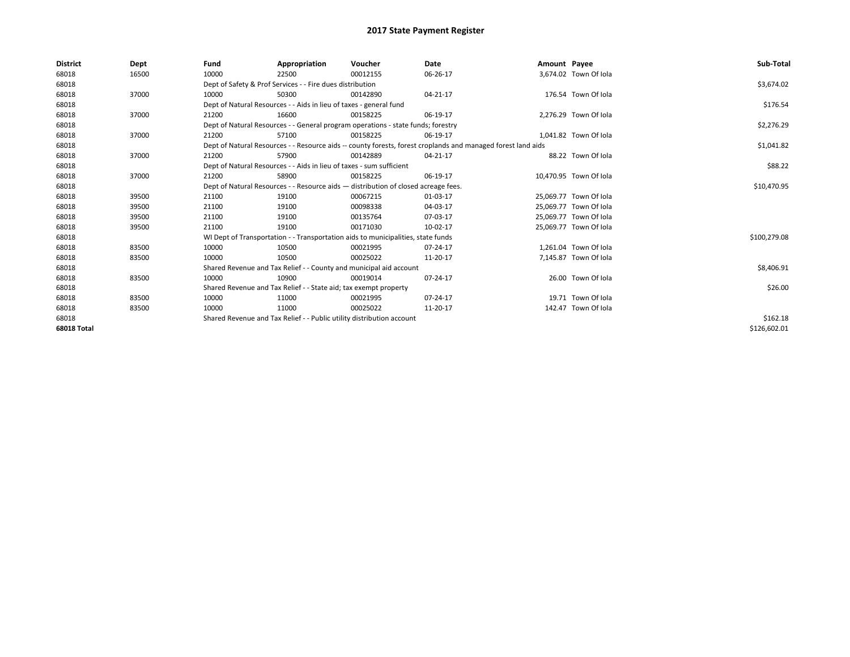| <b>District</b>    | Dept  | Fund  | Appropriation                                                                      | Voucher  | Date                                                                                                         | Amount Payee |                        | Sub-Total    |
|--------------------|-------|-------|------------------------------------------------------------------------------------|----------|--------------------------------------------------------------------------------------------------------------|--------------|------------------------|--------------|
| 68018              | 16500 | 10000 | 22500                                                                              | 00012155 | 06-26-17                                                                                                     |              | 3,674.02 Town Of Iola  |              |
| 68018              |       |       | Dept of Safety & Prof Services - - Fire dues distribution                          |          |                                                                                                              |              |                        | \$3,674.02   |
| 68018              | 37000 | 10000 | 50300                                                                              | 00142890 | 04-21-17                                                                                                     |              | 176.54 Town Of Iola    |              |
| 68018              |       |       | Dept of Natural Resources - - Aids in lieu of taxes - general fund                 |          |                                                                                                              |              |                        | \$176.54     |
| 68018              | 37000 | 21200 | 16600                                                                              | 00158225 | 06-19-17                                                                                                     |              | 2,276.29 Town Of Iola  |              |
| 68018              |       |       | Dept of Natural Resources - - General program operations - state funds; forestry   |          |                                                                                                              |              |                        | \$2,276.29   |
| 68018              | 37000 | 21200 | 57100                                                                              | 00158225 | 06-19-17                                                                                                     |              | 1,041.82 Town Of Iola  |              |
| 68018              |       |       |                                                                                    |          | Dept of Natural Resources - - Resource aids -- county forests, forest croplands and managed forest land aids |              |                        | \$1,041.82   |
| 68018              | 37000 | 21200 | 57900                                                                              | 00142889 | 04-21-17                                                                                                     |              | 88.22 Town Of Iola     |              |
| 68018              |       |       | Dept of Natural Resources - - Aids in lieu of taxes - sum sufficient               |          |                                                                                                              |              |                        | \$88.22      |
| 68018              | 37000 | 21200 | 58900                                                                              | 00158225 | 06-19-17                                                                                                     |              | 10,470.95 Town Of Iola |              |
| 68018              |       |       | Dept of Natural Resources - - Resource aids - distribution of closed acreage fees. |          |                                                                                                              |              |                        | \$10,470.95  |
| 68018              | 39500 | 21100 | 19100                                                                              | 00067215 | 01-03-17                                                                                                     |              | 25,069.77 Town Of Iola |              |
| 68018              | 39500 | 21100 | 19100                                                                              | 00098338 | 04-03-17                                                                                                     |              | 25.069.77 Town Of Iola |              |
| 68018              | 39500 | 21100 | 19100                                                                              | 00135764 | 07-03-17                                                                                                     |              | 25,069.77 Town Of Iola |              |
| 68018              | 39500 | 21100 | 19100                                                                              | 00171030 | 10-02-17                                                                                                     |              | 25,069.77 Town Of Iola |              |
| 68018              |       |       | WI Dept of Transportation - - Transportation aids to municipalities, state funds   |          |                                                                                                              |              |                        | \$100,279.08 |
| 68018              | 83500 | 10000 | 10500                                                                              | 00021995 | 07-24-17                                                                                                     |              | 1,261.04 Town Of Iola  |              |
| 68018              | 83500 | 10000 | 10500                                                                              | 00025022 | 11-20-17                                                                                                     |              | 7,145.87 Town Of Iola  |              |
| 68018              |       |       | Shared Revenue and Tax Relief - - County and municipal aid account                 |          |                                                                                                              |              |                        | \$8,406.91   |
| 68018              | 83500 | 10000 | 10900                                                                              | 00019014 | 07-24-17                                                                                                     |              | 26.00 Town Of Iola     |              |
| 68018              |       |       | Shared Revenue and Tax Relief - - State aid; tax exempt property                   |          |                                                                                                              |              |                        | \$26.00      |
| 68018              | 83500 | 10000 | 11000                                                                              | 00021995 | 07-24-17                                                                                                     |              | 19.71 Town Of Iola     |              |
| 68018              | 83500 | 10000 | 11000                                                                              | 00025022 | 11-20-17                                                                                                     |              | 142.47 Town Of Iola    |              |
| 68018              |       |       | Shared Revenue and Tax Relief - - Public utility distribution account              |          |                                                                                                              |              |                        | \$162.18     |
| <b>68018 Total</b> |       |       |                                                                                    |          |                                                                                                              |              |                        | \$126,602.01 |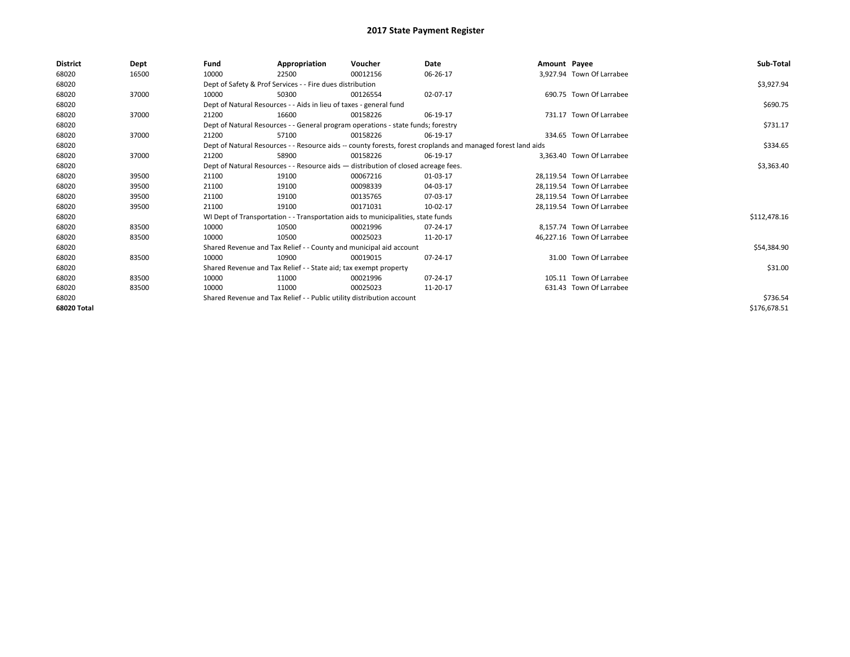| District    | Dept  | Fund  | Appropriation                                                         | Voucher                                                                            | Date                                                                                                         | Amount Payee |                            | Sub-Total    |
|-------------|-------|-------|-----------------------------------------------------------------------|------------------------------------------------------------------------------------|--------------------------------------------------------------------------------------------------------------|--------------|----------------------------|--------------|
| 68020       | 16500 | 10000 | 22500                                                                 | 00012156                                                                           | 06-26-17                                                                                                     |              | 3,927.94 Town Of Larrabee  |              |
| 68020       |       |       | Dept of Safety & Prof Services - - Fire dues distribution             |                                                                                    |                                                                                                              |              |                            | \$3,927.94   |
| 68020       | 37000 | 10000 | 50300                                                                 | 00126554                                                                           | 02-07-17                                                                                                     |              | 690.75 Town Of Larrabee    |              |
| 68020       |       |       | Dept of Natural Resources - - Aids in lieu of taxes - general fund    |                                                                                    |                                                                                                              |              |                            | \$690.75     |
| 68020       | 37000 | 21200 | 16600                                                                 | 00158226                                                                           | 06-19-17                                                                                                     |              | 731.17 Town Of Larrabee    |              |
| 68020       |       |       |                                                                       | Dept of Natural Resources - - General program operations - state funds; forestry   |                                                                                                              |              |                            | \$731.17     |
| 68020       | 37000 | 21200 | 57100                                                                 | 00158226                                                                           | 06-19-17                                                                                                     |              | 334.65 Town Of Larrabee    |              |
| 68020       |       |       |                                                                       |                                                                                    | Dept of Natural Resources - - Resource aids -- county forests, forest croplands and managed forest land aids |              |                            | \$334.65     |
| 68020       | 37000 | 21200 | 58900                                                                 | 00158226                                                                           | 06-19-17                                                                                                     |              | 3.363.40 Town Of Larrabee  |              |
| 68020       |       |       |                                                                       | Dept of Natural Resources - - Resource aids - distribution of closed acreage fees. |                                                                                                              |              |                            | \$3,363.40   |
| 68020       | 39500 | 21100 | 19100                                                                 | 00067216                                                                           | 01-03-17                                                                                                     |              | 28.119.54 Town Of Larrabee |              |
| 68020       | 39500 | 21100 | 19100                                                                 | 00098339                                                                           | 04-03-17                                                                                                     |              | 28,119.54 Town Of Larrabee |              |
| 68020       | 39500 | 21100 | 19100                                                                 | 00135765                                                                           | 07-03-17                                                                                                     |              | 28.119.54 Town Of Larrabee |              |
| 68020       | 39500 | 21100 | 19100                                                                 | 00171031                                                                           | 10-02-17                                                                                                     |              | 28,119.54 Town Of Larrabee |              |
| 68020       |       |       |                                                                       | WI Dept of Transportation - - Transportation aids to municipalities, state funds   |                                                                                                              |              |                            | \$112,478.16 |
| 68020       | 83500 | 10000 | 10500                                                                 | 00021996                                                                           | 07-24-17                                                                                                     |              | 8.157.74 Town Of Larrabee  |              |
| 68020       | 83500 | 10000 | 10500                                                                 | 00025023                                                                           | 11-20-17                                                                                                     |              | 46,227.16 Town Of Larrabee |              |
| 68020       |       |       | Shared Revenue and Tax Relief - - County and municipal aid account    |                                                                                    |                                                                                                              |              |                            | \$54,384.90  |
| 68020       | 83500 | 10000 | 10900                                                                 | 00019015                                                                           | 07-24-17                                                                                                     |              | 31.00 Town Of Larrabee     |              |
| 68020       |       |       | Shared Revenue and Tax Relief - - State aid; tax exempt property      |                                                                                    |                                                                                                              |              |                            | \$31.00      |
| 68020       | 83500 | 10000 | 11000                                                                 | 00021996                                                                           | 07-24-17                                                                                                     |              | 105.11 Town Of Larrabee    |              |
| 68020       | 83500 | 10000 | 11000                                                                 | 00025023                                                                           | 11-20-17                                                                                                     |              | 631.43 Town Of Larrabee    |              |
| 68020       |       |       | Shared Revenue and Tax Relief - - Public utility distribution account |                                                                                    |                                                                                                              |              |                            | \$736.54     |
| 68020 Total |       |       |                                                                       |                                                                                    |                                                                                                              |              |                            | \$176,678.51 |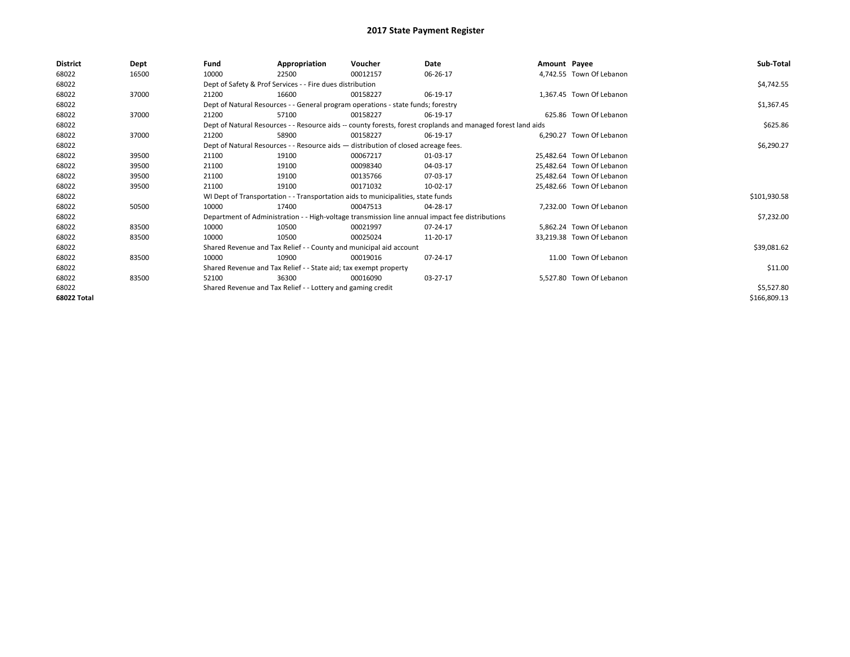| <b>District</b>    | Dept  | Fund  | Appropriation                                                                      | Voucher  | Date                                                                                                         | Amount Payee |                           | Sub-Total    |
|--------------------|-------|-------|------------------------------------------------------------------------------------|----------|--------------------------------------------------------------------------------------------------------------|--------------|---------------------------|--------------|
| 68022              | 16500 | 10000 | 22500                                                                              | 00012157 | 06-26-17                                                                                                     |              | 4.742.55 Town Of Lebanon  |              |
| 68022              |       |       | Dept of Safety & Prof Services - - Fire dues distribution                          |          |                                                                                                              |              |                           | \$4,742.55   |
| 68022              | 37000 | 21200 | 16600                                                                              | 00158227 | 06-19-17                                                                                                     |              | 1,367.45 Town Of Lebanon  |              |
| 68022              |       |       | Dept of Natural Resources - - General program operations - state funds; forestry   |          |                                                                                                              |              |                           | \$1,367.45   |
| 68022              | 37000 | 21200 | 57100                                                                              | 00158227 | 06-19-17                                                                                                     |              | 625.86 Town Of Lebanon    |              |
| 68022              |       |       |                                                                                    |          | Dept of Natural Resources - - Resource aids -- county forests, forest croplands and managed forest land aids |              |                           | \$625.86     |
| 68022              | 37000 | 21200 | 58900                                                                              | 00158227 | 06-19-17                                                                                                     |              | 6,290.27 Town Of Lebanon  |              |
| 68022              |       |       | Dept of Natural Resources - - Resource aids - distribution of closed acreage fees. |          |                                                                                                              |              |                           | \$6,290.27   |
| 68022              | 39500 | 21100 | 19100                                                                              | 00067217 | 01-03-17                                                                                                     |              | 25.482.64 Town Of Lebanon |              |
| 68022              | 39500 | 21100 | 19100                                                                              | 00098340 | 04-03-17                                                                                                     |              | 25.482.64 Town Of Lebanon |              |
| 68022              | 39500 | 21100 | 19100                                                                              | 00135766 | 07-03-17                                                                                                     |              | 25.482.64 Town Of Lebanon |              |
| 68022              | 39500 | 21100 | 19100                                                                              | 00171032 | 10-02-17                                                                                                     |              | 25,482.66 Town Of Lebanon |              |
| 68022              |       |       | WI Dept of Transportation - - Transportation aids to municipalities, state funds   |          |                                                                                                              |              |                           | \$101,930.58 |
| 68022              | 50500 | 10000 | 17400                                                                              | 00047513 | 04-28-17                                                                                                     |              | 7.232.00 Town Of Lebanon  |              |
| 68022              |       |       |                                                                                    |          | Department of Administration - - High-voltage transmission line annual impact fee distributions              |              |                           | \$7,232.00   |
| 68022              | 83500 | 10000 | 10500                                                                              | 00021997 | 07-24-17                                                                                                     |              | 5,862.24 Town Of Lebanon  |              |
| 68022              | 83500 | 10000 | 10500                                                                              | 00025024 | 11-20-17                                                                                                     |              | 33,219.38 Town Of Lebanon |              |
| 68022              |       |       | Shared Revenue and Tax Relief - - County and municipal aid account                 |          |                                                                                                              |              |                           | \$39,081.62  |
| 68022              | 83500 | 10000 | 10900                                                                              | 00019016 | 07-24-17                                                                                                     |              | 11.00 Town Of Lebanon     |              |
| 68022              |       |       | Shared Revenue and Tax Relief - - State aid; tax exempt property                   |          |                                                                                                              |              |                           | \$11.00      |
| 68022              | 83500 | 52100 | 36300                                                                              | 00016090 | 03-27-17                                                                                                     |              | 5,527.80 Town Of Lebanon  |              |
| 68022              |       |       | Shared Revenue and Tax Relief - - Lottery and gaming credit                        |          |                                                                                                              |              |                           | \$5,527.80   |
| <b>68022 Total</b> |       |       |                                                                                    |          |                                                                                                              |              |                           | \$166,809.13 |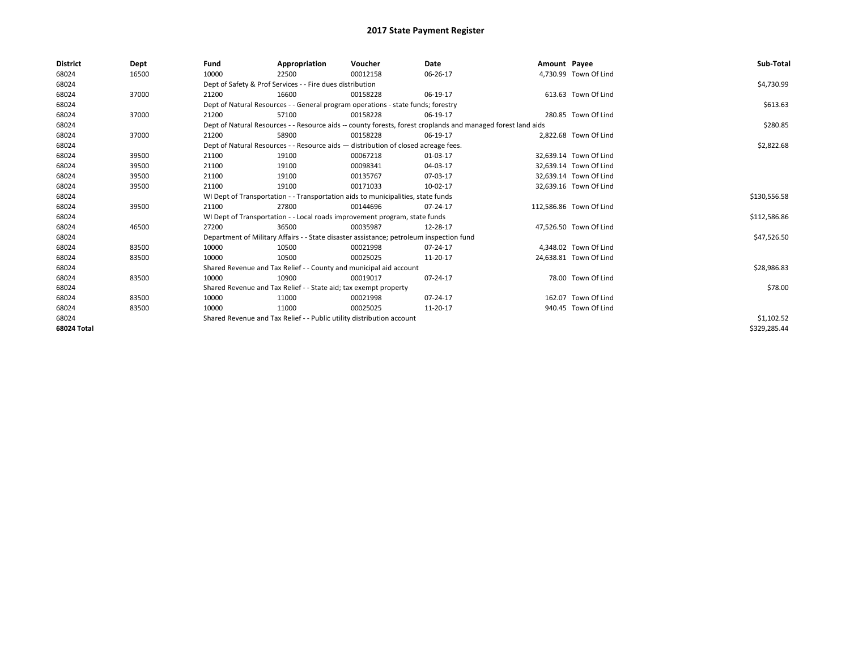| <b>District</b> | Dept  | Fund  | Appropriation                                                                           | Voucher  | Date                                                                                                         | Amount Payee |                         | Sub-Total    |
|-----------------|-------|-------|-----------------------------------------------------------------------------------------|----------|--------------------------------------------------------------------------------------------------------------|--------------|-------------------------|--------------|
| 68024           | 16500 | 10000 | 22500                                                                                   | 00012158 | 06-26-17                                                                                                     |              | 4,730.99 Town Of Lind   |              |
| 68024           |       |       | Dept of Safety & Prof Services - - Fire dues distribution                               |          |                                                                                                              |              |                         | \$4,730.99   |
| 68024           | 37000 | 21200 | 16600                                                                                   | 00158228 | 06-19-17                                                                                                     |              | 613.63 Town Of Lind     |              |
| 68024           |       |       | Dept of Natural Resources - - General program operations - state funds; forestry        |          |                                                                                                              |              |                         | \$613.63     |
| 68024           | 37000 | 21200 | 57100                                                                                   | 00158228 | 06-19-17                                                                                                     |              | 280.85 Town Of Lind     |              |
| 68024           |       |       |                                                                                         |          | Dept of Natural Resources - - Resource aids -- county forests, forest croplands and managed forest land aids |              |                         | \$280.85     |
| 68024           | 37000 | 21200 | 58900                                                                                   | 00158228 | 06-19-17                                                                                                     |              | 2,822.68 Town Of Lind   |              |
| 68024           |       |       | Dept of Natural Resources - - Resource aids - distribution of closed acreage fees.      |          |                                                                                                              |              |                         | \$2,822.68   |
| 68024           | 39500 | 21100 | 19100                                                                                   | 00067218 | 01-03-17                                                                                                     |              | 32,639.14 Town Of Lind  |              |
| 68024           | 39500 | 21100 | 19100                                                                                   | 00098341 | 04-03-17                                                                                                     |              | 32,639.14 Town Of Lind  |              |
| 68024           | 39500 | 21100 | 19100                                                                                   | 00135767 | 07-03-17                                                                                                     |              | 32,639.14 Town Of Lind  |              |
| 68024           | 39500 | 21100 | 19100                                                                                   | 00171033 | 10-02-17                                                                                                     |              | 32,639.16 Town Of Lind  |              |
| 68024           |       |       | WI Dept of Transportation - - Transportation aids to municipalities, state funds        |          |                                                                                                              |              |                         | \$130,556.58 |
| 68024           | 39500 | 21100 | 27800                                                                                   | 00144696 | 07-24-17                                                                                                     |              | 112,586.86 Town Of Lind |              |
| 68024           |       |       | WI Dept of Transportation - - Local roads improvement program, state funds              |          |                                                                                                              |              |                         | \$112,586.86 |
| 68024           | 46500 | 27200 | 36500                                                                                   | 00035987 | 12-28-17                                                                                                     |              | 47,526.50 Town Of Lind  |              |
| 68024           |       |       | Department of Military Affairs - - State disaster assistance; petroleum inspection fund |          |                                                                                                              |              |                         | \$47,526.50  |
| 68024           | 83500 | 10000 | 10500                                                                                   | 00021998 | 07-24-17                                                                                                     |              | 4.348.02 Town Of Lind   |              |
| 68024           | 83500 | 10000 | 10500                                                                                   | 00025025 | 11-20-17                                                                                                     |              | 24,638.81 Town Of Lind  |              |
| 68024           |       |       | Shared Revenue and Tax Relief - - County and municipal aid account                      |          |                                                                                                              |              |                         | \$28,986.83  |
| 68024           | 83500 | 10000 | 10900                                                                                   | 00019017 | 07-24-17                                                                                                     |              | 78.00 Town Of Lind      |              |
| 68024           |       |       | Shared Revenue and Tax Relief - - State aid; tax exempt property                        |          |                                                                                                              |              |                         | \$78.00      |
| 68024           | 83500 | 10000 | 11000                                                                                   | 00021998 | 07-24-17                                                                                                     |              | 162.07 Town Of Lind     |              |
| 68024           | 83500 | 10000 | 11000                                                                                   | 00025025 | 11-20-17                                                                                                     |              | 940.45 Town Of Lind     |              |
| 68024           |       |       | Shared Revenue and Tax Relief - - Public utility distribution account                   |          |                                                                                                              |              |                         | \$1,102.52   |
| 68024 Total     |       |       |                                                                                         |          |                                                                                                              |              |                         | \$329,285.44 |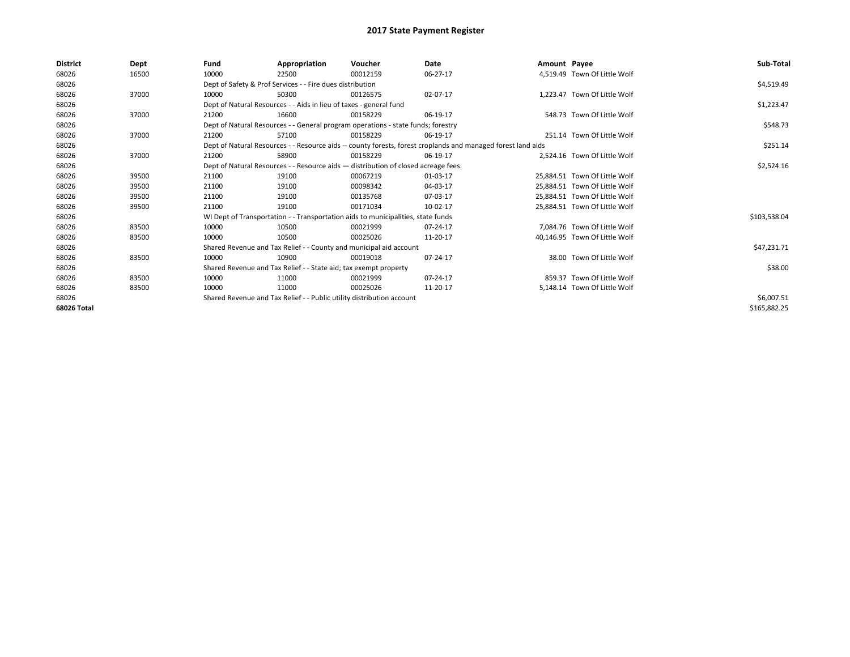| <b>District</b> | Dept  | Fund  | Appropriation                                                                      | Voucher  | Date                                                                                                         | Amount Payee |                               | Sub-Total    |
|-----------------|-------|-------|------------------------------------------------------------------------------------|----------|--------------------------------------------------------------------------------------------------------------|--------------|-------------------------------|--------------|
| 68026           | 16500 | 10000 | 22500                                                                              | 00012159 | 06-27-17                                                                                                     |              | 4,519.49 Town Of Little Wolf  |              |
| 68026           |       |       | Dept of Safety & Prof Services - - Fire dues distribution                          |          |                                                                                                              |              |                               | \$4,519.49   |
| 68026           | 37000 | 10000 | 50300                                                                              | 00126575 | 02-07-17                                                                                                     |              | 1,223.47 Town Of Little Wolf  |              |
| 68026           |       |       | Dept of Natural Resources - - Aids in lieu of taxes - general fund                 |          |                                                                                                              |              |                               | \$1,223.47   |
| 68026           | 37000 | 21200 | 16600                                                                              | 00158229 | 06-19-17                                                                                                     |              | 548.73 Town Of Little Wolf    |              |
| 68026           |       |       | Dept of Natural Resources - - General program operations - state funds; forestry   |          |                                                                                                              |              |                               | \$548.73     |
| 68026           | 37000 | 21200 | 57100                                                                              | 00158229 | 06-19-17                                                                                                     |              | 251.14 Town Of Little Wolf    |              |
| 68026           |       |       |                                                                                    |          | Dept of Natural Resources - - Resource aids -- county forests, forest croplands and managed forest land aids |              |                               | \$251.14     |
| 68026           | 37000 | 21200 | 58900                                                                              | 00158229 | 06-19-17                                                                                                     |              | 2.524.16 Town Of Little Wolf  |              |
| 68026           |       |       | Dept of Natural Resources - - Resource aids - distribution of closed acreage fees. |          |                                                                                                              |              |                               | \$2,524.16   |
| 68026           | 39500 | 21100 | 19100                                                                              | 00067219 | 01-03-17                                                                                                     |              | 25.884.51 Town Of Little Wolf |              |
| 68026           | 39500 | 21100 | 19100                                                                              | 00098342 | 04-03-17                                                                                                     |              | 25,884.51 Town Of Little Wolf |              |
| 68026           | 39500 | 21100 | 19100                                                                              | 00135768 | 07-03-17                                                                                                     |              | 25.884.51 Town Of Little Wolf |              |
| 68026           | 39500 | 21100 | 19100                                                                              | 00171034 | 10-02-17                                                                                                     |              | 25,884.51 Town Of Little Wolf |              |
| 68026           |       |       | WI Dept of Transportation - - Transportation aids to municipalities, state funds   |          |                                                                                                              |              |                               | \$103,538.04 |
| 68026           | 83500 | 10000 | 10500                                                                              | 00021999 | 07-24-17                                                                                                     |              | 7,084.76 Town Of Little Wolf  |              |
| 68026           | 83500 | 10000 | 10500                                                                              | 00025026 | 11-20-17                                                                                                     |              | 40,146.95 Town Of Little Wolf |              |
| 68026           |       |       | Shared Revenue and Tax Relief - - County and municipal aid account                 |          |                                                                                                              |              |                               | \$47,231.71  |
| 68026           | 83500 | 10000 | 10900                                                                              | 00019018 | 07-24-17                                                                                                     |              | 38.00 Town Of Little Wolf     |              |
| 68026           |       |       | Shared Revenue and Tax Relief - - State aid; tax exempt property                   |          |                                                                                                              |              |                               | \$38.00      |
| 68026           | 83500 | 10000 | 11000                                                                              | 00021999 | 07-24-17                                                                                                     |              | 859.37 Town Of Little Wolf    |              |
| 68026           | 83500 | 10000 | 11000                                                                              | 00025026 | 11-20-17                                                                                                     |              | 5,148.14 Town Of Little Wolf  |              |
| 68026           |       |       | Shared Revenue and Tax Relief - - Public utility distribution account              |          |                                                                                                              |              |                               | \$6,007.51   |
| 68026 Total     |       |       |                                                                                    |          |                                                                                                              |              |                               | \$165,882.25 |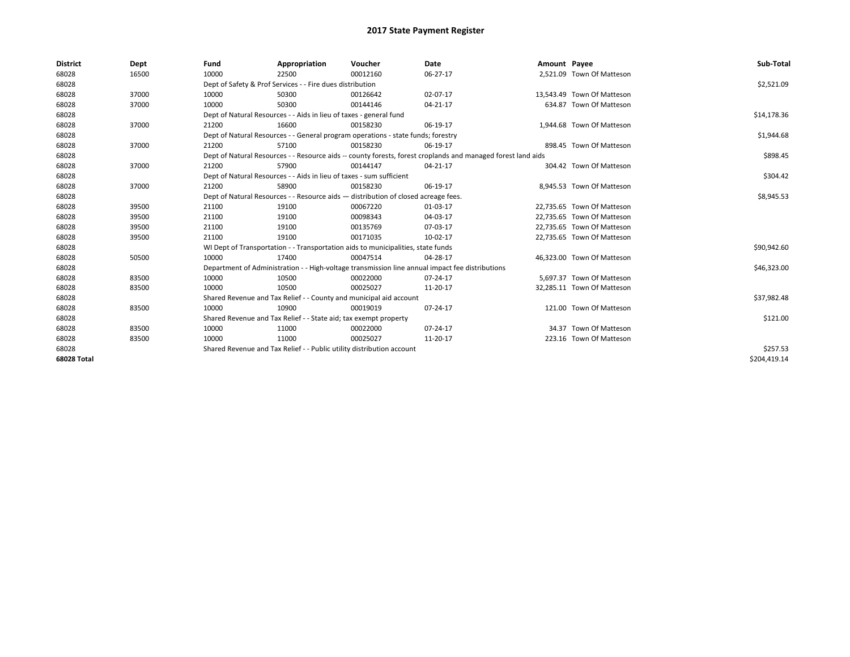| <b>District</b> | Dept  | Fund  | Appropriation                                                         | Voucher                                                                            | Date                                                                                                         | Amount Payee |                            | Sub-Total    |
|-----------------|-------|-------|-----------------------------------------------------------------------|------------------------------------------------------------------------------------|--------------------------------------------------------------------------------------------------------------|--------------|----------------------------|--------------|
| 68028           | 16500 | 10000 | 22500                                                                 | 00012160                                                                           | 06-27-17                                                                                                     |              | 2,521.09 Town Of Matteson  |              |
| 68028           |       |       | Dept of Safety & Prof Services - - Fire dues distribution             |                                                                                    |                                                                                                              |              |                            | \$2,521.09   |
| 68028           | 37000 | 10000 | 50300                                                                 | 00126642                                                                           | 02-07-17                                                                                                     |              | 13,543.49 Town Of Matteson |              |
| 68028           | 37000 | 10000 | 50300                                                                 | 00144146                                                                           | 04-21-17                                                                                                     |              | 634.87 Town Of Matteson    |              |
| 68028           |       |       | Dept of Natural Resources - - Aids in lieu of taxes - general fund    |                                                                                    |                                                                                                              |              |                            | \$14,178.36  |
| 68028           | 37000 | 21200 | 16600                                                                 | 00158230                                                                           | 06-19-17                                                                                                     |              | 1,944.68 Town Of Matteson  |              |
| 68028           |       |       |                                                                       | Dept of Natural Resources - - General program operations - state funds; forestry   |                                                                                                              |              |                            | \$1,944.68   |
| 68028           | 37000 | 21200 | 57100                                                                 | 00158230                                                                           | 06-19-17                                                                                                     |              | 898.45 Town Of Matteson    |              |
| 68028           |       |       |                                                                       |                                                                                    | Dept of Natural Resources - - Resource aids -- county forests, forest croplands and managed forest land aids |              |                            | \$898.45     |
| 68028           | 37000 | 21200 | 57900                                                                 | 00144147                                                                           | $04 - 21 - 17$                                                                                               |              | 304.42 Town Of Matteson    |              |
| 68028           |       |       | Dept of Natural Resources - - Aids in lieu of taxes - sum sufficient  |                                                                                    |                                                                                                              |              |                            | \$304.42     |
| 68028           | 37000 | 21200 | 58900                                                                 | 00158230                                                                           | 06-19-17                                                                                                     |              | 8,945.53 Town Of Matteson  |              |
| 68028           |       |       |                                                                       | Dept of Natural Resources - - Resource aids - distribution of closed acreage fees. |                                                                                                              |              |                            | \$8,945.53   |
| 68028           | 39500 | 21100 | 19100                                                                 | 00067220                                                                           | 01-03-17                                                                                                     |              | 22,735.65 Town Of Matteson |              |
| 68028           | 39500 | 21100 | 19100                                                                 | 00098343                                                                           | 04-03-17                                                                                                     |              | 22,735.65 Town Of Matteson |              |
| 68028           | 39500 | 21100 | 19100                                                                 | 00135769                                                                           | 07-03-17                                                                                                     |              | 22,735.65 Town Of Matteson |              |
| 68028           | 39500 | 21100 | 19100                                                                 | 00171035                                                                           | 10-02-17                                                                                                     |              | 22,735.65 Town Of Matteson |              |
| 68028           |       |       |                                                                       | WI Dept of Transportation - - Transportation aids to municipalities, state funds   |                                                                                                              |              |                            | \$90,942.60  |
| 68028           | 50500 | 10000 | 17400                                                                 | 00047514                                                                           | 04-28-17                                                                                                     |              | 46,323.00 Town Of Matteson |              |
| 68028           |       |       |                                                                       |                                                                                    | Department of Administration - - High-voltage transmission line annual impact fee distributions              |              |                            | \$46,323.00  |
| 68028           | 83500 | 10000 | 10500                                                                 | 00022000                                                                           | 07-24-17                                                                                                     |              | 5,697.37 Town Of Matteson  |              |
| 68028           | 83500 | 10000 | 10500                                                                 | 00025027                                                                           | 11-20-17                                                                                                     |              | 32,285.11 Town Of Matteson |              |
| 68028           |       |       |                                                                       | Shared Revenue and Tax Relief - - County and municipal aid account                 |                                                                                                              |              |                            | \$37,982.48  |
| 68028           | 83500 | 10000 | 10900                                                                 | 00019019                                                                           | 07-24-17                                                                                                     |              | 121.00 Town Of Matteson    |              |
| 68028           |       |       | Shared Revenue and Tax Relief - - State aid; tax exempt property      |                                                                                    |                                                                                                              |              |                            | \$121.00     |
| 68028           | 83500 | 10000 | 11000                                                                 | 00022000                                                                           | 07-24-17                                                                                                     |              | 34.37 Town Of Matteson     |              |
| 68028           | 83500 | 10000 | 11000                                                                 | 00025027                                                                           | 11-20-17                                                                                                     |              | 223.16 Town Of Matteson    |              |
| 68028           |       |       | Shared Revenue and Tax Relief - - Public utility distribution account |                                                                                    |                                                                                                              |              |                            | \$257.53     |
| 68028 Total     |       |       |                                                                       |                                                                                    |                                                                                                              |              |                            | \$204.419.14 |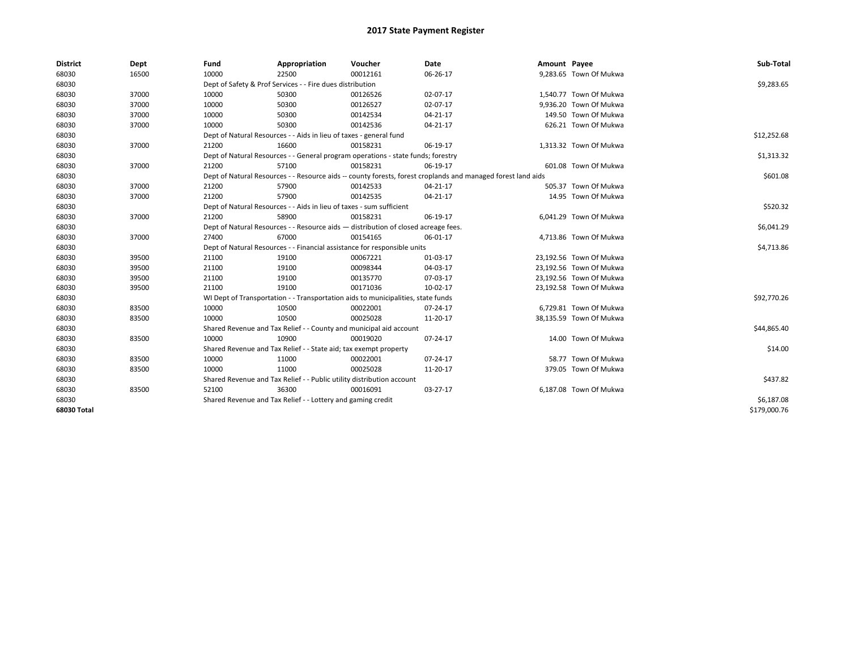| <b>District</b> | Dept  | Fund  | Appropriation                                                                      | Voucher  | Date                                                                                                         | Amount Payee |                         | Sub-Total    |
|-----------------|-------|-------|------------------------------------------------------------------------------------|----------|--------------------------------------------------------------------------------------------------------------|--------------|-------------------------|--------------|
| 68030           | 16500 | 10000 | 22500                                                                              | 00012161 | 06-26-17                                                                                                     |              | 9,283.65 Town Of Mukwa  |              |
| 68030           |       |       | Dept of Safety & Prof Services - - Fire dues distribution                          |          |                                                                                                              |              |                         | \$9,283.65   |
| 68030           | 37000 | 10000 | 50300                                                                              | 00126526 | 02-07-17                                                                                                     |              | 1,540.77 Town Of Mukwa  |              |
| 68030           | 37000 | 10000 | 50300                                                                              | 00126527 | 02-07-17                                                                                                     |              | 9.936.20 Town Of Mukwa  |              |
| 68030           | 37000 | 10000 | 50300                                                                              | 00142534 | 04-21-17                                                                                                     |              | 149.50 Town Of Mukwa    |              |
| 68030           | 37000 | 10000 | 50300                                                                              | 00142536 | 04-21-17                                                                                                     |              | 626.21 Town Of Mukwa    |              |
| 68030           |       |       | Dept of Natural Resources - - Aids in lieu of taxes - general fund                 |          |                                                                                                              |              |                         | \$12,252.68  |
| 68030           | 37000 | 21200 | 16600                                                                              | 00158231 | 06-19-17                                                                                                     |              | 1,313.32 Town Of Mukwa  |              |
| 68030           |       |       | Dept of Natural Resources - - General program operations - state funds; forestry   |          |                                                                                                              |              |                         | \$1,313.32   |
| 68030           | 37000 | 21200 | 57100                                                                              | 00158231 | 06-19-17                                                                                                     |              | 601.08 Town Of Mukwa    |              |
| 68030           |       |       |                                                                                    |          | Dept of Natural Resources - - Resource aids -- county forests, forest croplands and managed forest land aids |              |                         | \$601.08     |
| 68030           | 37000 | 21200 | 57900                                                                              | 00142533 | 04-21-17                                                                                                     |              | 505.37 Town Of Mukwa    |              |
| 68030           | 37000 | 21200 | 57900                                                                              | 00142535 | 04-21-17                                                                                                     |              | 14.95 Town Of Mukwa     |              |
| 68030           |       |       | Dept of Natural Resources - - Aids in lieu of taxes - sum sufficient               |          |                                                                                                              |              |                         | \$520.32     |
| 68030           | 37000 | 21200 | 58900                                                                              | 00158231 | 06-19-17                                                                                                     |              | 6,041.29 Town Of Mukwa  |              |
| 68030           |       |       | Dept of Natural Resources - - Resource aids - distribution of closed acreage fees. |          |                                                                                                              |              |                         | \$6,041.29   |
| 68030           | 37000 | 27400 | 67000                                                                              | 00154165 | 06-01-17                                                                                                     |              | 4,713.86 Town Of Mukwa  |              |
| 68030           |       |       | Dept of Natural Resources - - Financial assistance for responsible units           |          |                                                                                                              |              |                         | \$4,713.86   |
| 68030           | 39500 | 21100 | 19100                                                                              | 00067221 | 01-03-17                                                                                                     |              | 23,192.56 Town Of Mukwa |              |
| 68030           | 39500 | 21100 | 19100                                                                              | 00098344 | 04-03-17                                                                                                     |              | 23,192.56 Town Of Mukwa |              |
| 68030           | 39500 | 21100 | 19100                                                                              | 00135770 | 07-03-17                                                                                                     |              | 23,192.56 Town Of Mukwa |              |
| 68030           | 39500 | 21100 | 19100                                                                              | 00171036 | 10-02-17                                                                                                     |              | 23,192.58 Town Of Mukwa |              |
| 68030           |       |       | WI Dept of Transportation - - Transportation aids to municipalities, state funds   |          |                                                                                                              |              |                         | \$92,770.26  |
| 68030           | 83500 | 10000 | 10500                                                                              | 00022001 | 07-24-17                                                                                                     |              | 6,729.81 Town Of Mukwa  |              |
| 68030           | 83500 | 10000 | 10500                                                                              | 00025028 | 11-20-17                                                                                                     |              | 38,135.59 Town Of Mukwa |              |
| 68030           |       |       | Shared Revenue and Tax Relief - - County and municipal aid account                 |          |                                                                                                              |              |                         | \$44,865.40  |
| 68030           | 83500 | 10000 | 10900                                                                              | 00019020 | 07-24-17                                                                                                     |              | 14.00 Town Of Mukwa     |              |
| 68030           |       |       | Shared Revenue and Tax Relief - - State aid; tax exempt property                   |          |                                                                                                              |              |                         | \$14.00      |
| 68030           | 83500 | 10000 | 11000                                                                              | 00022001 | 07-24-17                                                                                                     |              | 58.77 Town Of Mukwa     |              |
| 68030           | 83500 | 10000 | 11000                                                                              | 00025028 | 11-20-17                                                                                                     |              | 379.05 Town Of Mukwa    |              |
| 68030           |       |       | Shared Revenue and Tax Relief - - Public utility distribution account              |          |                                                                                                              |              |                         | \$437.82     |
| 68030           | 83500 | 52100 | 36300                                                                              | 00016091 | 03-27-17                                                                                                     |              | 6,187.08 Town Of Mukwa  |              |
| 68030           |       |       | Shared Revenue and Tax Relief - - Lottery and gaming credit                        |          |                                                                                                              |              |                         | \$6,187.08   |
| 68030 Total     |       |       |                                                                                    |          |                                                                                                              |              |                         | \$179,000.76 |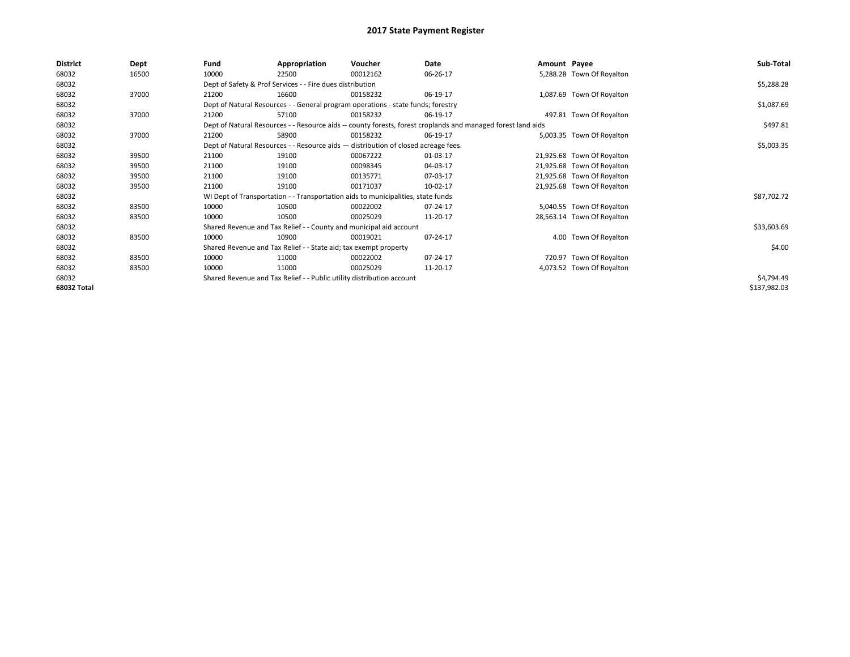| <b>District</b> | Dept  | Fund  | Appropriation                                                                      | Voucher  | Date                                                                                                         | Amount Payee |                            | Sub-Total    |
|-----------------|-------|-------|------------------------------------------------------------------------------------|----------|--------------------------------------------------------------------------------------------------------------|--------------|----------------------------|--------------|
| 68032           | 16500 | 10000 | 22500                                                                              | 00012162 | 06-26-17                                                                                                     |              | 5,288.28 Town Of Royalton  |              |
| 68032           |       |       | Dept of Safety & Prof Services - - Fire dues distribution                          |          |                                                                                                              |              |                            | \$5,288.28   |
| 68032           | 37000 | 21200 | 16600                                                                              | 00158232 | 06-19-17                                                                                                     |              | 1,087.69 Town Of Royalton  |              |
| 68032           |       |       | Dept of Natural Resources - - General program operations - state funds; forestry   |          |                                                                                                              |              |                            | \$1,087.69   |
| 68032           | 37000 | 21200 | 57100                                                                              | 00158232 | 06-19-17                                                                                                     |              | 497.81 Town Of Royalton    |              |
| 68032           |       |       |                                                                                    |          | Dept of Natural Resources - - Resource aids -- county forests, forest croplands and managed forest land aids |              |                            | \$497.81     |
| 68032           | 37000 | 21200 | 58900                                                                              | 00158232 | 06-19-17                                                                                                     |              | 5,003.35 Town Of Royalton  |              |
| 68032           |       |       | Dept of Natural Resources - - Resource aids - distribution of closed acreage fees. |          |                                                                                                              |              |                            | \$5,003.35   |
| 68032           | 39500 | 21100 | 19100                                                                              | 00067222 | 01-03-17                                                                                                     |              | 21,925.68 Town Of Royalton |              |
| 68032           | 39500 | 21100 | 19100                                                                              | 00098345 | 04-03-17                                                                                                     |              | 21,925.68 Town Of Royalton |              |
| 68032           | 39500 | 21100 | 19100                                                                              | 00135771 | 07-03-17                                                                                                     |              | 21,925.68 Town Of Royalton |              |
| 68032           | 39500 | 21100 | 19100                                                                              | 00171037 | 10-02-17                                                                                                     |              | 21,925.68 Town Of Royalton |              |
| 68032           |       |       | WI Dept of Transportation - - Transportation aids to municipalities, state funds   |          |                                                                                                              |              |                            | \$87,702.72  |
| 68032           | 83500 | 10000 | 10500                                                                              | 00022002 | 07-24-17                                                                                                     |              | 5,040.55 Town Of Royalton  |              |
| 68032           | 83500 | 10000 | 10500                                                                              | 00025029 | 11-20-17                                                                                                     |              | 28,563.14 Town Of Royalton |              |
| 68032           |       |       | Shared Revenue and Tax Relief - - County and municipal aid account                 |          |                                                                                                              |              |                            | \$33,603.69  |
| 68032           | 83500 | 10000 | 10900                                                                              | 00019021 | 07-24-17                                                                                                     |              | 4.00 Town Of Royalton      |              |
| 68032           |       |       | Shared Revenue and Tax Relief - - State aid; tax exempt property                   |          |                                                                                                              |              |                            | \$4.00       |
| 68032           | 83500 | 10000 | 11000                                                                              | 00022002 | 07-24-17                                                                                                     |              | 720.97 Town Of Royalton    |              |
| 68032           | 83500 | 10000 | 11000                                                                              | 00025029 | 11-20-17                                                                                                     |              | 4,073.52 Town Of Royalton  |              |
| 68032           |       |       | Shared Revenue and Tax Relief - - Public utility distribution account              |          |                                                                                                              |              |                            | \$4,794.49   |
| 68032 Total     |       |       |                                                                                    |          |                                                                                                              |              |                            | \$137,982.03 |
|                 |       |       |                                                                                    |          |                                                                                                              |              |                            |              |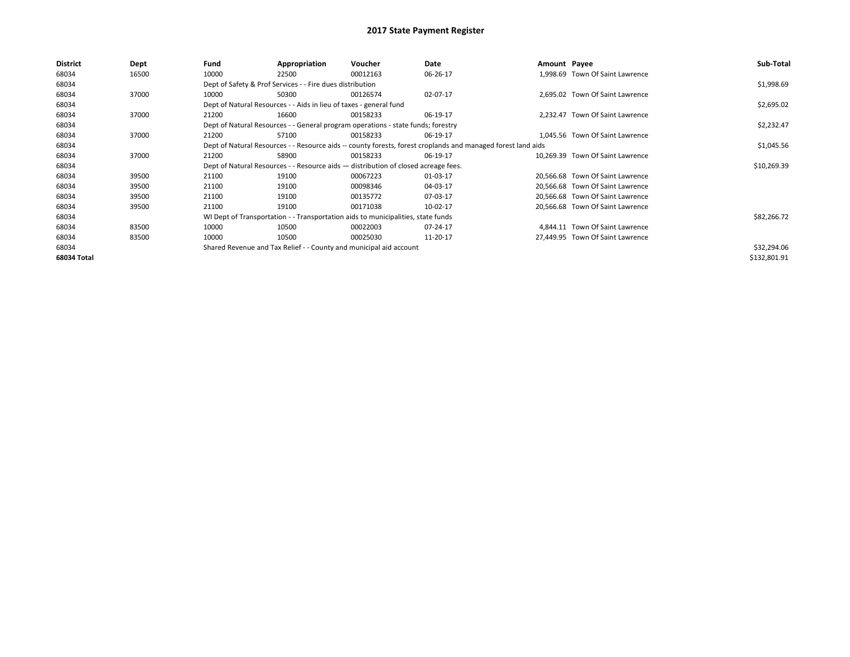| District    | Dept  | Fund  | Appropriation                                                                      | Voucher  | Date                                                                                                         | Amount Payee |                                  | Sub-Total    |
|-------------|-------|-------|------------------------------------------------------------------------------------|----------|--------------------------------------------------------------------------------------------------------------|--------------|----------------------------------|--------------|
| 68034       | 16500 | 10000 | 22500                                                                              | 00012163 | 06-26-17                                                                                                     |              | 1.998.69 Town Of Saint Lawrence  |              |
| 68034       |       |       | Dept of Safety & Prof Services - - Fire dues distribution                          |          |                                                                                                              |              |                                  | \$1,998.69   |
| 68034       | 37000 | 10000 | 50300                                                                              | 00126574 | 02-07-17                                                                                                     |              | 2,695.02 Town Of Saint Lawrence  |              |
| 68034       |       |       | Dept of Natural Resources - - Aids in lieu of taxes - general fund                 |          |                                                                                                              |              |                                  | \$2,695.02   |
| 68034       | 37000 | 21200 | 16600                                                                              | 00158233 | 06-19-17                                                                                                     |              | 2,232.47 Town Of Saint Lawrence  |              |
| 68034       |       |       | Dept of Natural Resources - - General program operations - state funds; forestry   |          |                                                                                                              |              |                                  | \$2,232.47   |
| 68034       | 37000 | 21200 | 57100                                                                              | 00158233 | 06-19-17                                                                                                     |              | 1.045.56 Town Of Saint Lawrence  |              |
| 68034       |       |       |                                                                                    |          | Dept of Natural Resources - - Resource aids -- county forests, forest croplands and managed forest land aids |              |                                  | \$1,045.56   |
| 68034       | 37000 | 21200 | 58900                                                                              | 00158233 | 06-19-17                                                                                                     |              | 10.269.39 Town Of Saint Lawrence |              |
| 68034       |       |       | Dept of Natural Resources - - Resource aids - distribution of closed acreage fees. |          |                                                                                                              |              |                                  | \$10,269.39  |
| 68034       | 39500 | 21100 | 19100                                                                              | 00067223 | 01-03-17                                                                                                     |              | 20,566.68 Town Of Saint Lawrence |              |
| 68034       | 39500 | 21100 | 19100                                                                              | 00098346 | 04-03-17                                                                                                     |              | 20,566.68 Town Of Saint Lawrence |              |
| 68034       | 39500 | 21100 | 19100                                                                              | 00135772 | 07-03-17                                                                                                     |              | 20.566.68 Town Of Saint Lawrence |              |
| 68034       | 39500 | 21100 | 19100                                                                              | 00171038 | 10-02-17                                                                                                     |              | 20,566.68 Town Of Saint Lawrence |              |
| 68034       |       |       | WI Dept of Transportation - - Transportation aids to municipalities, state funds   |          |                                                                                                              |              |                                  | \$82,266.72  |
| 68034       | 83500 | 10000 | 10500                                                                              | 00022003 | 07-24-17                                                                                                     |              | 4.844.11 Town Of Saint Lawrence  |              |
| 68034       | 83500 | 10000 | 10500                                                                              | 00025030 | 11-20-17                                                                                                     |              | 27,449.95 Town Of Saint Lawrence |              |
| 68034       |       |       | Shared Revenue and Tax Relief - - County and municipal aid account                 |          |                                                                                                              |              |                                  | \$32,294.06  |
| 68034 Total |       |       |                                                                                    |          |                                                                                                              |              |                                  | \$132,801.91 |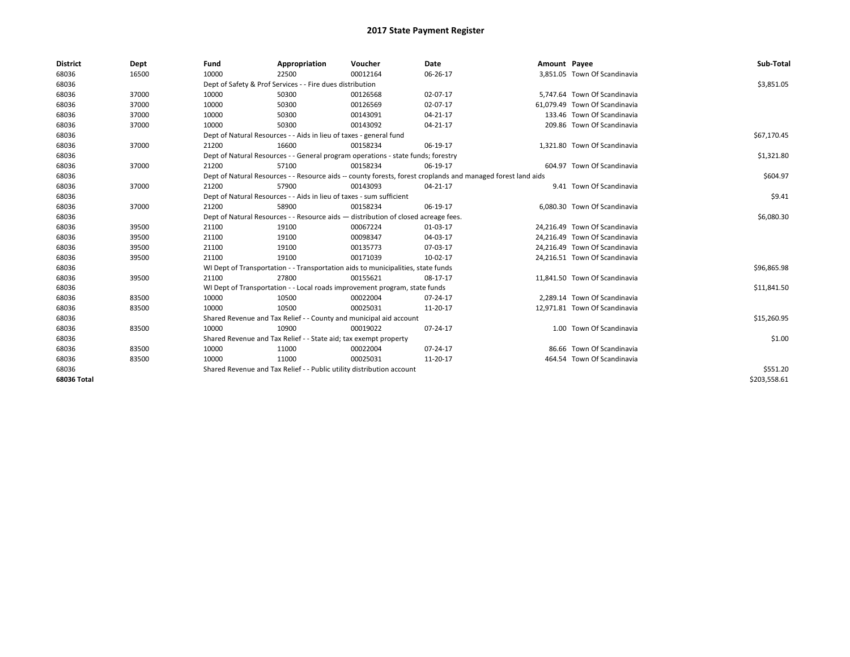| <b>District</b> | Dept  | Fund  | Appropriation                                                         | Voucher                                                                            | Date                                                                                                         | Amount Payee |                               | Sub-Total    |
|-----------------|-------|-------|-----------------------------------------------------------------------|------------------------------------------------------------------------------------|--------------------------------------------------------------------------------------------------------------|--------------|-------------------------------|--------------|
| 68036           | 16500 | 10000 | 22500                                                                 | 00012164                                                                           | 06-26-17                                                                                                     |              | 3,851.05 Town Of Scandinavia  |              |
| 68036           |       |       | Dept of Safety & Prof Services - - Fire dues distribution             |                                                                                    |                                                                                                              |              |                               | \$3,851.05   |
| 68036           | 37000 | 10000 | 50300                                                                 | 00126568                                                                           | 02-07-17                                                                                                     |              | 5,747.64 Town Of Scandinavia  |              |
| 68036           | 37000 | 10000 | 50300                                                                 | 00126569                                                                           | 02-07-17                                                                                                     |              | 61.079.49 Town Of Scandinavia |              |
| 68036           | 37000 | 10000 | 50300                                                                 | 00143091                                                                           | $04 - 21 - 17$                                                                                               |              | 133.46 Town Of Scandinavia    |              |
| 68036           | 37000 | 10000 | 50300                                                                 | 00143092                                                                           | 04-21-17                                                                                                     |              | 209.86 Town Of Scandinavia    |              |
| 68036           |       |       | Dept of Natural Resources - - Aids in lieu of taxes - general fund    |                                                                                    |                                                                                                              |              |                               | \$67,170.45  |
| 68036           | 37000 | 21200 | 16600                                                                 | 00158234                                                                           | 06-19-17                                                                                                     |              | 1,321.80 Town Of Scandinavia  |              |
| 68036           |       |       |                                                                       | Dept of Natural Resources - - General program operations - state funds; forestry   |                                                                                                              |              |                               | \$1,321.80   |
| 68036           | 37000 | 21200 | 57100                                                                 | 00158234                                                                           | 06-19-17                                                                                                     |              | 604.97 Town Of Scandinavia    |              |
| 68036           |       |       |                                                                       |                                                                                    | Dept of Natural Resources - - Resource aids -- county forests, forest croplands and managed forest land aids |              |                               | \$604.97     |
| 68036           | 37000 | 21200 | 57900                                                                 | 00143093                                                                           | 04-21-17                                                                                                     |              | 9.41 Town Of Scandinavia      |              |
| 68036           |       |       | Dept of Natural Resources - - Aids in lieu of taxes - sum sufficient  |                                                                                    |                                                                                                              |              |                               | \$9.41       |
| 68036           | 37000 | 21200 | 58900                                                                 | 00158234                                                                           | 06-19-17                                                                                                     |              | 6.080.30 Town Of Scandinavia  |              |
| 68036           |       |       |                                                                       | Dept of Natural Resources - - Resource aids - distribution of closed acreage fees. |                                                                                                              |              |                               | \$6,080.30   |
| 68036           | 39500 | 21100 | 19100                                                                 | 00067224                                                                           | 01-03-17                                                                                                     |              | 24,216.49 Town Of Scandinavia |              |
| 68036           | 39500 | 21100 | 19100                                                                 | 00098347                                                                           | 04-03-17                                                                                                     |              | 24,216.49 Town Of Scandinavia |              |
| 68036           | 39500 | 21100 | 19100                                                                 | 00135773                                                                           | 07-03-17                                                                                                     |              | 24,216.49 Town Of Scandinavia |              |
| 68036           | 39500 | 21100 | 19100                                                                 | 00171039                                                                           | 10-02-17                                                                                                     |              | 24,216.51 Town Of Scandinavia |              |
| 68036           |       |       |                                                                       | WI Dept of Transportation - - Transportation aids to municipalities, state funds   |                                                                                                              |              |                               | \$96,865.98  |
| 68036           | 39500 | 21100 | 27800                                                                 | 00155621                                                                           | 08-17-17                                                                                                     |              | 11,841.50 Town Of Scandinavia |              |
| 68036           |       |       |                                                                       | WI Dept of Transportation - - Local roads improvement program, state funds         |                                                                                                              |              |                               | \$11,841.50  |
| 68036           | 83500 | 10000 | 10500                                                                 | 00022004                                                                           | 07-24-17                                                                                                     |              | 2,289.14 Town Of Scandinavia  |              |
| 68036           | 83500 | 10000 | 10500                                                                 | 00025031                                                                           | 11-20-17                                                                                                     |              | 12,971.81 Town Of Scandinavia |              |
| 68036           |       |       | Shared Revenue and Tax Relief - - County and municipal aid account    |                                                                                    |                                                                                                              |              |                               | \$15,260.95  |
| 68036           | 83500 | 10000 | 10900                                                                 | 00019022                                                                           | 07-24-17                                                                                                     |              | 1.00 Town Of Scandinavia      |              |
| 68036           |       |       | Shared Revenue and Tax Relief - - State aid; tax exempt property      |                                                                                    |                                                                                                              |              |                               | \$1.00       |
| 68036           | 83500 | 10000 | 11000                                                                 | 00022004                                                                           | 07-24-17                                                                                                     |              | 86.66 Town Of Scandinavia     |              |
| 68036           | 83500 | 10000 | 11000                                                                 | 00025031                                                                           | 11-20-17                                                                                                     |              | 464.54 Town Of Scandinavia    |              |
| 68036           |       |       | Shared Revenue and Tax Relief - - Public utility distribution account |                                                                                    |                                                                                                              |              |                               | \$551.20     |
| 68036 Total     |       |       |                                                                       |                                                                                    |                                                                                                              |              |                               | \$203.558.61 |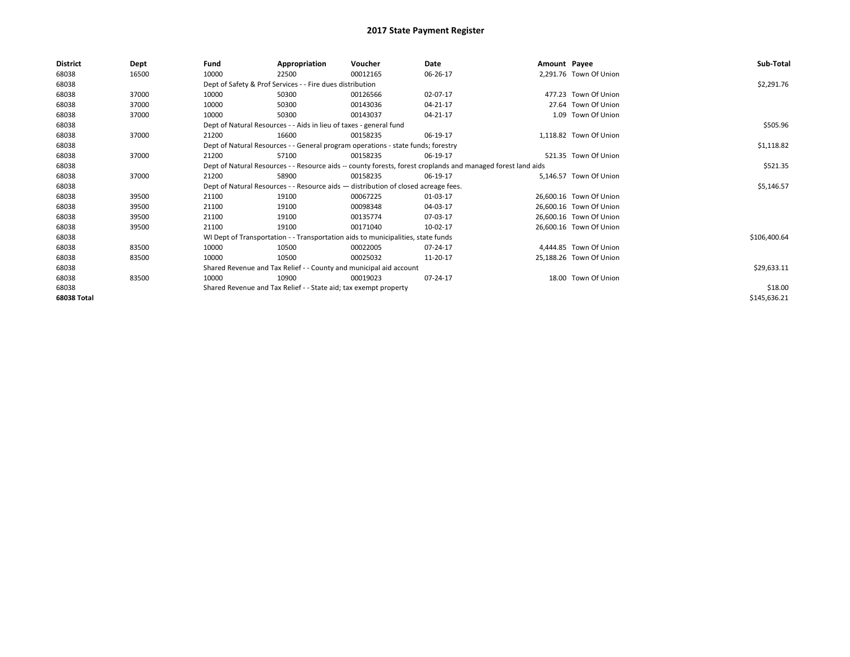| <b>District</b> | Dept  | Fund  | Appropriation                                                                      | Voucher  | Date                                                                                                         | Amount Payee |                         | Sub-Total    |
|-----------------|-------|-------|------------------------------------------------------------------------------------|----------|--------------------------------------------------------------------------------------------------------------|--------------|-------------------------|--------------|
| 68038           | 16500 | 10000 | 22500                                                                              | 00012165 | 06-26-17                                                                                                     |              | 2,291.76 Town Of Union  |              |
| 68038           |       |       | Dept of Safety & Prof Services - - Fire dues distribution                          |          |                                                                                                              |              |                         | \$2,291.76   |
| 68038           | 37000 | 10000 | 50300                                                                              | 00126566 | 02-07-17                                                                                                     |              | 477.23 Town Of Union    |              |
| 68038           | 37000 | 10000 | 50300                                                                              | 00143036 | 04-21-17                                                                                                     |              | 27.64 Town Of Union     |              |
| 68038           | 37000 | 10000 | 50300                                                                              | 00143037 | 04-21-17                                                                                                     |              | 1.09 Town Of Union      |              |
| 68038           |       |       | Dept of Natural Resources - - Aids in lieu of taxes - general fund                 |          |                                                                                                              |              |                         | \$505.96     |
| 68038           | 37000 | 21200 | 16600                                                                              | 00158235 | 06-19-17                                                                                                     |              | 1,118.82 Town Of Union  |              |
| 68038           |       |       | Dept of Natural Resources - - General program operations - state funds; forestry   |          |                                                                                                              |              |                         | \$1,118.82   |
| 68038           | 37000 | 21200 | 57100                                                                              | 00158235 | 06-19-17                                                                                                     |              | 521.35 Town Of Union    |              |
| 68038           |       |       |                                                                                    |          | Dept of Natural Resources - - Resource aids -- county forests, forest croplands and managed forest land aids |              |                         | \$521.35     |
| 68038           | 37000 | 21200 | 58900                                                                              | 00158235 | 06-19-17                                                                                                     |              | 5.146.57 Town Of Union  |              |
| 68038           |       |       | Dept of Natural Resources - - Resource aids - distribution of closed acreage fees. |          |                                                                                                              |              |                         | \$5,146.57   |
| 68038           | 39500 | 21100 | 19100                                                                              | 00067225 | 01-03-17                                                                                                     |              | 26,600.16 Town Of Union |              |
| 68038           | 39500 | 21100 | 19100                                                                              | 00098348 | 04-03-17                                                                                                     |              | 26,600.16 Town Of Union |              |
| 68038           | 39500 | 21100 | 19100                                                                              | 00135774 | 07-03-17                                                                                                     |              | 26,600.16 Town Of Union |              |
| 68038           | 39500 | 21100 | 19100                                                                              | 00171040 | 10-02-17                                                                                                     |              | 26,600.16 Town Of Union |              |
| 68038           |       |       | WI Dept of Transportation - - Transportation aids to municipalities, state funds   |          |                                                                                                              |              |                         | \$106,400.64 |
| 68038           | 83500 | 10000 | 10500                                                                              | 00022005 | 07-24-17                                                                                                     |              | 4.444.85 Town Of Union  |              |
| 68038           | 83500 | 10000 | 10500                                                                              | 00025032 | 11-20-17                                                                                                     |              | 25,188.26 Town Of Union |              |
| 68038           |       |       | Shared Revenue and Tax Relief - - County and municipal aid account                 |          |                                                                                                              |              |                         | \$29,633.11  |
| 68038           | 83500 | 10000 | 10900                                                                              | 00019023 | 07-24-17                                                                                                     |              | 18.00 Town Of Union     |              |
| 68038           |       |       | Shared Revenue and Tax Relief - - State aid; tax exempt property                   |          |                                                                                                              |              |                         | \$18.00      |
| 68038 Total     |       |       |                                                                                    |          |                                                                                                              |              |                         | \$145,636.21 |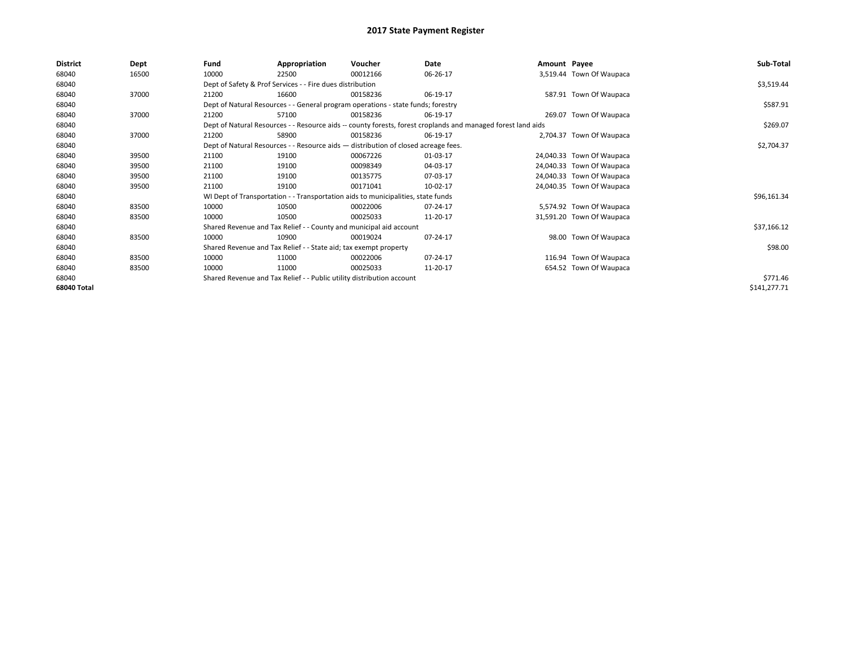| <b>District</b> | Dept  | Fund                                                                                                         | Appropriation                                                                      | Voucher  | Date     | Amount Payee |                           | Sub-Total    |  |  |  |
|-----------------|-------|--------------------------------------------------------------------------------------------------------------|------------------------------------------------------------------------------------|----------|----------|--------------|---------------------------|--------------|--|--|--|
| 68040           | 16500 | 10000                                                                                                        | 22500                                                                              | 00012166 | 06-26-17 |              | 3,519.44 Town Of Waupaca  |              |  |  |  |
| 68040           |       |                                                                                                              | Dept of Safety & Prof Services - - Fire dues distribution                          |          |          |              |                           | \$3,519.44   |  |  |  |
| 68040           | 37000 | 21200                                                                                                        | 16600                                                                              | 00158236 | 06-19-17 |              | 587.91 Town Of Waupaca    |              |  |  |  |
| 68040           |       |                                                                                                              | Dept of Natural Resources - - General program operations - state funds; forestry   |          |          |              |                           |              |  |  |  |
| 68040           | 37000 | 21200                                                                                                        | 57100                                                                              | 00158236 | 06-19-17 |              | 269.07 Town Of Waupaca    |              |  |  |  |
| 68040           |       | Dept of Natural Resources - - Resource aids -- county forests, forest croplands and managed forest land aids |                                                                                    | \$269.07 |          |              |                           |              |  |  |  |
| 68040           | 37000 | 21200                                                                                                        | 58900                                                                              | 00158236 | 06-19-17 |              | 2,704.37 Town Of Waupaca  |              |  |  |  |
| 68040           |       |                                                                                                              | Dept of Natural Resources - - Resource aids - distribution of closed acreage fees. |          |          |              |                           |              |  |  |  |
| 68040           | 39500 | 21100                                                                                                        | 19100                                                                              | 00067226 | 01-03-17 |              | 24,040.33 Town Of Waupaca |              |  |  |  |
| 68040           | 39500 | 21100                                                                                                        | 19100                                                                              | 00098349 | 04-03-17 |              | 24,040.33 Town Of Waupaca |              |  |  |  |
| 68040           | 39500 | 21100                                                                                                        | 19100                                                                              | 00135775 | 07-03-17 |              | 24,040.33 Town Of Waupaca |              |  |  |  |
| 68040           | 39500 | 21100                                                                                                        | 19100                                                                              | 00171041 | 10-02-17 |              | 24,040.35 Town Of Waupaca |              |  |  |  |
| 68040           |       |                                                                                                              | WI Dept of Transportation - - Transportation aids to municipalities, state funds   |          |          |              |                           | \$96,161.34  |  |  |  |
| 68040           | 83500 | 10000                                                                                                        | 10500                                                                              | 00022006 | 07-24-17 |              | 5,574.92 Town Of Waupaca  |              |  |  |  |
| 68040           | 83500 | 10000                                                                                                        | 10500                                                                              | 00025033 | 11-20-17 |              | 31,591.20 Town Of Waupaca |              |  |  |  |
| 68040           |       |                                                                                                              | Shared Revenue and Tax Relief - - County and municipal aid account                 |          |          |              |                           | \$37,166.12  |  |  |  |
| 68040           | 83500 | 10000                                                                                                        | 10900                                                                              | 00019024 | 07-24-17 |              | 98.00 Town Of Waupaca     |              |  |  |  |
| 68040           |       |                                                                                                              | Shared Revenue and Tax Relief - - State aid; tax exempt property                   |          |          |              |                           | \$98.00      |  |  |  |
| 68040           | 83500 | 10000                                                                                                        | 11000                                                                              | 00022006 | 07-24-17 |              | 116.94 Town Of Waupaca    |              |  |  |  |
| 68040           | 83500 | 10000                                                                                                        | 11000                                                                              | 00025033 | 11-20-17 |              | 654.52 Town Of Waupaca    |              |  |  |  |
| 68040           |       |                                                                                                              | Shared Revenue and Tax Relief - - Public utility distribution account              |          |          |              |                           | \$771.46     |  |  |  |
| 68040 Total     |       |                                                                                                              |                                                                                    |          |          |              |                           | \$141,277.71 |  |  |  |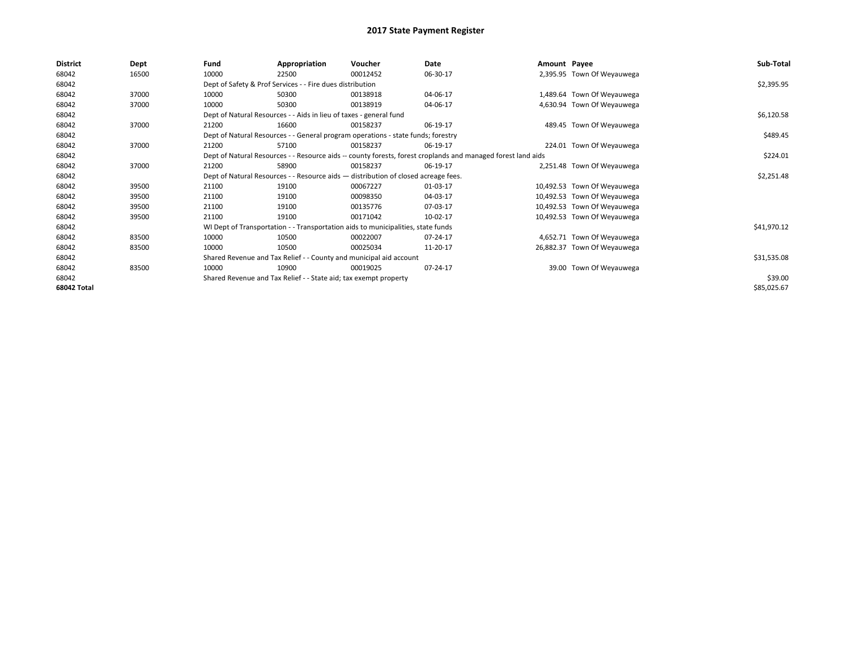| <b>District</b>    | Dept  | Fund  | Appropriation                                                                                                | Voucher  | Date     | Amount Payee |                             | Sub-Total   |
|--------------------|-------|-------|--------------------------------------------------------------------------------------------------------------|----------|----------|--------------|-----------------------------|-------------|
| 68042              | 16500 | 10000 | 22500                                                                                                        | 00012452 | 06-30-17 |              | 2,395.95 Town Of Weyauwega  |             |
| 68042              |       |       | Dept of Safety & Prof Services - - Fire dues distribution                                                    |          |          |              |                             | \$2,395.95  |
| 68042              | 37000 | 10000 | 50300                                                                                                        | 00138918 | 04-06-17 |              | 1,489.64 Town Of Weyauwega  |             |
| 68042              | 37000 | 10000 | 50300                                                                                                        | 00138919 | 04-06-17 |              | 4,630.94 Town Of Weyauwega  |             |
| 68042              |       |       | Dept of Natural Resources - - Aids in lieu of taxes - general fund                                           |          |          |              |                             | \$6,120.58  |
| 68042              | 37000 | 21200 | 16600                                                                                                        | 00158237 | 06-19-17 |              | 489.45 Town Of Weyauwega    |             |
| 68042              |       |       | Dept of Natural Resources - - General program operations - state funds; forestry                             |          |          |              |                             | \$489.45    |
| 68042              | 37000 | 21200 | 57100                                                                                                        | 00158237 | 06-19-17 |              | 224.01 Town Of Weyauwega    |             |
| 68042              |       |       | Dept of Natural Resources - - Resource aids -- county forests, forest croplands and managed forest land aids |          |          |              |                             | \$224.01    |
| 68042              | 37000 | 21200 | 58900                                                                                                        | 00158237 | 06-19-17 |              | 2,251.48 Town Of Weyauwega  |             |
| 68042              |       |       | Dept of Natural Resources - - Resource aids - distribution of closed acreage fees.                           |          |          |              |                             | \$2,251.48  |
| 68042              | 39500 | 21100 | 19100                                                                                                        | 00067227 | 01-03-17 |              | 10,492.53 Town Of Weyauwega |             |
| 68042              | 39500 | 21100 | 19100                                                                                                        | 00098350 | 04-03-17 |              | 10,492.53 Town Of Weyauwega |             |
| 68042              | 39500 | 21100 | 19100                                                                                                        | 00135776 | 07-03-17 |              | 10,492.53 Town Of Weyauwega |             |
| 68042              | 39500 | 21100 | 19100                                                                                                        | 00171042 | 10-02-17 |              | 10,492.53 Town Of Weyauwega |             |
| 68042              |       |       | WI Dept of Transportation - - Transportation aids to municipalities, state funds                             |          |          |              |                             | \$41,970.12 |
| 68042              | 83500 | 10000 | 10500                                                                                                        | 00022007 | 07-24-17 |              | 4,652.71 Town Of Weyauwega  |             |
| 68042              | 83500 | 10000 | 10500                                                                                                        | 00025034 | 11-20-17 |              | 26,882.37 Town Of Weyauwega |             |
| 68042              |       |       | Shared Revenue and Tax Relief - - County and municipal aid account                                           |          |          |              |                             | \$31,535.08 |
| 68042              | 83500 | 10000 | 10900                                                                                                        | 00019025 | 07-24-17 |              | 39.00 Town Of Weyauwega     |             |
| 68042              |       |       | Shared Revenue and Tax Relief - - State aid; tax exempt property                                             |          |          |              |                             | \$39.00     |
| <b>68042 Total</b> |       |       |                                                                                                              |          |          |              |                             | \$85,025.67 |
|                    |       |       |                                                                                                              |          |          |              |                             |             |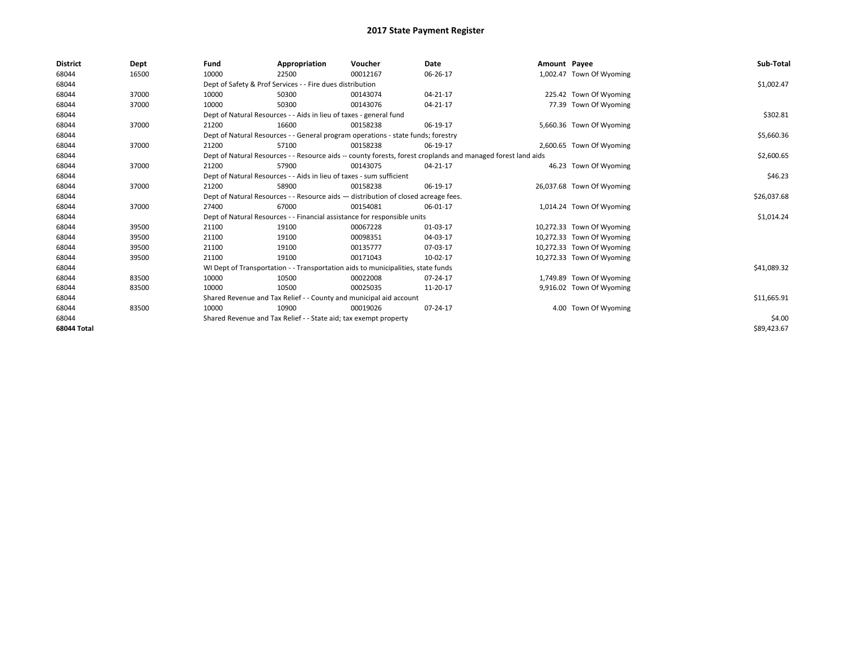| <b>District</b>    | Dept  | Fund  | Appropriation                                                                                                | Voucher  | <b>Date</b> | Amount Payee |                           | Sub-Total   |  |  |
|--------------------|-------|-------|--------------------------------------------------------------------------------------------------------------|----------|-------------|--------------|---------------------------|-------------|--|--|
| 68044              | 16500 | 10000 | 22500                                                                                                        | 00012167 | 06-26-17    |              | 1,002.47 Town Of Wyoming  |             |  |  |
| 68044              |       |       | Dept of Safety & Prof Services - - Fire dues distribution                                                    |          |             |              |                           | \$1,002.47  |  |  |
| 68044              | 37000 | 10000 | 50300                                                                                                        | 00143074 | 04-21-17    |              | 225.42 Town Of Wyoming    |             |  |  |
| 68044              | 37000 | 10000 | 50300                                                                                                        | 00143076 | 04-21-17    |              | 77.39 Town Of Wyoming     |             |  |  |
| 68044              |       |       | Dept of Natural Resources - - Aids in lieu of taxes - general fund                                           |          |             |              |                           | \$302.81    |  |  |
| 68044              | 37000 | 21200 | 16600                                                                                                        | 00158238 | 06-19-17    |              | 5,660.36 Town Of Wyoming  |             |  |  |
| 68044              |       |       | Dept of Natural Resources - - General program operations - state funds; forestry                             |          |             |              |                           | \$5,660.36  |  |  |
| 68044              | 37000 | 21200 | 57100                                                                                                        | 00158238 | 06-19-17    |              | 2,600.65 Town Of Wyoming  |             |  |  |
| 68044              |       |       | Dept of Natural Resources - - Resource aids -- county forests, forest croplands and managed forest land aids |          | \$2,600.65  |              |                           |             |  |  |
| 68044              | 37000 | 21200 | 57900                                                                                                        | 00143075 | 04-21-17    |              | 46.23 Town Of Wyoming     |             |  |  |
| 68044              |       |       | Dept of Natural Resources - - Aids in lieu of taxes - sum sufficient                                         |          |             |              |                           | \$46.23     |  |  |
| 68044              | 37000 | 21200 | 58900                                                                                                        | 00158238 | 06-19-17    |              | 26,037.68 Town Of Wyoming |             |  |  |
| 68044              |       |       | Dept of Natural Resources - - Resource aids - distribution of closed acreage fees.                           |          |             |              |                           | \$26,037.68 |  |  |
| 68044              | 37000 | 27400 | 67000                                                                                                        | 00154081 | 06-01-17    |              | 1,014.24 Town Of Wyoming  |             |  |  |
| 68044              |       |       | Dept of Natural Resources - - Financial assistance for responsible units                                     |          |             |              |                           | \$1,014.24  |  |  |
| 68044              | 39500 | 21100 | 19100                                                                                                        | 00067228 | 01-03-17    |              | 10,272.33 Town Of Wyoming |             |  |  |
| 68044              | 39500 | 21100 | 19100                                                                                                        | 00098351 | 04-03-17    |              | 10,272.33 Town Of Wyoming |             |  |  |
| 68044              | 39500 | 21100 | 19100                                                                                                        | 00135777 | 07-03-17    |              | 10,272.33 Town Of Wyoming |             |  |  |
| 68044              | 39500 | 21100 | 19100                                                                                                        | 00171043 | 10-02-17    |              | 10,272.33 Town Of Wyoming |             |  |  |
| 68044              |       |       | WI Dept of Transportation - - Transportation aids to municipalities, state funds                             |          |             |              |                           | \$41,089.32 |  |  |
| 68044              | 83500 | 10000 | 10500                                                                                                        | 00022008 | 07-24-17    |              | 1,749.89 Town Of Wyoming  |             |  |  |
| 68044              | 83500 | 10000 | 10500                                                                                                        | 00025035 | 11-20-17    |              | 9,916.02 Town Of Wyoming  |             |  |  |
| 68044              |       |       | Shared Revenue and Tax Relief - - County and municipal aid account                                           |          |             |              |                           | \$11,665.91 |  |  |
| 68044              | 83500 | 10000 | 10900                                                                                                        | 00019026 | 07-24-17    |              | 4.00 Town Of Wyoming      |             |  |  |
| 68044              |       |       | Shared Revenue and Tax Relief - - State aid; tax exempt property                                             |          |             |              |                           |             |  |  |
| <b>68044 Total</b> |       |       |                                                                                                              |          |             |              |                           | \$89,423.67 |  |  |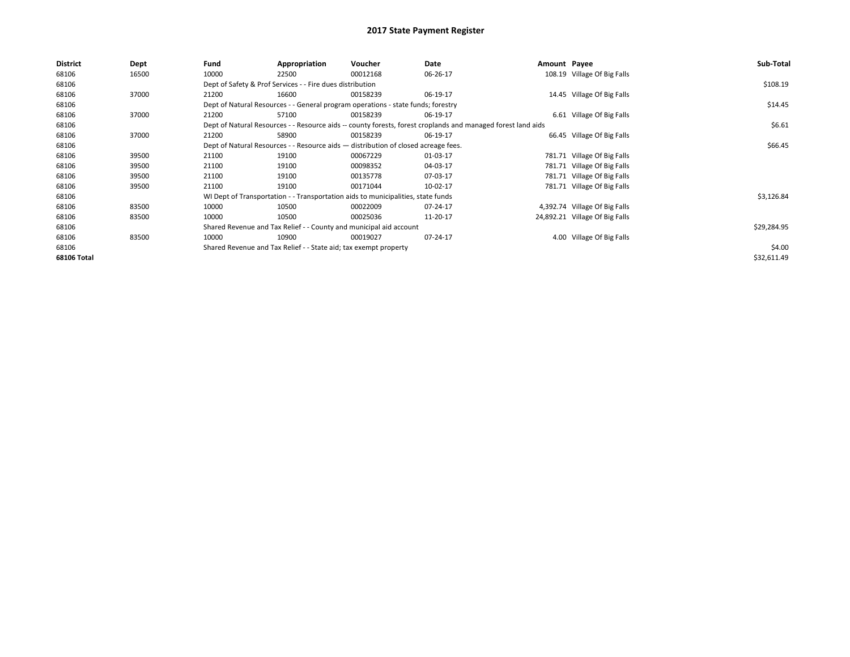| <b>District</b> | Dept  | Fund  | Appropriation                                                                      | Voucher  | Date                                                                                                         | Amount Payee |                                | Sub-Total   |
|-----------------|-------|-------|------------------------------------------------------------------------------------|----------|--------------------------------------------------------------------------------------------------------------|--------------|--------------------------------|-------------|
| 68106           | 16500 | 10000 | 22500                                                                              | 00012168 | 06-26-17                                                                                                     |              | 108.19 Village Of Big Falls    |             |
| 68106           |       |       | Dept of Safety & Prof Services - - Fire dues distribution                          |          |                                                                                                              |              |                                | \$108.19    |
| 68106           | 37000 | 21200 | 16600                                                                              | 00158239 | 06-19-17                                                                                                     |              | 14.45 Village Of Big Falls     |             |
| 68106           |       |       | Dept of Natural Resources - - General program operations - state funds; forestry   |          |                                                                                                              |              |                                | \$14.45     |
| 68106           | 37000 | 21200 | 57100                                                                              | 00158239 | 06-19-17                                                                                                     |              | 6.61 Village Of Big Falls      |             |
| 68106           |       |       |                                                                                    |          | Dept of Natural Resources - - Resource aids -- county forests, forest croplands and managed forest land aids |              |                                | \$6.61      |
| 68106           | 37000 | 21200 | 58900                                                                              | 00158239 | 06-19-17                                                                                                     |              | 66.45 Village Of Big Falls     |             |
| 68106           |       |       | Dept of Natural Resources - - Resource aids - distribution of closed acreage fees. |          | \$66.45                                                                                                      |              |                                |             |
| 68106           | 39500 | 21100 | 19100                                                                              | 00067229 | 01-03-17                                                                                                     |              | 781.71 Village Of Big Falls    |             |
| 68106           | 39500 | 21100 | 19100                                                                              | 00098352 | 04-03-17                                                                                                     |              | 781.71 Village Of Big Falls    |             |
| 68106           | 39500 | 21100 | 19100                                                                              | 00135778 | 07-03-17                                                                                                     |              | 781.71 Village Of Big Falls    |             |
| 68106           | 39500 | 21100 | 19100                                                                              | 00171044 | 10-02-17                                                                                                     |              | 781.71 Village Of Big Falls    |             |
| 68106           |       |       | WI Dept of Transportation - - Transportation aids to municipalities, state funds   |          |                                                                                                              |              |                                | \$3,126.84  |
| 68106           | 83500 | 10000 | 10500                                                                              | 00022009 | 07-24-17                                                                                                     |              | 4,392.74 Village Of Big Falls  |             |
| 68106           | 83500 | 10000 | 10500                                                                              | 00025036 | 11-20-17                                                                                                     |              | 24,892.21 Village Of Big Falls |             |
| 68106           |       |       | Shared Revenue and Tax Relief - - County and municipal aid account                 |          |                                                                                                              |              |                                | \$29,284.95 |
| 68106           | 83500 | 10000 | 10900                                                                              | 00019027 | 07-24-17                                                                                                     |              | 4.00 Village Of Big Falls      |             |
| 68106           |       |       | Shared Revenue and Tax Relief - - State aid; tax exempt property                   |          |                                                                                                              |              |                                | \$4.00      |
| 68106 Total     |       |       |                                                                                    |          |                                                                                                              |              |                                | \$32,611.49 |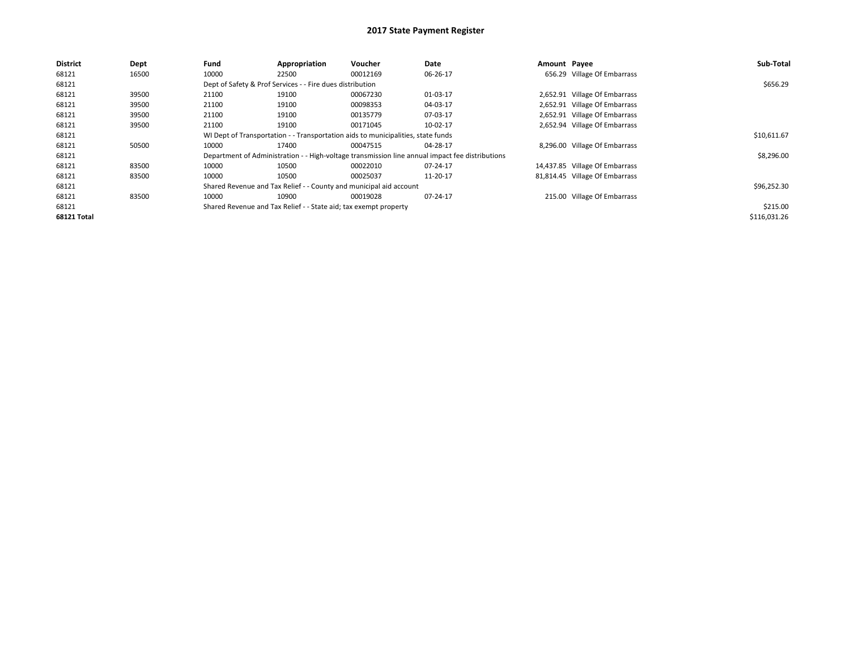| <b>District</b> | Dept  | Fund  | Appropriation                                                                    | <b>Voucher</b>                                                     | Date                                                                                            | Amount Payee |                                | Sub-Total    |  |  |  |
|-----------------|-------|-------|----------------------------------------------------------------------------------|--------------------------------------------------------------------|-------------------------------------------------------------------------------------------------|--------------|--------------------------------|--------------|--|--|--|
| 68121           | 16500 | 10000 | 22500                                                                            | 00012169                                                           | 06-26-17                                                                                        |              | 656.29 Village Of Embarrass    |              |  |  |  |
| 68121           |       |       | Dept of Safety & Prof Services - - Fire dues distribution                        |                                                                    |                                                                                                 |              |                                | \$656.29     |  |  |  |
| 68121           | 39500 | 21100 | 19100                                                                            | 00067230                                                           | 01-03-17                                                                                        |              | 2,652.91 Village Of Embarrass  |              |  |  |  |
| 68121           | 39500 | 21100 | 19100                                                                            | 00098353                                                           | 04-03-17                                                                                        |              | 2,652.91 Village Of Embarrass  |              |  |  |  |
| 68121           | 39500 | 21100 | 19100                                                                            | 00135779                                                           | 07-03-17                                                                                        |              | 2,652.91 Village Of Embarrass  |              |  |  |  |
| 68121           | 39500 | 21100 | 19100                                                                            | 00171045                                                           | 10-02-17                                                                                        |              | 2,652.94 Village Of Embarrass  |              |  |  |  |
| 68121           |       |       | WI Dept of Transportation - - Transportation aids to municipalities, state funds |                                                                    |                                                                                                 |              |                                |              |  |  |  |
| 68121           | 50500 | 10000 | 17400                                                                            | 00047515                                                           | 04-28-17                                                                                        |              | 8,296.00 Village Of Embarrass  |              |  |  |  |
| 68121           |       |       |                                                                                  |                                                                    | Department of Administration - - High-voltage transmission line annual impact fee distributions |              |                                | \$8,296.00   |  |  |  |
| 68121           | 83500 | 10000 | 10500                                                                            | 00022010                                                           | 07-24-17                                                                                        |              | 14,437.85 Village Of Embarrass |              |  |  |  |
| 68121           | 83500 | 10000 | 10500                                                                            | 00025037                                                           | 11-20-17                                                                                        |              | 81,814.45 Village Of Embarrass |              |  |  |  |
| 68121           |       |       |                                                                                  | Shared Revenue and Tax Relief - - County and municipal aid account |                                                                                                 |              |                                | \$96,252.30  |  |  |  |
| 68121           | 83500 | 10000 | 10900                                                                            | 00019028                                                           | 07-24-17                                                                                        |              | 215.00 Village Of Embarrass    |              |  |  |  |
| 68121           |       |       | Shared Revenue and Tax Relief - - State aid; tax exempt property                 |                                                                    |                                                                                                 |              |                                | \$215.00     |  |  |  |
| 68121 Total     |       |       |                                                                                  |                                                                    |                                                                                                 |              |                                | \$116,031.26 |  |  |  |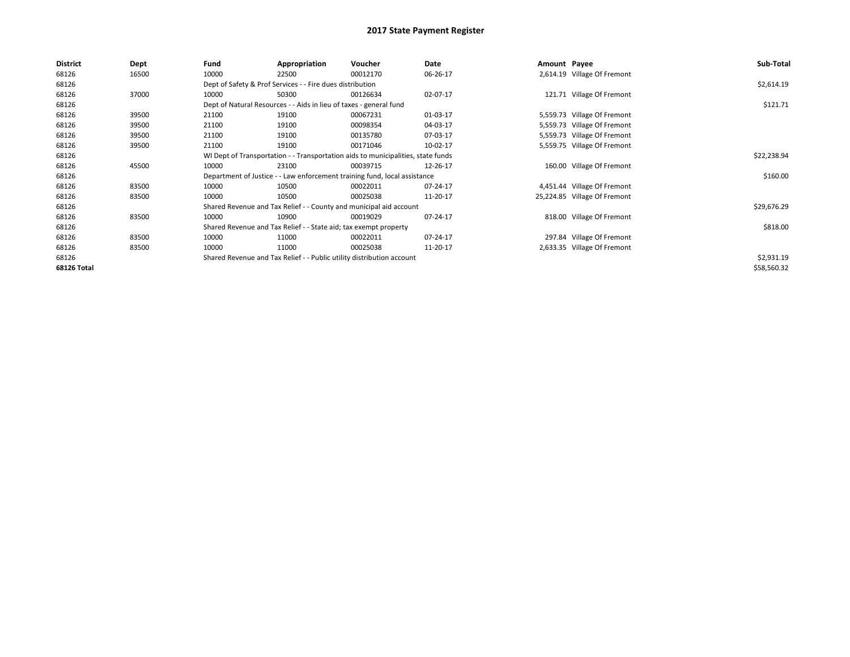| <b>District</b>    | Dept  | Fund  | Appropriation                                                                    | Voucher  | Date     | Amount Payee |                              | Sub-Total   |
|--------------------|-------|-------|----------------------------------------------------------------------------------|----------|----------|--------------|------------------------------|-------------|
| 68126              | 16500 | 10000 | 22500                                                                            | 00012170 | 06-26-17 |              | 2,614.19 Village Of Fremont  |             |
| 68126              |       |       | Dept of Safety & Prof Services - - Fire dues distribution                        |          |          |              |                              | \$2,614.19  |
| 68126              | 37000 | 10000 | 50300                                                                            | 00126634 | 02-07-17 |              | 121.71 Village Of Fremont    |             |
| 68126              |       |       | Dept of Natural Resources - - Aids in lieu of taxes - general fund               |          |          |              |                              | \$121.71    |
| 68126              | 39500 | 21100 | 19100                                                                            | 00067231 | 01-03-17 |              | 5,559.73 Village Of Fremont  |             |
| 68126              | 39500 | 21100 | 19100                                                                            | 00098354 | 04-03-17 |              | 5,559.73 Village Of Fremont  |             |
| 68126              | 39500 | 21100 | 19100                                                                            | 00135780 | 07-03-17 |              | 5,559.73 Village Of Fremont  |             |
| 68126              | 39500 | 21100 | 19100                                                                            | 00171046 | 10-02-17 |              | 5,559.75 Village Of Fremont  |             |
| 68126              |       |       | WI Dept of Transportation - - Transportation aids to municipalities, state funds |          |          |              |                              | \$22,238.94 |
| 68126              | 45500 | 10000 | 23100                                                                            | 00039715 | 12-26-17 |              | 160.00 Village Of Fremont    |             |
| 68126              |       |       | Department of Justice - - Law enforcement training fund, local assistance        |          |          |              |                              | \$160.00    |
| 68126              | 83500 | 10000 | 10500                                                                            | 00022011 | 07-24-17 |              | 4,451.44 Village Of Fremont  |             |
| 68126              | 83500 | 10000 | 10500                                                                            | 00025038 | 11-20-17 |              | 25,224.85 Village Of Fremont |             |
| 68126              |       |       | Shared Revenue and Tax Relief - - County and municipal aid account               |          |          |              |                              | \$29,676.29 |
| 68126              | 83500 | 10000 | 10900                                                                            | 00019029 | 07-24-17 |              | 818.00 Village Of Fremont    |             |
| 68126              |       |       | Shared Revenue and Tax Relief - - State aid; tax exempt property                 |          |          |              |                              | \$818.00    |
| 68126              | 83500 | 10000 | 11000                                                                            | 00022011 | 07-24-17 |              | 297.84 Village Of Fremont    |             |
| 68126              | 83500 | 10000 | 11000                                                                            | 00025038 | 11-20-17 |              | 2,633.35 Village Of Fremont  |             |
| 68126              |       |       | Shared Revenue and Tax Relief - - Public utility distribution account            |          |          |              |                              | \$2,931.19  |
| <b>68126 Total</b> |       |       |                                                                                  |          |          |              |                              | \$58,560.32 |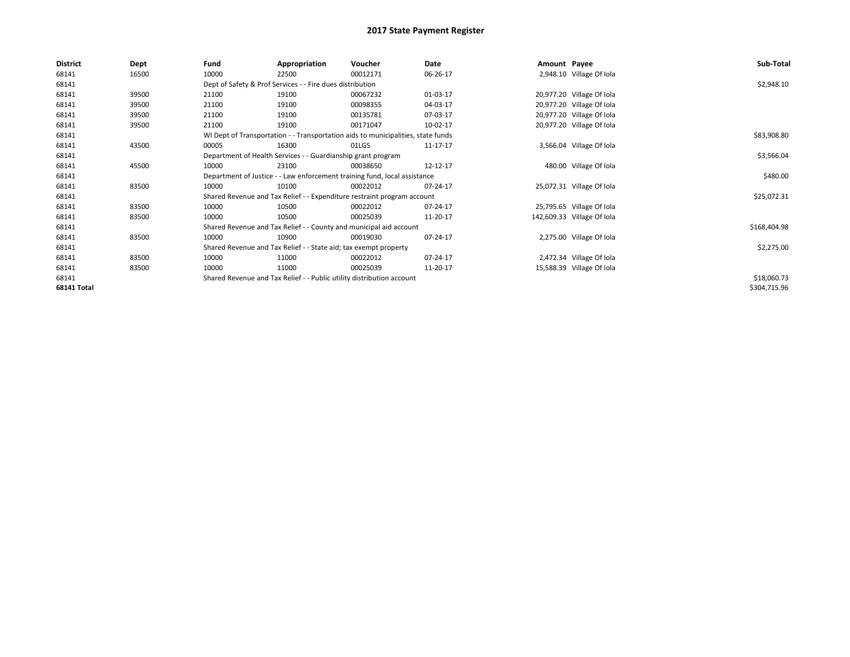| District           | Dept  | Fund                                                                      | Appropriation                                                                    | Voucher  | Date     | Amount Payee |                            | Sub-Total    |
|--------------------|-------|---------------------------------------------------------------------------|----------------------------------------------------------------------------------|----------|----------|--------------|----------------------------|--------------|
| 68141              | 16500 | 10000                                                                     | 22500                                                                            | 00012171 | 06-26-17 |              | 2,948.10 Village Of Iola   |              |
| 68141              |       |                                                                           | Dept of Safety & Prof Services - - Fire dues distribution                        |          |          |              |                            | \$2,948.10   |
| 68141              | 39500 | 21100                                                                     | 19100                                                                            | 00067232 | 01-03-17 |              | 20,977.20 Village Of Iola  |              |
| 68141              | 39500 | 21100                                                                     | 19100                                                                            | 00098355 | 04-03-17 |              | 20,977.20 Village Of Iola  |              |
| 68141              | 39500 | 21100                                                                     | 19100                                                                            | 00135781 | 07-03-17 |              | 20,977.20 Village Of Iola  |              |
| 68141              | 39500 | 21100                                                                     | 19100                                                                            | 00171047 | 10-02-17 |              | 20,977.20 Village Of Iola  |              |
| 68141              |       |                                                                           | WI Dept of Transportation - - Transportation aids to municipalities, state funds |          |          |              |                            | \$83,908.80  |
| 68141              | 43500 | 00005                                                                     | 16300                                                                            | 01LGS    | 11-17-17 |              | 3,566.04 Village Of Iola   |              |
| 68141              |       |                                                                           | Department of Health Services - - Guardianship grant program                     |          |          |              |                            | \$3,566.04   |
| 68141              | 45500 | 10000                                                                     | 23100                                                                            | 00038650 | 12-12-17 |              | 480.00 Village Of Iola     |              |
| 68141              |       | Department of Justice - - Law enforcement training fund, local assistance |                                                                                  | \$480.00 |          |              |                            |              |
| 68141              | 83500 | 10000                                                                     | 10100                                                                            | 00022012 | 07-24-17 |              | 25,072.31 Village Of Iola  |              |
| 68141              |       |                                                                           | Shared Revenue and Tax Relief - - Expenditure restraint program account          |          |          |              |                            | \$25,072.31  |
| 68141              | 83500 | 10000                                                                     | 10500                                                                            | 00022012 | 07-24-17 |              | 25,795.65 Village Of Iola  |              |
| 68141              | 83500 | 10000                                                                     | 10500                                                                            | 00025039 | 11-20-17 |              | 142,609.33 Village Of Iola |              |
| 68141              |       |                                                                           | Shared Revenue and Tax Relief - - County and municipal aid account               |          |          |              |                            | \$168,404.98 |
| 68141              | 83500 | 10000                                                                     | 10900                                                                            | 00019030 | 07-24-17 |              | 2,275.00 Village Of Iola   |              |
| 68141              |       |                                                                           | Shared Revenue and Tax Relief - - State aid; tax exempt property                 |          |          |              |                            | \$2,275.00   |
| 68141              | 83500 | 10000                                                                     | 11000                                                                            | 00022012 | 07-24-17 |              | 2,472.34 Village Of Iola   |              |
| 68141              | 83500 | 10000                                                                     | 11000                                                                            | 00025039 | 11-20-17 |              | 15,588.39 Village Of Iola  |              |
| 68141              |       |                                                                           | Shared Revenue and Tax Relief - - Public utility distribution account            |          |          |              |                            | \$18,060.73  |
| <b>68141 Total</b> |       |                                                                           |                                                                                  |          |          |              |                            | \$304,715.96 |
|                    |       |                                                                           |                                                                                  |          |          |              |                            |              |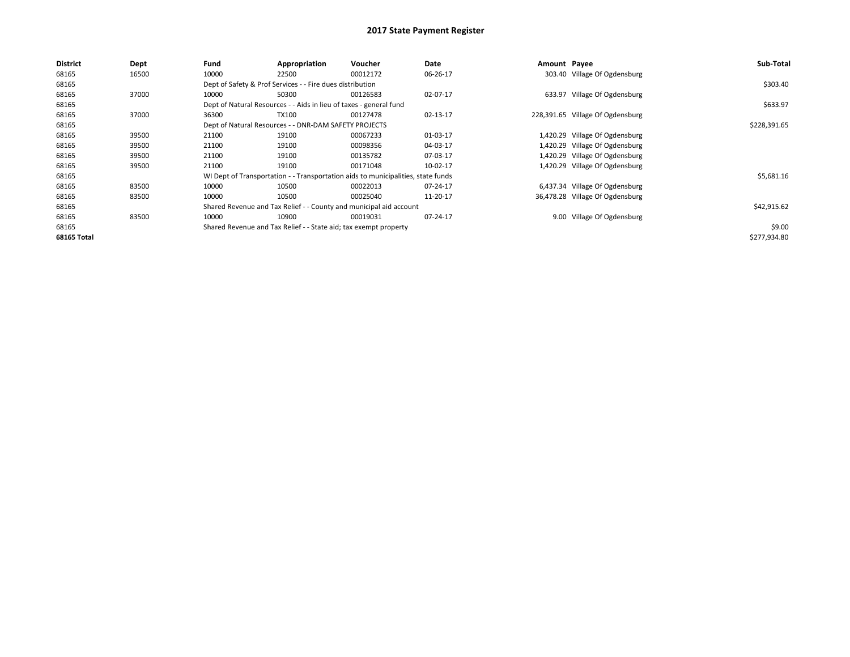| <b>District</b>    | Dept  | Fund  | Appropriation                                                      | Voucher                                                                          | Date     | Amount Payee |                                  | Sub-Total    |
|--------------------|-------|-------|--------------------------------------------------------------------|----------------------------------------------------------------------------------|----------|--------------|----------------------------------|--------------|
| 68165              | 16500 | 10000 | 22500                                                              | 00012172                                                                         | 06-26-17 |              | 303.40 Village Of Ogdensburg     |              |
| 68165              |       |       | Dept of Safety & Prof Services - - Fire dues distribution          |                                                                                  |          |              |                                  | \$303.40     |
| 68165              | 37000 | 10000 | 50300                                                              | 00126583                                                                         | 02-07-17 |              | 633.97 Village Of Ogdensburg     |              |
| 68165              |       |       | Dept of Natural Resources - - Aids in lieu of taxes - general fund |                                                                                  |          |              |                                  | \$633.97     |
| 68165              | 37000 | 36300 | <b>TX100</b>                                                       | 00127478                                                                         | 02-13-17 |              | 228,391.65 Village Of Ogdensburg |              |
| 68165              |       |       | Dept of Natural Resources - - DNR-DAM SAFETY PROJECTS              |                                                                                  |          |              |                                  | \$228,391.65 |
| 68165              | 39500 | 21100 | 19100                                                              | 00067233                                                                         | 01-03-17 |              | 1,420.29 Village Of Ogdensburg   |              |
| 68165              | 39500 | 21100 | 19100                                                              | 00098356                                                                         | 04-03-17 |              | 1,420.29 Village Of Ogdensburg   |              |
| 68165              | 39500 | 21100 | 19100                                                              | 00135782                                                                         | 07-03-17 |              | 1,420.29 Village Of Ogdensburg   |              |
| 68165              | 39500 | 21100 | 19100                                                              | 00171048                                                                         | 10-02-17 |              | 1,420.29 Village Of Ogdensburg   |              |
| 68165              |       |       |                                                                    | WI Dept of Transportation - - Transportation aids to municipalities, state funds |          |              |                                  | \$5,681.16   |
| 68165              | 83500 | 10000 | 10500                                                              | 00022013                                                                         | 07-24-17 |              | 6,437.34 Village Of Ogdensburg   |              |
| 68165              | 83500 | 10000 | 10500                                                              | 00025040                                                                         | 11-20-17 |              | 36,478.28 Village Of Ogdensburg  |              |
| 68165              |       |       |                                                                    | Shared Revenue and Tax Relief - - County and municipal aid account               |          |              |                                  | \$42,915.62  |
| 68165              | 83500 | 10000 | 10900                                                              | 00019031                                                                         | 07-24-17 |              | 9.00 Village Of Ogdensburg       |              |
| 68165              |       |       | Shared Revenue and Tax Relief - - State aid; tax exempt property   |                                                                                  |          |              |                                  | \$9.00       |
| <b>68165 Total</b> |       |       |                                                                    |                                                                                  |          |              |                                  | \$277,934.80 |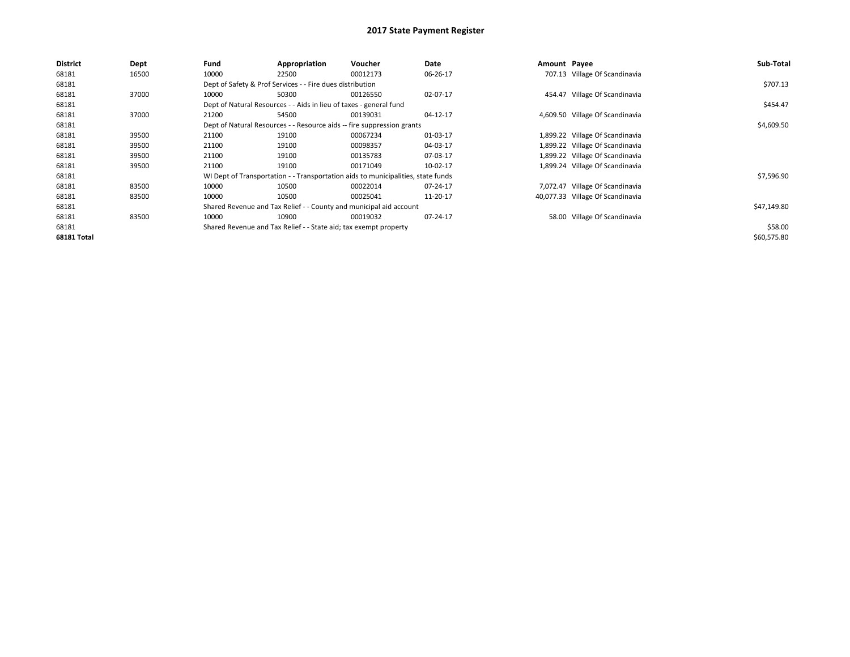| <b>District</b> | Dept  | Fund  | Appropriation                                                                    | Voucher  | Date     | Amount Payee |                                  | Sub-Total   |  |  |
|-----------------|-------|-------|----------------------------------------------------------------------------------|----------|----------|--------------|----------------------------------|-------------|--|--|
| 68181           | 16500 | 10000 | 22500                                                                            | 00012173 | 06-26-17 |              | 707.13 Village Of Scandinavia    |             |  |  |
| 68181           |       |       | Dept of Safety & Prof Services - - Fire dues distribution                        |          |          |              |                                  | \$707.13    |  |  |
| 68181           | 37000 | 10000 | 50300                                                                            | 00126550 | 02-07-17 |              | 454.47 Village Of Scandinavia    |             |  |  |
| 68181           |       |       | Dept of Natural Resources - - Aids in lieu of taxes - general fund               |          |          |              |                                  | \$454.47    |  |  |
| 68181           | 37000 | 21200 | 54500                                                                            | 00139031 | 04-12-17 |              | 4,609.50 Village Of Scandinavia  |             |  |  |
| 68181           |       |       | Dept of Natural Resources - - Resource aids -- fire suppression grants           |          |          |              |                                  |             |  |  |
| 68181           | 39500 | 21100 | 19100                                                                            | 00067234 | 01-03-17 |              | 1,899.22 Village Of Scandinavia  |             |  |  |
| 68181           | 39500 | 21100 | 19100                                                                            | 00098357 | 04-03-17 |              | 1,899.22 Village Of Scandinavia  |             |  |  |
| 68181           | 39500 | 21100 | 19100                                                                            | 00135783 | 07-03-17 |              | 1,899.22 Village Of Scandinavia  |             |  |  |
| 68181           | 39500 | 21100 | 19100                                                                            | 00171049 | 10-02-17 |              | 1,899.24 Village Of Scandinavia  |             |  |  |
| 68181           |       |       | WI Dept of Transportation - - Transportation aids to municipalities, state funds |          |          |              |                                  | \$7,596.90  |  |  |
| 68181           | 83500 | 10000 | 10500                                                                            | 00022014 | 07-24-17 | 7.072.47     | Village Of Scandinavia           |             |  |  |
| 68181           | 83500 | 10000 | 10500                                                                            | 00025041 | 11-20-17 |              | 40,077.33 Village Of Scandinavia |             |  |  |
| 68181           |       |       | Shared Revenue and Tax Relief - - County and municipal aid account               |          |          |              |                                  | \$47,149.80 |  |  |
| 68181           | 83500 | 10000 | 10900                                                                            | 00019032 | 07-24-17 |              | 58.00 Village Of Scandinavia     |             |  |  |
| 68181           |       |       | Shared Revenue and Tax Relief - - State aid; tax exempt property                 |          |          |              |                                  | \$58.00     |  |  |
| 68181 Total     |       |       |                                                                                  |          |          |              |                                  | \$60,575.80 |  |  |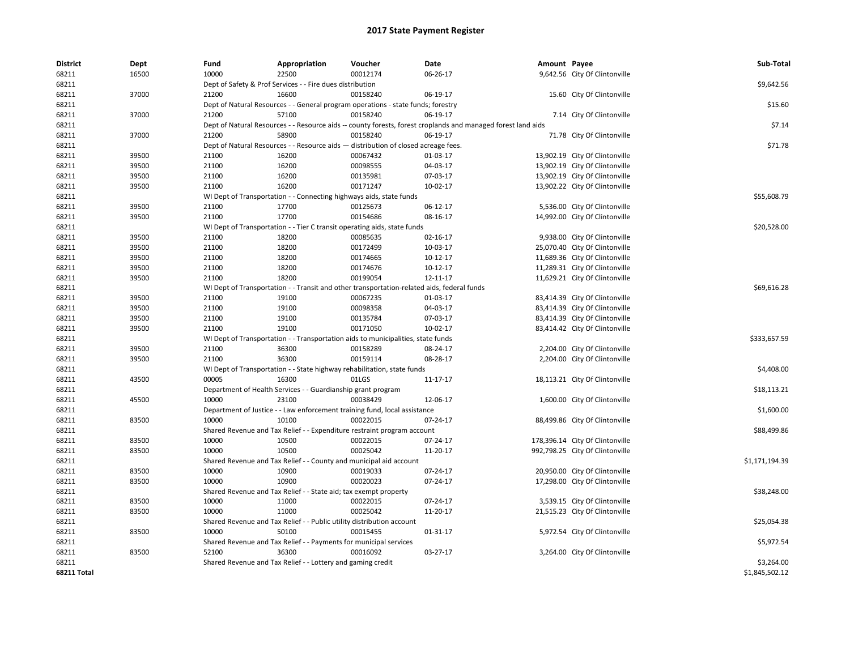| <b>District</b> | Dept  | Fund  | Appropriation                                                                              | Voucher  | Date                                                                                                         | Amount Payee |                                 | Sub-Total      |
|-----------------|-------|-------|--------------------------------------------------------------------------------------------|----------|--------------------------------------------------------------------------------------------------------------|--------------|---------------------------------|----------------|
| 68211           | 16500 | 10000 | 22500                                                                                      | 00012174 | 06-26-17                                                                                                     |              | 9,642.56 City Of Clintonville   |                |
| 68211           |       |       | Dept of Safety & Prof Services - - Fire dues distribution                                  |          |                                                                                                              |              |                                 | \$9,642.56     |
| 68211           | 37000 | 21200 | 16600                                                                                      | 00158240 | 06-19-17                                                                                                     |              | 15.60 City Of Clintonville      |                |
| 68211           |       |       | Dept of Natural Resources - - General program operations - state funds; forestry           |          |                                                                                                              |              |                                 | \$15.60        |
| 68211           | 37000 | 21200 | 57100                                                                                      | 00158240 | 06-19-17                                                                                                     |              | 7.14 City Of Clintonville       |                |
| 68211           |       |       |                                                                                            |          | Dept of Natural Resources - - Resource aids -- county forests, forest croplands and managed forest land aids |              |                                 | \$7.14         |
| 68211           | 37000 | 21200 | 58900                                                                                      | 00158240 | 06-19-17                                                                                                     |              | 71.78 City Of Clintonville      |                |
| 68211           |       |       | Dept of Natural Resources - - Resource aids - distribution of closed acreage fees.         |          |                                                                                                              |              |                                 | \$71.78        |
| 68211           | 39500 | 21100 | 16200                                                                                      | 00067432 | 01-03-17                                                                                                     |              | 13,902.19 City Of Clintonville  |                |
| 68211           | 39500 | 21100 | 16200                                                                                      | 00098555 | 04-03-17                                                                                                     |              | 13,902.19 City Of Clintonville  |                |
| 68211           | 39500 | 21100 | 16200                                                                                      | 00135981 | 07-03-17                                                                                                     |              | 13,902.19 City Of Clintonville  |                |
| 68211           | 39500 | 21100 | 16200                                                                                      | 00171247 | 10-02-17                                                                                                     |              | 13,902.22 City Of Clintonville  |                |
| 68211           |       |       | WI Dept of Transportation - - Connecting highways aids, state funds                        |          |                                                                                                              |              |                                 | \$55,608.79    |
| 68211           | 39500 | 21100 | 17700                                                                                      | 00125673 | 06-12-17                                                                                                     |              | 5,536.00 City Of Clintonville   |                |
| 68211           | 39500 | 21100 | 17700                                                                                      | 00154686 | 08-16-17                                                                                                     |              | 14,992.00 City Of Clintonville  |                |
| 68211           |       |       | WI Dept of Transportation - - Tier C transit operating aids, state funds                   |          |                                                                                                              |              |                                 | \$20,528.00    |
| 68211           | 39500 | 21100 | 18200                                                                                      | 00085635 | 02-16-17                                                                                                     |              | 9,938.00 City Of Clintonville   |                |
| 68211           | 39500 | 21100 | 18200                                                                                      | 00172499 | 10-03-17                                                                                                     |              | 25,070.40 City Of Clintonville  |                |
| 68211           | 39500 | 21100 | 18200                                                                                      | 00174665 | 10-12-17                                                                                                     |              | 11,689.36 City Of Clintonville  |                |
| 68211           | 39500 | 21100 | 18200                                                                                      | 00174676 | 10-12-17                                                                                                     |              | 11,289.31 City Of Clintonville  |                |
| 68211           | 39500 | 21100 | 18200                                                                                      | 00199054 | 12-11-17                                                                                                     |              | 11,629.21 City Of Clintonville  |                |
| 68211           |       |       | WI Dept of Transportation - - Transit and other transportation-related aids, federal funds |          |                                                                                                              |              |                                 | \$69,616.28    |
| 68211           | 39500 | 21100 | 19100                                                                                      | 00067235 | 01-03-17                                                                                                     |              | 83,414.39 City Of Clintonville  |                |
| 68211           | 39500 | 21100 | 19100                                                                                      | 00098358 | 04-03-17                                                                                                     |              | 83,414.39 City Of Clintonville  |                |
| 68211           | 39500 | 21100 | 19100                                                                                      | 00135784 | 07-03-17                                                                                                     |              | 83,414.39 City Of Clintonville  |                |
| 68211           | 39500 | 21100 | 19100                                                                                      | 00171050 | 10-02-17                                                                                                     |              | 83,414.42 City Of Clintonville  |                |
| 68211           |       |       | WI Dept of Transportation - - Transportation aids to municipalities, state funds           |          |                                                                                                              |              |                                 | \$333,657.59   |
| 68211           | 39500 | 21100 | 36300                                                                                      | 00158289 | 08-24-17                                                                                                     |              | 2,204.00 City Of Clintonville   |                |
| 68211           | 39500 | 21100 | 36300                                                                                      | 00159114 | 08-28-17                                                                                                     |              | 2,204.00 City Of Clintonville   |                |
| 68211           |       |       | WI Dept of Transportation - - State highway rehabilitation, state funds                    |          |                                                                                                              |              |                                 | \$4,408.00     |
| 68211           | 43500 | 00005 | 16300                                                                                      | 01LGS    | 11-17-17                                                                                                     |              | 18,113.21 City Of Clintonville  |                |
| 68211           |       |       | Department of Health Services - - Guardianship grant program                               |          |                                                                                                              |              |                                 | \$18,113.21    |
| 68211           | 45500 | 10000 | 23100                                                                                      | 00038429 | 12-06-17                                                                                                     |              | 1,600.00 City Of Clintonville   |                |
| 68211           |       |       | Department of Justice - - Law enforcement training fund, local assistance                  |          |                                                                                                              |              |                                 | \$1,600.00     |
| 68211           | 83500 | 10000 | 10100                                                                                      | 00022015 | 07-24-17                                                                                                     |              | 88,499.86 City Of Clintonville  |                |
| 68211           |       |       | Shared Revenue and Tax Relief - - Expenditure restraint program account                    |          |                                                                                                              |              |                                 | \$88,499.86    |
| 68211           | 83500 | 10000 | 10500                                                                                      | 00022015 | 07-24-17                                                                                                     |              | 178,396.14 City Of Clintonville |                |
| 68211           | 83500 | 10000 | 10500                                                                                      | 00025042 | 11-20-17                                                                                                     |              | 992,798.25 City Of Clintonville |                |
| 68211           |       |       | Shared Revenue and Tax Relief - - County and municipal aid account                         |          |                                                                                                              |              |                                 | \$1,171,194.39 |
| 68211           | 83500 | 10000 | 10900                                                                                      | 00019033 | 07-24-17                                                                                                     |              | 20,950.00 City Of Clintonville  |                |
| 68211           | 83500 | 10000 | 10900                                                                                      | 00020023 | 07-24-17                                                                                                     |              | 17,298.00 City Of Clintonville  |                |
| 68211           |       |       |                                                                                            |          |                                                                                                              |              |                                 | \$38,248.00    |
| 68211           | 83500 | 10000 | Shared Revenue and Tax Relief - - State aid; tax exempt property<br>11000                  | 00022015 | 07-24-17                                                                                                     |              |                                 |                |
|                 |       | 10000 |                                                                                            | 00025042 |                                                                                                              |              | 3,539.15 City Of Clintonville   |                |
| 68211           | 83500 |       | 11000                                                                                      |          | 11-20-17                                                                                                     |              | 21,515.23 City Of Clintonville  |                |
| 68211           |       |       | Shared Revenue and Tax Relief - - Public utility distribution account                      |          |                                                                                                              |              |                                 | \$25,054.38    |
| 68211           | 83500 | 10000 | 50100                                                                                      | 00015455 | 01-31-17                                                                                                     |              | 5,972.54 City Of Clintonville   |                |
| 68211           |       |       | Shared Revenue and Tax Relief - - Payments for municipal services                          |          |                                                                                                              |              |                                 | \$5,972.54     |
| 68211           | 83500 | 52100 | 36300                                                                                      | 00016092 | 03-27-17                                                                                                     |              | 3,264.00 City Of Clintonville   |                |
| 68211           |       |       | Shared Revenue and Tax Relief - - Lottery and gaming credit                                |          |                                                                                                              |              |                                 | \$3,264.00     |
| 68211 Total     |       |       |                                                                                            |          |                                                                                                              |              |                                 | \$1,845,502.12 |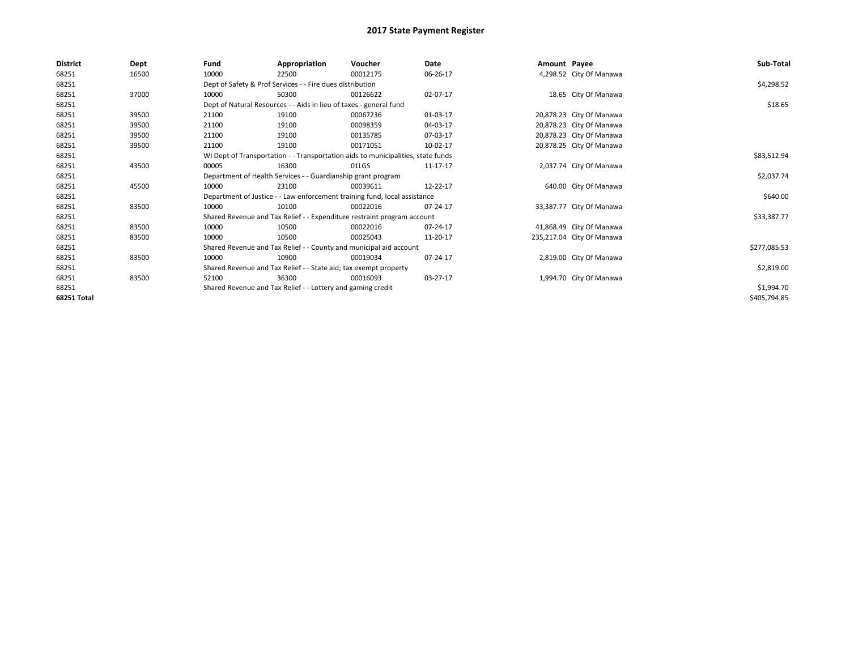| <b>District</b>    | Dept  | Fund  | Appropriation                                                      | Voucher                                                                          | Date     | Amount Payee |                           | Sub-Total    |
|--------------------|-------|-------|--------------------------------------------------------------------|----------------------------------------------------------------------------------|----------|--------------|---------------------------|--------------|
| 68251              | 16500 | 10000 | 22500                                                              | 00012175                                                                         | 06-26-17 |              | 4,298.52 City Of Manawa   |              |
| 68251              |       |       | Dept of Safety & Prof Services - - Fire dues distribution          |                                                                                  |          |              |                           | \$4,298.52   |
| 68251              | 37000 | 10000 | 50300                                                              | 00126622                                                                         | 02-07-17 |              | 18.65 City Of Manawa      |              |
| 68251              |       |       | Dept of Natural Resources - - Aids in lieu of taxes - general fund |                                                                                  |          |              |                           | \$18.65      |
| 68251              | 39500 | 21100 | 19100                                                              | 00067236                                                                         | 01-03-17 |              | 20,878.23 City Of Manawa  |              |
| 68251              | 39500 | 21100 | 19100                                                              | 00098359                                                                         | 04-03-17 |              | 20,878.23 City Of Manawa  |              |
| 68251              | 39500 | 21100 | 19100                                                              | 00135785                                                                         | 07-03-17 |              | 20,878.23 City Of Manawa  |              |
| 68251              | 39500 | 21100 | 19100                                                              | 00171051                                                                         | 10-02-17 |              | 20,878.25 City Of Manawa  |              |
| 68251              |       |       |                                                                    | WI Dept of Transportation - - Transportation aids to municipalities, state funds |          |              |                           | \$83,512.94  |
| 68251              | 43500 | 00005 | 16300                                                              | 01LGS                                                                            | 11-17-17 |              | 2,037.74 City Of Manawa   |              |
| 68251              |       |       | Department of Health Services - - Guardianship grant program       |                                                                                  |          |              |                           | \$2,037.74   |
| 68251              | 45500 | 10000 | 23100                                                              | 00039611                                                                         | 12-22-17 |              | 640.00 City Of Manawa     |              |
| 68251              |       |       |                                                                    | Department of Justice - - Law enforcement training fund, local assistance        |          |              |                           | \$640.00     |
| 68251              | 83500 | 10000 | 10100                                                              | 00022016                                                                         | 07-24-17 |              | 33,387.77 City Of Manawa  |              |
| 68251              |       |       |                                                                    | Shared Revenue and Tax Relief - - Expenditure restraint program account          |          |              |                           | \$33,387.77  |
| 68251              | 83500 | 10000 | 10500                                                              | 00022016                                                                         | 07-24-17 |              | 41,868.49 City Of Manawa  |              |
| 68251              | 83500 | 10000 | 10500                                                              | 00025043                                                                         | 11-20-17 |              | 235,217.04 City Of Manawa |              |
| 68251              |       |       |                                                                    | Shared Revenue and Tax Relief - - County and municipal aid account               |          |              |                           | \$277,085.53 |
| 68251              | 83500 | 10000 | 10900                                                              | 00019034                                                                         | 07-24-17 |              | 2,819.00 City Of Manawa   |              |
| 68251              |       |       | Shared Revenue and Tax Relief - - State aid; tax exempt property   |                                                                                  |          |              |                           | \$2,819.00   |
| 68251              | 83500 | 52100 | 36300                                                              | 00016093                                                                         | 03-27-17 |              | 1,994.70 City Of Manawa   |              |
| 68251              |       |       | Shared Revenue and Tax Relief - - Lottery and gaming credit        |                                                                                  |          |              |                           | \$1,994.70   |
| <b>68251 Total</b> |       |       |                                                                    |                                                                                  |          |              |                           | \$405,794.85 |
|                    |       |       |                                                                    |                                                                                  |          |              |                           |              |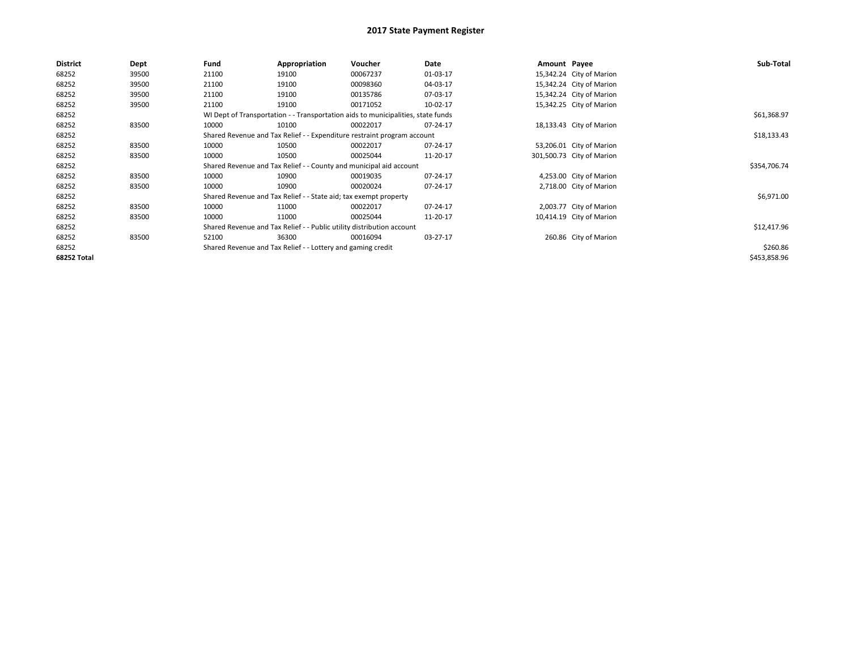| <b>District</b> | Dept  | Fund  | Appropriation                                                           | Voucher                                                                          | Date        | Amount Payee |                           | Sub-Total    |
|-----------------|-------|-------|-------------------------------------------------------------------------|----------------------------------------------------------------------------------|-------------|--------------|---------------------------|--------------|
| 68252           | 39500 | 21100 | 19100                                                                   | 00067237                                                                         | 01-03-17    |              | 15,342.24 City of Marion  |              |
| 68252           | 39500 | 21100 | 19100                                                                   | 00098360                                                                         | 04-03-17    |              | 15,342.24 City of Marion  |              |
| 68252           | 39500 | 21100 | 19100                                                                   | 00135786                                                                         | 07-03-17    |              | 15,342.24 City of Marion  |              |
| 68252           | 39500 | 21100 | 19100                                                                   | 00171052                                                                         | 10-02-17    |              | 15,342.25 City of Marion  |              |
| 68252           |       |       |                                                                         | WI Dept of Transportation - - Transportation aids to municipalities, state funds |             |              |                           | \$61,368.97  |
| 68252           | 83500 | 10000 | 10100                                                                   | 00022017                                                                         | 07-24-17    |              | 18,133.43 City of Marion  |              |
| 68252           |       |       | Shared Revenue and Tax Relief - - Expenditure restraint program account |                                                                                  | \$18,133.43 |              |                           |              |
| 68252           | 83500 | 10000 | 10500                                                                   | 00022017                                                                         | 07-24-17    |              | 53,206.01 City of Marion  |              |
| 68252           | 83500 | 10000 | 10500                                                                   | 00025044                                                                         | 11-20-17    |              | 301,500.73 City of Marion |              |
| 68252           |       |       |                                                                         | Shared Revenue and Tax Relief - - County and municipal aid account               |             |              |                           | \$354,706.74 |
| 68252           | 83500 | 10000 | 10900                                                                   | 00019035                                                                         | 07-24-17    |              | 4,253.00 City of Marion   |              |
| 68252           | 83500 | 10000 | 10900                                                                   | 00020024                                                                         | 07-24-17    |              | 2,718.00 City of Marion   |              |
| 68252           |       |       | Shared Revenue and Tax Relief - - State aid; tax exempt property        |                                                                                  |             |              |                           | \$6,971.00   |
| 68252           | 83500 | 10000 | 11000                                                                   | 00022017                                                                         | 07-24-17    |              | 2,003.77 City of Marion   |              |
| 68252           | 83500 | 10000 | 11000                                                                   | 00025044                                                                         | 11-20-17    |              | 10,414.19 City of Marion  |              |
| 68252           |       |       | Shared Revenue and Tax Relief - - Public utility distribution account   |                                                                                  |             |              |                           | \$12,417.96  |
| 68252           | 83500 | 52100 | 36300                                                                   | 00016094                                                                         | 03-27-17    |              | 260.86 City of Marion     |              |
| 68252           |       |       | Shared Revenue and Tax Relief - - Lottery and gaming credit             |                                                                                  |             |              |                           | \$260.86     |
| 68252 Total     |       |       |                                                                         |                                                                                  |             |              |                           | \$453,858.96 |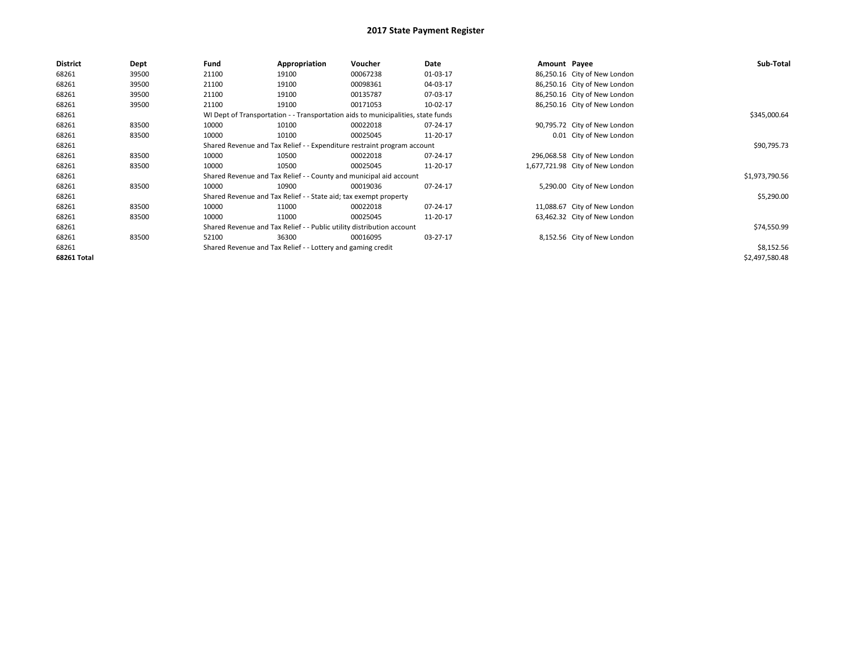| <b>District</b> | Dept  | Fund                                                                             | Appropriation | Voucher        | Date     | Amount Payee |                                 | Sub-Total      |
|-----------------|-------|----------------------------------------------------------------------------------|---------------|----------------|----------|--------------|---------------------------------|----------------|
| 68261           | 39500 | 21100                                                                            | 19100         | 00067238       | 01-03-17 |              | 86,250.16 City of New London    |                |
| 68261           | 39500 | 21100                                                                            | 19100         | 00098361       | 04-03-17 |              | 86,250.16 City of New London    |                |
| 68261           | 39500 | 21100                                                                            | 19100         | 00135787       | 07-03-17 |              | 86,250.16 City of New London    |                |
| 68261           | 39500 | 21100                                                                            | 19100         | 00171053       | 10-02-17 |              | 86,250.16 City of New London    |                |
| 68261           |       | WI Dept of Transportation - - Transportation aids to municipalities, state funds |               | \$345,000.64   |          |              |                                 |                |
| 68261           | 83500 | 10000                                                                            | 10100         | 00022018       | 07-24-17 |              | 90,795.72 City of New London    |                |
| 68261           | 83500 | 10000                                                                            | 10100         | 00025045       | 11-20-17 |              | 0.01 City of New London         |                |
| 68261           |       | Shared Revenue and Tax Relief - - Expenditure restraint program account          |               | \$90,795.73    |          |              |                                 |                |
| 68261           | 83500 | 10000                                                                            | 10500         | 00022018       | 07-24-17 |              | 296,068.58 City of New London   |                |
| 68261           | 83500 | 10000                                                                            | 10500         | 00025045       | 11-20-17 |              | 1,677,721.98 City of New London |                |
| 68261           |       | Shared Revenue and Tax Relief - - County and municipal aid account               |               | \$1,973,790.56 |          |              |                                 |                |
| 68261           | 83500 | 10000                                                                            | 10900         | 00019036       | 07-24-17 |              | 5,290.00 City of New London     |                |
| 68261           |       | Shared Revenue and Tax Relief - - State aid; tax exempt property                 |               | \$5,290.00     |          |              |                                 |                |
| 68261           | 83500 | 10000                                                                            | 11000         | 00022018       | 07-24-17 |              | 11,088.67 City of New London    |                |
| 68261           | 83500 | 10000                                                                            | 11000         | 00025045       | 11-20-17 |              | 63,462.32 City of New London    |                |
| 68261           |       | Shared Revenue and Tax Relief - - Public utility distribution account            |               | \$74,550.99    |          |              |                                 |                |
| 68261           | 83500 | 52100                                                                            | 36300         | 00016095       | 03-27-17 |              | 8,152.56 City of New London     |                |
| 68261           |       | Shared Revenue and Tax Relief - - Lottery and gaming credit                      |               | \$8,152.56     |          |              |                                 |                |
| 68261 Total     |       |                                                                                  |               |                |          |              |                                 | \$2,497,580.48 |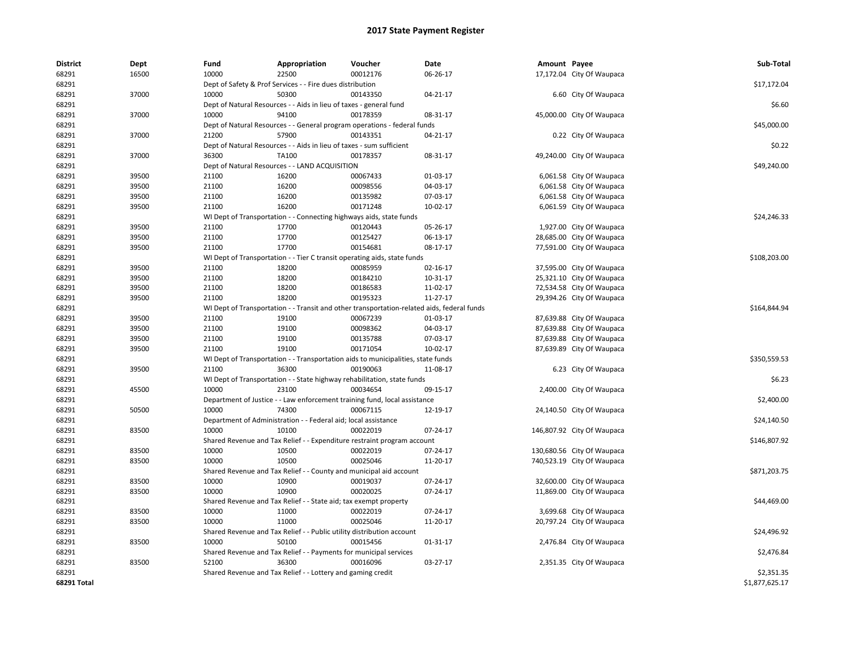| <b>District</b> | Dept  | Fund                                                               | Appropriation                                                              | Voucher                                                                                    | Date     | Amount Payee |                            | Sub-Total      |
|-----------------|-------|--------------------------------------------------------------------|----------------------------------------------------------------------------|--------------------------------------------------------------------------------------------|----------|--------------|----------------------------|----------------|
| 68291           | 16500 | 10000                                                              | 22500                                                                      | 00012176                                                                                   | 06-26-17 |              | 17,172.04 City Of Waupaca  |                |
| 68291           |       | Dept of Safety & Prof Services - - Fire dues distribution          |                                                                            |                                                                                            |          |              |                            | \$17,172.04    |
| 68291           | 37000 | 10000                                                              | 50300                                                                      | 00143350                                                                                   | 04-21-17 |              | 6.60 City Of Waupaca       |                |
| 68291           |       | Dept of Natural Resources - - Aids in lieu of taxes - general fund |                                                                            |                                                                                            |          |              |                            |                |
| 68291           | 37000 | 10000                                                              | 94100                                                                      | 00178359                                                                                   | 08-31-17 |              | 45,000.00 City Of Waupaca  |                |
| 68291           |       |                                                                    |                                                                            | Dept of Natural Resources - - General program operations - federal funds                   |          |              |                            | \$45,000.00    |
| 68291           | 37000 | 21200                                                              | 57900                                                                      | 00143351                                                                                   | 04-21-17 |              | 0.22 City Of Waupaca       |                |
| 68291           |       |                                                                    | Dept of Natural Resources - - Aids in lieu of taxes - sum sufficient       |                                                                                            |          |              |                            | \$0.22         |
| 68291           | 37000 | 36300                                                              | TA100                                                                      | 00178357                                                                                   | 08-31-17 |              | 49,240.00 City Of Waupaca  |                |
| 68291           |       |                                                                    | Dept of Natural Resources - - LAND ACQUISITION                             |                                                                                            |          |              |                            | \$49,240.00    |
| 68291           | 39500 | 21100                                                              | 16200                                                                      | 00067433                                                                                   | 01-03-17 |              | 6,061.58 City Of Waupaca   |                |
| 68291           | 39500 | 21100                                                              | 16200                                                                      | 00098556                                                                                   | 04-03-17 |              | 6,061.58 City Of Waupaca   |                |
| 68291           | 39500 | 21100                                                              | 16200                                                                      | 00135982                                                                                   | 07-03-17 |              | 6,061.58 City Of Waupaca   |                |
| 68291           | 39500 | 21100                                                              | 16200                                                                      | 00171248                                                                                   | 10-02-17 |              | 6,061.59 City Of Waupaca   |                |
| 68291           |       |                                                                    | WI Dept of Transportation - - Connecting highways aids, state funds        |                                                                                            |          |              |                            | \$24,246.33    |
| 68291           | 39500 | 21100                                                              | 17700                                                                      | 00120443                                                                                   | 05-26-17 |              | 1,927.00 City Of Waupaca   |                |
| 68291           | 39500 | 21100                                                              | 17700                                                                      | 00125427                                                                                   | 06-13-17 |              | 28,685.00 City Of Waupaca  |                |
| 68291           | 39500 | 21100                                                              | 17700                                                                      | 00154681                                                                                   | 08-17-17 |              | 77,591.00 City Of Waupaca  |                |
| 68291           |       |                                                                    |                                                                            | WI Dept of Transportation - - Tier C transit operating aids, state funds                   |          |              |                            | \$108,203.00   |
| 68291           | 39500 | 21100                                                              | 18200                                                                      | 00085959                                                                                   | 02-16-17 |              | 37,595.00 City Of Waupaca  |                |
| 68291           | 39500 | 21100                                                              | 18200                                                                      | 00184210                                                                                   | 10-31-17 |              | 25,321.10 City Of Waupaca  |                |
| 68291           | 39500 | 21100                                                              | 18200                                                                      | 00186583                                                                                   | 11-02-17 |              | 72,534.58 City Of Waupaca  |                |
| 68291           | 39500 | 21100                                                              | 18200                                                                      | 00195323                                                                                   | 11-27-17 |              | 29,394.26 City Of Waupaca  |                |
| 68291           |       |                                                                    |                                                                            | WI Dept of Transportation - - Transit and other transportation-related aids, federal funds |          |              |                            | \$164,844.94   |
| 68291           | 39500 | 21100                                                              | 19100                                                                      | 00067239                                                                                   | 01-03-17 |              | 87,639.88 City Of Waupaca  |                |
| 68291           | 39500 | 21100                                                              | 19100                                                                      | 00098362                                                                                   | 04-03-17 |              | 87,639.88 City Of Waupaca  |                |
| 68291           | 39500 | 21100                                                              | 19100                                                                      | 00135788                                                                                   | 07-03-17 |              | 87,639.88 City Of Waupaca  |                |
| 68291           | 39500 | 21100                                                              | 19100                                                                      | 00171054                                                                                   | 10-02-17 |              | 87,639.89 City Of Waupaca  |                |
| 68291           |       |                                                                    |                                                                            | WI Dept of Transportation - - Transportation aids to municipalities, state funds           |          |              |                            | \$350,559.53   |
| 68291           | 39500 | 21100                                                              | 36300                                                                      | 00190063                                                                                   | 11-08-17 |              | 6.23 City Of Waupaca       |                |
| 68291           |       |                                                                    |                                                                            | WI Dept of Transportation - - State highway rehabilitation, state funds                    |          |              |                            | \$6.23         |
| 68291           | 45500 | 10000                                                              | 23100                                                                      | 00034654                                                                                   | 09-15-17 |              | 2,400.00 City Of Waupaca   |                |
| 68291           |       |                                                                    |                                                                            | Department of Justice - - Law enforcement training fund, local assistance                  |          |              |                            | \$2,400.00     |
| 68291           | 50500 | 10000                                                              | 74300                                                                      | 00067115                                                                                   | 12-19-17 |              | 24,140.50 City Of Waupaca  |                |
| 68291           |       |                                                                    | Department of Administration - - Federal aid; local assistance             |                                                                                            |          |              |                            | \$24,140.50    |
| 68291           | 83500 | 10000                                                              | 10100                                                                      | 00022019                                                                                   | 07-24-17 |              | 146,807.92 City Of Waupaca |                |
| 68291           |       |                                                                    |                                                                            | Shared Revenue and Tax Relief - - Expenditure restraint program account                    |          |              |                            | \$146,807.92   |
| 68291           | 83500 | 10000                                                              | 10500                                                                      | 00022019                                                                                   | 07-24-17 |              | 130,680.56 City Of Waupaca |                |
| 68291           | 83500 | 10000                                                              | 10500                                                                      | 00025046                                                                                   | 11-20-17 |              | 740,523.19 City Of Waupaca |                |
| 68291           |       |                                                                    |                                                                            | Shared Revenue and Tax Relief - - County and municipal aid account                         |          |              |                            | \$871,203.75   |
| 68291           | 83500 | 10000                                                              | 10900                                                                      | 00019037                                                                                   | 07-24-17 |              | 32,600.00 City Of Waupaca  |                |
| 68291           | 83500 | 10000                                                              | 10900                                                                      | 00020025                                                                                   | 07-24-17 |              | 11,869.00 City Of Waupaca  |                |
| 68291           |       |                                                                    | Shared Revenue and Tax Relief - - State aid; tax exempt property           |                                                                                            |          |              |                            | \$44,469.00    |
| 68291           | 83500 | 10000                                                              | 11000                                                                      | 00022019                                                                                   | 07-24-17 |              | 3,699.68 City Of Waupaca   |                |
| 68291           | 83500 | 10000                                                              | 11000                                                                      | 00025046                                                                                   | 11-20-17 |              | 20,797.24 City Of Waupaca  |                |
| 68291           |       |                                                                    | Shared Revenue and Tax Relief - - Public utility distribution account      |                                                                                            |          |              |                            | \$24,496.92    |
| 68291           | 83500 | 10000                                                              | 50100                                                                      | 00015456                                                                                   | 01-31-17 |              | 2,476.84 City Of Waupaca   |                |
| 68291           |       |                                                                    |                                                                            |                                                                                            |          |              |                            | \$2,476.84     |
| 68291           | 83500 | 52100                                                              | Shared Revenue and Tax Relief - - Payments for municipal services<br>36300 | 00016096                                                                                   | 03-27-17 |              |                            |                |
| 68291           |       |                                                                    | Shared Revenue and Tax Relief - - Lottery and gaming credit                |                                                                                            |          |              | 2,351.35 City Of Waupaca   | \$2,351.35     |
| 68291 Total     |       |                                                                    |                                                                            |                                                                                            |          |              |                            | \$1,877,625.17 |
|                 |       |                                                                    |                                                                            |                                                                                            |          |              |                            |                |